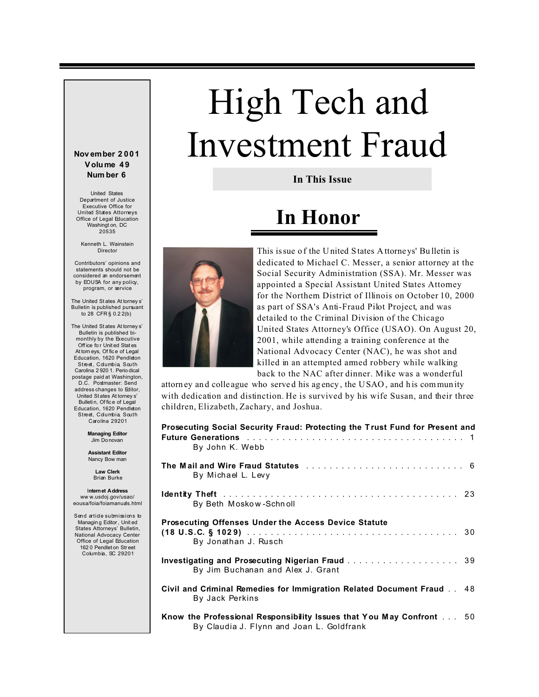# High Tech and Investment Fraud

**In This Issue**

### **In Honor**



This is sue of the United States Attorneys' Bulletin is dedicated to Michael C. Messer, a senior attorney at the Social Security Administration (SSA). Mr. Messer was appointed a Special Assistant United States Attorney for the Northern District of Illinois on October 10, 2000 as part of SSA's Anti-Fraud Pilot Project, and was detailed to the Criminal Division of the Chicago United States Attorney's Office (USAO). On August 20, 2001, while attending a training conference at the National Advocacy Center (NAC), he was shot and killed in an attempted armed robbery while walking back to the NAC after dinner. Mike was a wonderful

attorney an d colle ague who serve d his ag ency , the USAO , and h is commun ity with dedication and distinction. He is survived by his wife Susan, and their three children, Elizabeth, Zachary, and Joshua.

| Prosecuting Social Security Fraud: Protecting the Trust Fund for Present and<br><b>Future Generations</b> external external extension of the contract the contract of the contract of the contract of the contract of the contract of the contract of the contract of the contract of the contract of the contract<br>By John K. Webb |  |
|---------------------------------------------------------------------------------------------------------------------------------------------------------------------------------------------------------------------------------------------------------------------------------------------------------------------------------------|--|
| By Michael L. Levy                                                                                                                                                                                                                                                                                                                    |  |
| By Beth Moskow-Schnoll                                                                                                                                                                                                                                                                                                                |  |
| <b>Prosecuting Offenses Under the Access Device Statute</b><br>By Jonathan J. Rusch                                                                                                                                                                                                                                                   |  |
| Investigating and Prosecuting Nigerian Fraud 39<br>By Jim Buchanan and Alex J. Grant                                                                                                                                                                                                                                                  |  |
| Civil and Criminal Remedies for Immigration Related Document Fraud 48<br>By Jack Perkins                                                                                                                                                                                                                                              |  |
| Know the Professional Responsibility Issues that You May Confront 50<br>By Claudia J. Flynn and Joan L. Goldfrank                                                                                                                                                                                                                     |  |

#### **Nov ember 2 001 V olu me 49 Num ber 6**

United States Department of Justice Executive Office for United States Attorneys Office of Legal Education Washingt on, DC 20535

Kenneth L. Wainstein Director

Contributors' opinions and statements should not be considered an endorsement by EOUSA for any policy, program, or service

The United St ates At torney s' Bulletin is published pursuant to 28 CFR § 0.2 2(b)

The United St ates At torney s' Bulletin is published bimonthly by the Executive Off ice fo r Unit ed Stat es At torn eys, Of fic e of Legal Education, 1620 Pendleton Street, Columbia, South Carolina 2 920 1. Perio dical postage paid at Washington, D.C. Postmaster: Send address changes to Editor, United St ates At torney s' Bulletin, Of fice of Legal Education, 1620 Pendleton Street, Columbia, South Carolina 29201

> **Managing Editor** Jim Do novan

**Assistant Editor** Nancy Bow man

> **Law Clerk** Brian Burke

I**nternet Address** ww w.usdoj.gov/usao/ eousa/foia/foiamanuals.html

Send artide submissions to Managin g Editor, Unit ed States Attorneys' Bulletin, National Advocacy Center Office of Legal Education 162 0 Pendlet on Str eet Columbia, SC 29201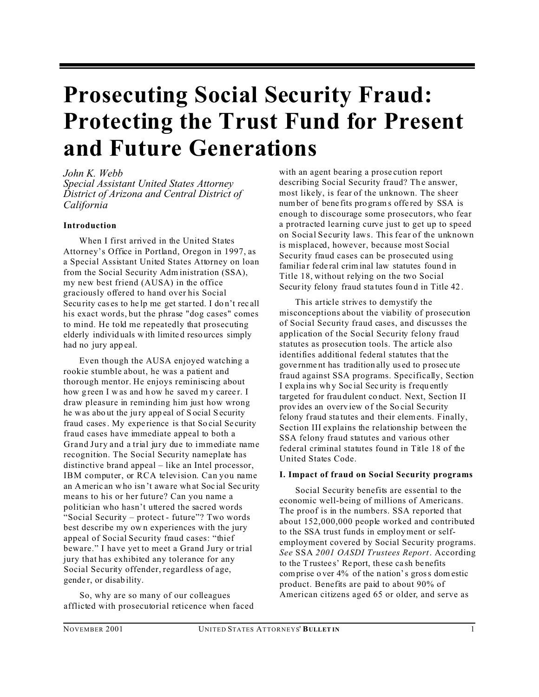### **Prosecuting Social Security Fraud: Protecting the Trust Fund for Present and Future Generations**

#### *John K. Webb*

*Special Assistant United States Attorney District of Arizona and Central District of California*

#### **Introduction**

When I first arrived in the United States Attorney's Office in Portland, Oregon in 1997, as a Special Assistant United States Attorney on loan from the Social Security Adm inistration (SSA), my new best friend (AUSA) in the office graciously offered to hand over his Social Security cases to help me get started. I don't recall his exact words, but the phrase "dog cases" comes to mind. He told me repeatedly that prosecuting elderly individ uals w ith limite d reso urces simply had no jury app eal.

Even though the AUSA enjoyed watching a rookie stumble about, he was a patient and thorough mentor. He enjoys reminiscing about how green I was and how he saved my career. I draw pleasure in reminding him just how wrong he was abo ut the ju ry app eal of S ocial Security fraud cases. My expe rience is that So cial Se curity fraud cases have immediate appeal to both a Grand Jury and a trial jury due to immediate name recognition. The Social Security nameplate has distinctive brand appeal – like an Intel processor, IBM computer, or RCA television. Can you name an Americ an who isn 't awa re wh at Soc ial Sec urity means to his or her future? Can you name a politician who hasn't uttered the sacred words "Social Security – protect - future"? Two words best describe my ow n experiences with the jury appeal of Social Security fraud cases: "thief beware." I have yet to meet a Grand Jury or trial jury that has exhibited any tolerance for any Social Security offender, regardless of age, gende r, or disab ility.

So, why are so many of our colleagues afflicted with prosecutorial reticence when faced with an agent bearing a prose cution report describing Social Security fraud? The answer, most likely, is fear of the unknown. The sheer number of bene fits pro grams offe red by SSA is enough to discourage some prosecutors, who fear a protracted learning curve just to get up to speed on Social Security laws. This fear of the unknown is misplaced, however, because most Social Security fraud cases can be prosecuted using familiar federal criminal law statutes found in Title 18, without relying on the two Social Security felony fraud sta tutes foun d in Title 42 .

This article strives to demystify the misconceptions about the viability of prosecution of Social Security fraud cases, and discusses the application of the Social Security felony fraud statutes as prosecution tools. The article also identifies additional federal statutes that the gove rnme nt has tradition ally us ed to p rosec ute fraud against SSA programs. Specifically, Section I expla ins wh y Soc ial Sec urity is frequ ently targeted for frau dulent co nduct. Next, Section II provides an overview of the Social Security felony fraud sta tutes and their elements. Finally, Section III explains the relationship between the SSA felony fraud statutes and various other federal criminal statutes found in Title 18 of the United States Code.

#### **I. Impact of fraud on Social Security programs**

Social Security benefits are essential to the economic well-being of millions of Americans. The proof is in the numbers. SSA reported that about 152,000,000 people worked and contributed to the SSA trust funds in employment or selfemployment covered by Social Security programs. *See* SSA *2001 OASDI Trustees Report*. According to the Trustee s' Re port, th ese ca sh be nefits comprise o ver 4% of the n ation's gross domestic product. Benefits are paid to about 90% of American citizens aged 65 or older, and serve as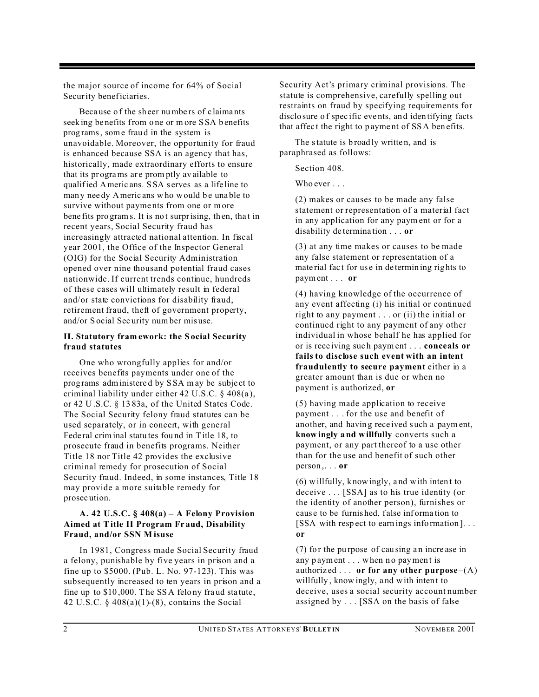the major source of income for 64% of Social Security beneficiaries.

Because of the sheer numbers of claimants seek ing be nefits from o ne or m ore SSA b enefits prog rams, some frau d in the system is unavoidable. Moreover, the opportunity for fraud is enhanced because SSA is an agency that has, historically, made extraordinary efforts to ensure that its programs are promptly available to qualified Americ ans. SSA s erves as a life line to many needy Americ ans who would be unable to survive without payme nts from one or more bene fits programs. It is not surprising, then, that in recent years, Social Security fraud has increasingly attracted national attention. In fiscal year 2001, the Office of the Inspector General (OIG) for the Social Security Administration opened over nine thousand potential fraud cases nationwide. If current trends continue, hundreds of these cases will ultimately result in federal and/or state convictions for disability fraud, retirement fraud, theft of government property, and/or S ocial Sec urity num ber mis use.

#### **II. Statutory fram ework: the S ocial Security fraud statutes**

One who wrongfully applies for and/or receives benefits payments under one of the prog rams administere d by S SA m ay be subje ct to criminal liability under either 42 U.S.C. § 408(a ), or 42 U .S.C. § 13 83a, of the United States Code. The Social Security felony fraud statutes can be used separately, or in concert, with general Fede ral crim inal statu tes fou nd in Title 18, to prosecute fraud in benefits programs. Neither Title 18 nor Title 42 provides the exclusive criminal remedy for prosecution of Social Security fraud. Indeed, in some instances, Title 18 may provide a more suitable remedy for prosec ution.

#### **A. 42 U.S.C. § 408(a) – A Felony Provision Aimed at Title II Program Fr aud, Disability Fraud, and/or SSN M isuse**

In 1981, Congress made Social Security fraud a felony, punishable by five years in prison and a fine up to \$5000. (Pub. L. No. 97-123). This was subsequently increased to ten years in prison and a fine up to \$10 ,000. T he SS A felo ny fra ud sta tute, 42 U.S.C.  $\S$  408(a)(1)-(8), contains the Social

Security Act's primary criminal provisions. The statute is comprehensive, carefully spelling out restraints on fraud by specifying requirements for disclo sure of specific events, and identifying facts that affect the right to payment of SSA benefits.

The statute is broadly written, and is paraphrased as follows:

Section 408.

Who ever . . .

(2) makes or causes to be made any false statement or representation of a material fact in any application for any paym ent or for a disability de termina tion . . . **or**

(3) at any time makes or causes to be made any false statement or representation of a mate rial fac t for us e in de termin ing rig hts to payment . . . **or** 

(4) having knowledge of the occurrence of any event affecting (i) his initial or continued right to any payment . . . or (ii) the initial or continued right to any payment of any other individual in whose behalf he has applied for or is rece iving suc h paym ent . . . **conceals or fails to disclose such event with an intent fraudulently to secure payment** either in a greater amount than is due or when no payment is authorized, **or**

(5) having made application to receive payment . . . for the use and benefit of another, and havin g rece ived s uch a paym ent, **know ingly a nd willfully** converts such a payment, or any part thereof to a use other than for the use and benefit of such other person ,. . . **or**

 $(6)$  willfully, knowingly, and with intent to deceive . . . [SSA] as to his true identity (or the identity of another person), furnishes or caus e to be furnis hed, f alse inf orma tion to [SSA with resp ect to earn ings info rmation ]. . . **or** 

 $(7)$  for the purpose of causing an increase in any p ayment . . . when no payment is authoriz ed . . . **or for any other purpose**–(A) willfully, know ingly, and with intent to deceive, uses a social security account number assigned by . . . [SSA on the basis of false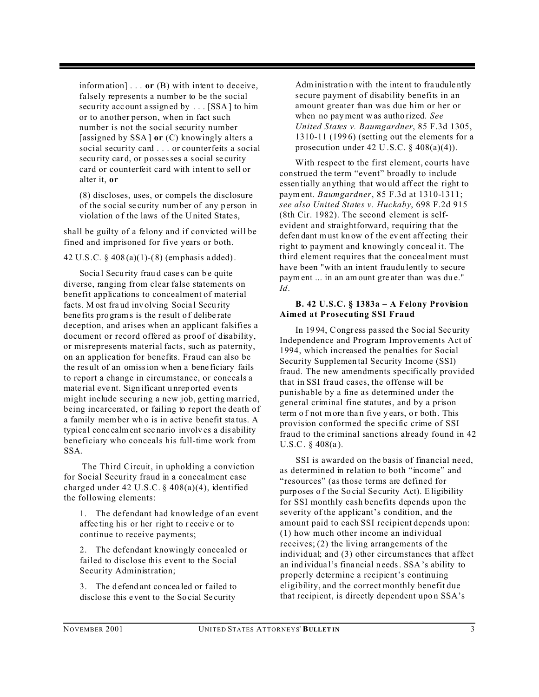information] . . . **or** (B) with intent to deceive, falsely represents a number to be the social security account assigned by . . . [SSA] to him or to another person, when in fact such number is not the social security number [assigned by SSA ] **or** (C) knowingly alters a social security card . . . or counterfeits a social security card, or possesses a social security card or counterfeit card with intent to sell or alter it, **or**

(8) discloses, uses, or compels the disclosure of the s ocial se curity number of any p erson in violation o f the laws of the United State s,

shall be guilty of a felony and if convicted will be fined and imprisoned for five years or both.

42 U.S .C. § 408 (a)(1)-( 8) (emphasis a dded).

Social Security fraud cases can be quite diverse, ranging from clear false statements on benefit applications to concealment of material facts. M ost fraud involving Social Security bene fits pro grams is the r esult o f delibe rate deception, and arises when an applicant falsifies a document or record offered as proof of disability, or misrepresents material facts, such as paternity, on an application for benefits. Fraud can also be the res ult of an omission when a bene ficiary fails to report a change in circumstance, or conceals a mate rial eve nt. Sign ificant u nrep orted even ts might include securing a new job, getting married, being incarcerated, or failing to report the death of a family member wh o is in active benefit sta tus. A typica l conc ealment sce nario involv es a dis ability beneficiary who conceals his full-time work from SSA.

 The Third Circuit, in upholding a conviction for Social Security fraud in a concealment case charged under 42 U.S.C. § 408(a)(4), identified the following elements:

1. The defendant had knowledge of an event affecting his or her right to receive or to continue to receive payments;

2. The defendant knowingly concealed or failed to disclose this event to the Social Security Administration;

3. The d efend ant co ncea led or f ailed to disclo se this e vent to the So cial Se curity

Adm inistratio n with the inte nt to fra udule ntly secure payment of disability benefits in an amount greater than was due him or her or when no payment w as autho rized. *See United States v. Baumgardner*, 85 F.3d 1305, 1310-11 (1996) (setting out the elements for a prosecution under 42 U.S.C.  $\S$  408(a)(4)).

With respect to the first element, courts have construed the term "event" broadly to include essen tially anything that would affect the right to payment. *Baumgardner*, 85 F.3d at 1310-1311; *see also United States v. Huckaby*, 698 F.2d 915 (8th Cir. 1982). The second element is selfevident and straightforward, requiring that the defen dant m ust kn ow of the event affecting their right to payment and knowingly conceal it. The third element requires that the concealment must have been "with an intent fraudu lently to secure payment ... in an am ount gre ater than was du e." *Id*.

#### **B. 42 U.S.C. § 1383a – A Felony Provision Aimed at Prosecuting SSI Fraud**

In 1994, Congress passed the Social Security Independence and Program Improvements Act of 1994, which increased the penalties for Social Security Supplemen tal Security Income (SSI) fraud. The new amendments specifically provided that in SSI fraud cases, the offense will be punishable by a fine as determined under the general criminal fine statutes, and by a prison term of not more than five y ears, or both. This provision conformed the specific crime of SSI fraud to the criminal sanctions already found in 42 U.S.C. § 408(a ).

SSI is awarded on the basis of financial need, as determined in relation to both "income" and "resources" (as those terms are defined for purp oses o f the So cial Se curity Act). Eligibility for SSI monthly cash benefits depends upon the severity of the applicant's condition, and the amount paid to each SSI recipient depends upon: (1) how much other income an individual receives; (2) the living arrangements of the individual; and (3) other circumstances that affect an ind ividua l's fina ncial n eeds. SSA's ability to properly determine a recipient's continuing eligibility, and the correct monthly benefit due that recipient, is directly dependent upon SSA's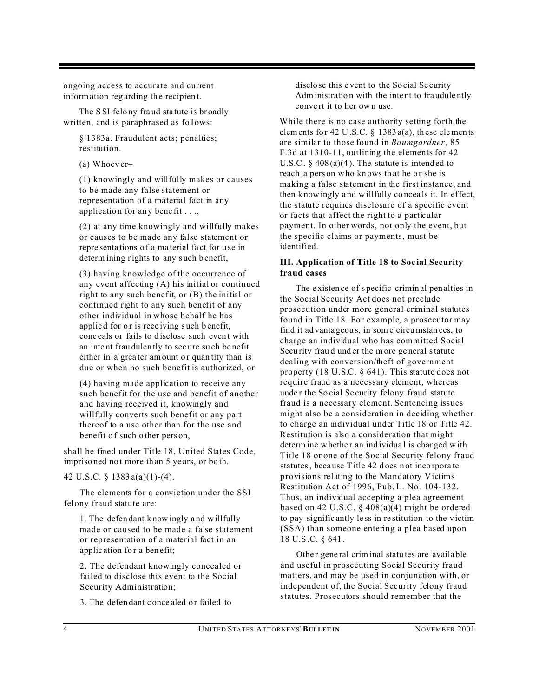ongoing access to accurate and current information regarding the recipient.

The S SI felo ny fra ud sta tute is br oadly written, and is paraphrased as follows:

§ 1383a. Fraudulent acts; penalties; restitution.

(a) Whoev er–

(1) knowingly and willfully makes or causes to be made any false statement or representation of a material fact in any application for any benefit . . .,

(2) at any time knowingly and willfully makes or causes to be made any false statement or repre senta tions o f a ma terial fa ct for u se in determ ining rights to any such b enefit,

(3) having knowledge of the occurrence of any event affecting (A) his initial or continued right to any such benefit, or (B) the initial or continued right to any such benefit of any other individual in whose behalf he has applied for or is receiving such benefit. conceals or fails to disclose such event with an inte nt frau dulen tly to sec ure su ch be nefit either in a greater amount or quan tity than is due or when no such benefit is authorized, or

(4) having made application to receive any such benefit for the use and benefit of another and having received it, knowingly and willfully converts such benefit or any part thereof to a use other than for the use and benefit of such other pers on,

shall be fined under Title 18, United States Code, impriso ned no t more th an 5 ye ars, or bo th.

42 U.S.C. § 1383 a(a)(1)-(4).

The elements for a conviction under the SSI felony fraud statute are:

1. The defen dant k nowingly a nd willfully made or caused to be made a false statement or representation of a material fact in an applic ation for a benefit;

2. The defendant knowingly concealed or failed to disclose this event to the Social Security Administration;

3. The defendant conce aled or failed to

disclo se this e vent to the So cial Se curity Adm inistratio n with the inte nt to fra udule ntly convert it to her own use.

While there is no case authority setting forth the elements for 42 U.S.C.  $\S$  1383 a(a), these elements are similar to those found in *Baumgardner*, 85 F.3d at 1310-11, outlining the elements for 42 U.S.C.  $\S$  408(a)(4). The statute is intended to reach a pers on who knows that he or she is making a false statement in the first instance, and then k nowingly a nd willfully co ncea ls it. In effect, the statute requires disclosure of a specific event or facts that affect the right to a particular payment. In other words, not only the event, but the specific claims or payments, must be identified.

#### **III. Application of Title 18 to Soc ial Security fraud cases**

The e xisten ce of s pecific crimin al pen alties in the Social Security Act does not preclude prosecution under more general criminal statutes found in Title 18. For example, a prosecutor may find it ad vanta geou s, in som e circumstan ces, to charge an individual who has committed Social Secu rity frau d und er the m ore ge neral statute dealing with conversion/theft of government property (18 U.S.C. § 641). This statute does not require fraud as a necessary element, whereas under the So cial Se curity felony fraud statute fraud is a necessary element. Sentencing issues might also be a consideration in deciding whether to charge an individual under Title 18 or Title 42. Restitution is also a consideration that might determ ine whether an individual is charged with Title 18 or one of the Social Security felony fraud statutes, because Title 42 does not incorporate provisions relating to the Mandatory Victims Restitution Act of 1996, Pub. L. No. 104-132. Thus, an individual accepting a plea agreement based on 42 U.S.C.  $\S$  408(a)(4) might be ordered to pay signific antly le ss in re stitution to the v ictim (SSA) than someone entering a plea based upon 18 U.S .C. § 641 .

Other general criminal statutes are available and useful in prosecuting Social Security fraud matters, and may be used in conjunction with, or independent of, the Social Security felony fraud statutes. Prosecutors should remember that the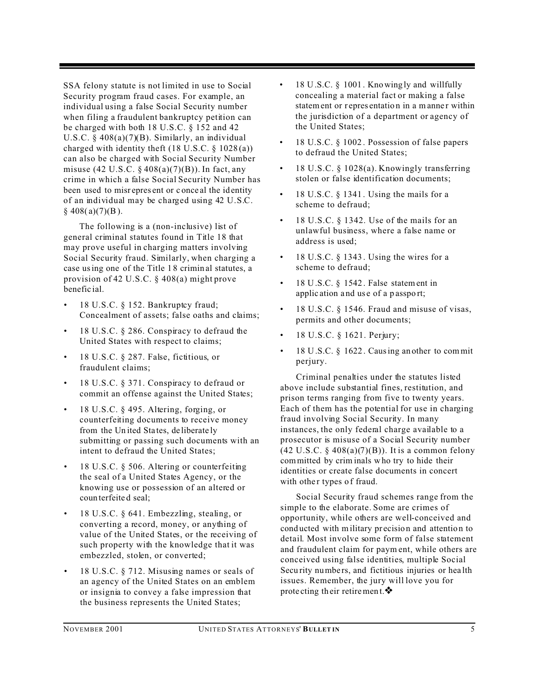SSA felony statute is not limited in use to Social Security program fraud cases. For example, an individual using a false Social Security number when filing a fraudulent bankruptcy petition can be charged with both 18 U.S.C. § 152 and 42 U.S.C.  $\S$  408(a)(7)(B). Similarly, an individual charged with identity theft  $(18 \text{ U.S.C. } § 1028(a))$ can also be charged with Social Security Number misuse (42 U.S.C.  $\S$  408(a)(7)(B)). In fact, any crime in which a false Social Security Number has been used to misr epres ent or c once al the identity of an individual may be charged using 42 U.S.C.  $§$  408(a)(7)(B).

The following is a (non-inclusive) list of general criminal statutes found in Title 18 that may prove useful in charging matters involving Social Security fraud. Similarly, when charging a case using one of the Title 1 8 crimin al statutes, a provision of 42 U.S.C. § 408(a) might prove benefic ial.

- 18 U.S.C. § 152. Bankruptcy fraud; Concealment of assets; false oaths and claims;
- 18 U.S.C. § 286. Conspiracy to defraud the United States with respect to claims;
- 18 U.S.C. § 287. False, fictitious, or fraudulent claims;
- 18 U.S.C. § 371. Conspiracy to defraud or commit an offense against the United States;
- 18 U.S.C. § 495. Altering, forging, or counterfeiting documents to receive money from the Un ited Sta tes, de liberate ly submitting or passing such documents with an intent to defraud the United States;
- 18 U.S.C. § 506. Altering or counterfeiting the seal of a United States Agency, or the knowing use or possession of an altered or coun terfeite d seal;
- 18 U.S.C. § 641. Embezzling, stealing, or converting a record, money, or anything of value of the United States, or the receiving of such property with the knowledge that it was embezzled, stolen, or converted;
- 18 U.S.C. § 712. Misusing names or seals of an agency of the United States on an emblem or insignia to convey a false impression that the business represents the United States;
- 18 U.S.C. § 1001 . Knowing ly and willfully concealing a material fact or making a false statement or representation in a manner within the jurisdiction of a department or agency of the United States;
- 18 U.S.C. § 1002 . Possession of false papers to defraud the United States;
- 18 U.S.C. § 1028(a). Knowingly transferring stolen or false identification documents;
- 18 U.S.C.  $\S$  1341. Using the mails for a scheme to defraud;
- 18 U.S.C. § 1342. Use of the mails for an unlawful business, where a false name or address is used;
- 18 U.S.C.  $\S$  1343. Using the wires for a scheme to defraud;
- 18 U.S.C. § 1542 . False statement in applic ation a nd us e of a p asspo rt;
- 18 U.S.C. § 1546. Fraud and misuse of visas, permits and other documents;
- 18 U.S.C. § 1621. Perjury;
- 18 U.S.C. § 1622 . Causing an other to com mit perjury.

Criminal penalties under the statutes listed above include substantial fines, restitution, and prison terms ranging from five to twenty years. Each of them has the potential for use in charging fraud involving Social Security. In many instances, the only federal charge available to a prosecutor is misuse of a Social Security number  $(42 \text{ U.S.C. } § 408(a)(7)(B))$ . It is a common felony committed by crim inals w ho try to hide their identities or create false documents in concert with other types of fraud.

Social Security fraud schemes range from the simple to the elaborate. Some are crimes of opportunity, while others are well-conceived and cond ucted with military pr ecision and attentio n to detail. Most involve some form of false statement and fraudulent claim for paym ent, while others are conceived using false identities, multiple Social Security numbers, and fictitious injuries or health issues. Remember, the jury will love you for prote cting their retirement.  $\mathbf{\hat{*}}$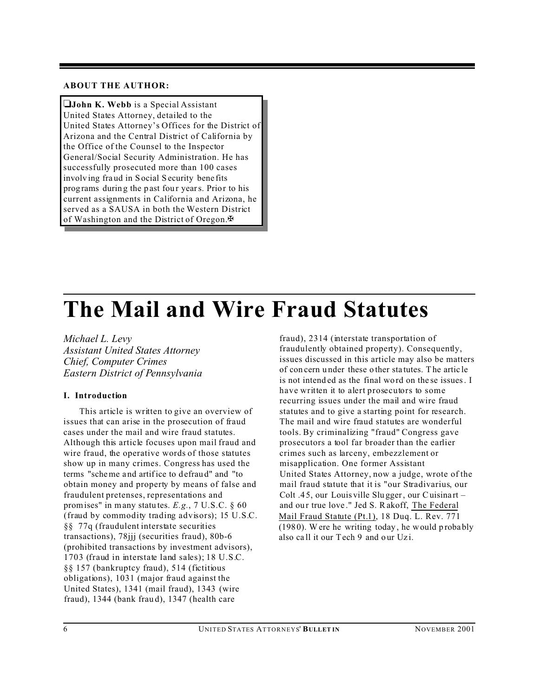#### **ABOUT THE AUTHOR:**

**John K. Webb** is a Special Assistant United States Attorney, detailed to the United States Attorney's Offices for the District of Arizona and the Central District of California by the Office of the Counsel to the Inspector General/Social Security Administration. He has successfully prosecuted more than 100 cases involv ing fra ud in S ocial Security bene fits programs during the past four years. Prior to his current assignments in California and Arizona, he served as a SAUSA in both the Western District of Washington and the District of Oregon. $\mathbb{F}$ 

### **The Mail and Wire Fraud Statutes**

*Michael L. Levy Assistant United States Attorney Chief, Computer Crimes Eastern District of Pennsylvania*

#### **I. Introduction**

This article is written to give an overview of issues that can arise in the prosecution of fraud cases under the mail and wire fraud statutes. Although this article focuses upon mail fraud and wire fraud, the operative words of those statutes show up in many crimes. Congress has used the terms "scheme a nd artifice to d efrau d" and "to obtain money and property by means of false and fraudulent pretenses, representations and promises" in many statu tes. *E.g.*, 7 U.S.C. § 60 (fraud by commodity trading advisors); 15 U.S.C. §§ 77q (fraudulent interstate securities transactions), 78jjj (securities fraud), 80b-6 (prohibited transactions by investment advisors), 1703 (fraud in interstate land sales); 18 U.S.C. §§ 157 (bankruptcy fraud), 514 (fictitious obligations), 1031 (major fraud against the United States), 1341 (mail fraud), 1343 (wire fraud), 1344 (bank frau d), 1347 (health care

fraud), 2314 (interstate transportation of fraudulently obtained property). Consequently, issues discussed in this article may also be matters of con cern u nder these o ther sta tutes. The artic le is not intend ed as the final wo rd on the se issues. I have written it to alert prosecutors to some recurring issues under the mail and wire fraud statutes and to give a starting point for research. The mail and wire fraud statutes are wonderful tools. By criminalizing "fraud" Congress gave prosecutors a tool far broader than the earlier crimes such as larceny, embezzlement or misapplication. One former Assistant United States Attorney, now a judge, wrote of the mail fraud statute that it is "our Stradivarius, our Colt .4 5, our Louis ville Slu gger, our Cuisina rt – and our true love." Jed S. Rakoff, The Federal Mail Fraud Statute (Pt.1), 18 Duq. L. Rev. 771  $(1980)$ . Were he writing today, he would probably also call it our Tech 9 and our Uzi.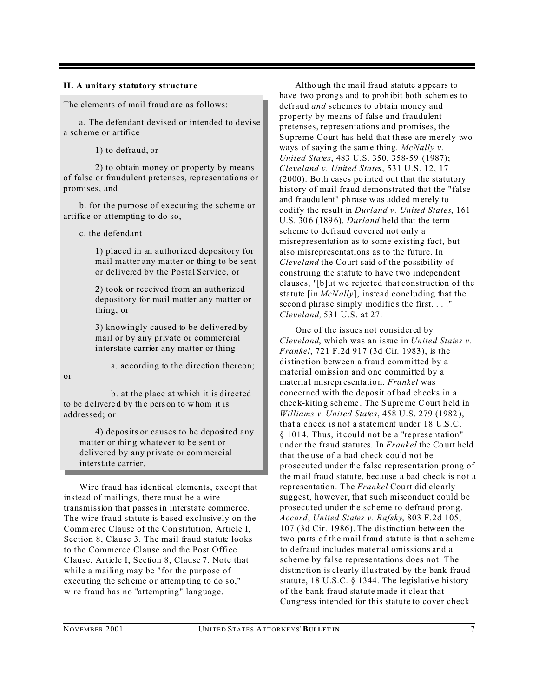#### **II. A unitary statutory structure**

The elements of mail fraud are as follows:

a. The defendant devised or intended to devise a scheme or artifice

1) to defraud, or

2) to obtain money or property by means of false or fraudulent pretenses, representations or promises, and

b. for the purpose of executing the scheme or artifice or attempting to do so,

c. the defendant

1) placed in an authorized depository for mail matter any matter or thing to be sent or delivered by the Postal Service, or

2) took or received from an authorized depository for mail matter any matter or thing, or

3) knowingly caused to be delivered by mail or by any private or commercial interstate carrier any matter or thing

a. according to the direction thereon;

or

b. at the place at which it is directed to be delivered by the pers on to whom it is addressed; or

4) deposits or causes to be deposited any matter or thing whatever to be sent or delivered by any private or commercial interstate carrier.

Wire fraud has identical elements, except that instead of mailings, there must be a wire transmission that passes in interstate commerce. The wire fraud statute is based exclusively on the Commerce Clause of the Con stitution, Article I, Section 8, Clause 3. The mail fraud statute looks to the Commerce Clause and the Post Office Clause, Article I, Section 8, Clause 7. Note that while a mailing may be "for the purpose of executing the scheme or attempting to do so," wire fraud has no "attempting" language.

Altho ugh th e ma il fraud statute a ppea rs to have two prongs and to prohibit both schemes to defraud *and* schemes to obtain money and property by means of false and fraudulent pretenses, representations and promises, the Supreme Court has held that these are merely two ways of sayin g the sam e thing. *McNally v. United States*, 483 U.S. 350, 358-59 (1987); *Cleveland v. United States*, 531 U.S. 12, 17 (2000). Both cases po inted out that the statutory history of mail fraud demonstrated that the "false and fr audu lent" ph rase w as add ed merely to codify the result in *Durland v. United States*, 161 U.S. 30 6 (189 6). *Durland* held that the term scheme to defraud covered not only a misrepresentation as to some existing fact, but also misrepresentations as to the future. In *Cleveland* the Court said of the possibility of construing the statute to have two independent clauses, "[b]ut we rejected that construction of the statute [in *McNally*], instead concluding that the second phrase simply modifies the first...." *Cleveland,* 531 U.S. at 27.

One of the issues not considered by *Cleveland*, which was an issue in *United States v. Frankel*, 721 F.2d 917 (3d Cir. 1983), is the distinction between a fraud committed by a material omission and one committed by a materia l misrepr esentatio n. *Frankel* was concerned with the deposit of bad checks in a chec k-kitin g sch eme . The S upreme Court h eld in *Williams v. United States*, 458 U.S. 279 (1982 ), that a check is not a statement under 18 U.S.C. § 1014. Thus, it could not be a "representation" under the fraud statutes. In *Frankel* the Co urt held that the use of a bad check could not be prosecuted under the false representation prong of the mail fraud statute, because a bad check is not a representation. The *Frankel* Court did clearly suggest, however, that such misconduct could be prosecuted under the scheme to defraud prong. *Accord*, *United States v. Rafsky*, 803 F.2d 105, 107 (3d Cir. 1986). The distinction between the two parts of the mail fraud statute is that a scheme to defraud includes material omissions and a scheme by false representations does not. The distinction is clearly illustrated by the bank fraud statute, 18 U.S.C. § 1344. The legislative history of the bank fraud statute made it clear that Congress intended for this statute to cover check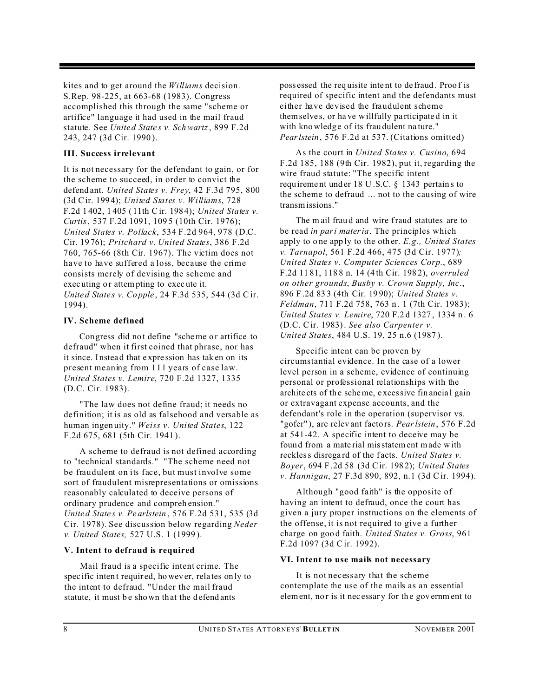kites and to get around the *Williams* decision. S.Rep. 98-225, at 663-68 (1983). Congress accomplished this through the same "scheme or artifice" language it had used in the mail fraud statute. See *Unite d State s v. Schwartz*, 899 F.2d 243, 247 (3d Cir. 1990 ).

#### **III. Success irrelevant**

It is not necessary for the defendant to gain, or for the scheme to succeed, in order to convict the defend ant. *United States v. Frey*, 42 F.3d 795, 800 (3d Cir. 199 4); *United States v. Williams*, 728 F.2d 1 402, 1 405 ( 11th Cir. 198 4); *United States v. Curtis*, 537 F.2d 1091, 109 5 (10th Cir. 1976); *United States v. Pollack*, 534 F.2d 964, 978 (D.C. Cir. 19 76); *Pritchard v. United States*, 386 F.2d 760, 765-66 (8th Cir. 1967). The victim does not have to have suffered a loss, because the crime consists merely of devising the scheme and exec uting or attempting to execute it. *Unite d State s v. Co pple*, 24 F.3d 535, 544 (3d Cir. 1994).

#### **IV. Scheme defined**

Con gress did not define "scheme or artifice to defraud" when it first coined that phrase, nor has it since. I nstea d that e xpre ssion has tak en on its present meaning from 111 years of case law. *United States v. Lemire*, 720 F.2d 1327, 1335 (D.C. Cir. 1983).

"The law does not define fraud; it needs no definition; it is as old as falsehood and versable as human ingen uity." *Weiss v. United States*, 122 F.2d 675, 681 (5th Cir. 1941 ).

A scheme to defraud is not defined according to "technical standards." "The scheme need not be fraudulent on its face, but must involve some sort of fraudulent misrepresentations or omissions reasonably calculated to deceive persons of ordinary prudence and compreh ension." *Unite d State s v. Pe arlstein* , 576 F.2d 531, 535 (3d Cir. 1978). See discussion below regarding *Neder v. United States,* 527 U.S. 1 (1999 ).

#### **V. Intent to defraud is required**

Mail fraud is a specific intent crime. The spec ific inten t requir ed, howev er, rela tes on ly to the intent to defraud. "Under the mail fraud statute, it must be shown that the defendants

poss essed the req uisite inte nt to de fraud . Proo f is required of specific intent and the defendants must either have devised the fraudulent scheme themselve s, or ha ve willfully pa rticipate d in it with kno wledge of its frau dulent na ture." *Pearlstein*, 576 F.2d at 537. (Citations omitted)

As the court in *United States v. Cusino*, 694 F.2d 185, 188 (9th Cir. 1982), put it, regarding the wire fraud statute: "The specific intent requ ireme nt und er 18 U .S.C. § 1343 pertain s to the scheme to defraud ... not to the causing of wire transmissions."

The mail fraud and wire fraud statutes are to be read *in pari materia*. The principles which apply to o ne app ly to the oth er. *E.g., United States v. Tarnapol*, 561 F.2d 466, 475 (3d Cir. 1977)*; United States v. Computer Sciences Corp.*, 689 F.2d 11 81, 118 8 n. 14 (4 th Cir. 198 2), *overruled on other grounds*, *Busby v. Crown Supply, Inc.*, 896 F .2d 83 3 (4th Cir. 19 90); *United States v. Feldman*, 711 F.2d 758, 763 n . 1 (7th Cir. 1983); *United States v. Lemire*, 720 F.2 d 1327 , 1334 n . 6 (D.C. Cir. 1983). *See also Carpenter v. United States*, 484 U.S. 19, 25 n.6 (1987 ).

Specific intent can be proven by circumstantial evidence. In the case of a lower level person in a scheme, evidence of continuing personal or professional relationships with the archite cts of th e scheme, e xcessive fin ancia l gain or extravagant expense accounts, and the defendant's role in the operation (supervisor vs. "gofer" ), are relev ant facto rs. *Pearlstein*, 576 F.2d at 541-42. A specific intent to deceive may be foun d from a mate rial misstatement made w ith reckless disrega rd of the f acts. *United States v. Boyer*, 694 F .2d 58 (3d Cir. 198 2); *United States v. Hannigan*, 27 F.3d 890, 892, n.1 (3d Cir. 1994).

Although "good faith" is the opposite of having an intent to defraud, once the court has given a jury proper instructions on the elements of the offense, it is not required to give a further charge on goo d faith. *United States v. Gross*, 961 F.2d 1097 (3d Cir. 1992).

#### **VI. Intent to use mails not necessary**

It is not necessary that the scheme contemplate the use of the mails as an essential element, nor is it necessary for the government to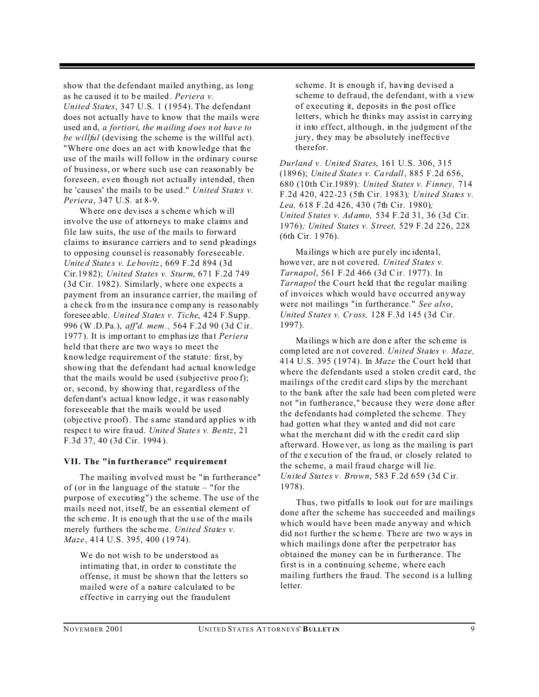show that the defendant mailed anything, as long as he caused it to be mailed. *Periera v. United States*, 347 U.S. 1 (1954). The defendant does not actually have to know that the mails were used an d, *a fortiori*, *the mailing d oes n ot hav e to be willful* (devising the scheme is the willful act). "Where one does an act with knowledge that the use of the mails will follow in the ordinary course of business, or where such use can reasonably be foreseen, even though not actually intended, then he 'causes' the mails to be used." *United States v. Periera*, 347 U.S. at 8-9.

Where one devises a s cheme which will involve the use of attorneys to make claims and file law suits, the use of the mails to forward claims to insurance carriers and to send pleadings to opposing counsel is reasonably foreseeable. *Unite d State s v. Le bovitz*, 669 F.2d 894 (3d Cir.19 82); *United States v. Sturm*, 671 F.2d 749 (3d Cir. 1982). Similarly, where one expects a payment from an insurance carrier, the mailing of a che ck from the insura nce c omp any is reaso nably foresee able. *United States v. Tiche*, 424 F.Supp. 996 (W .D.Pa.), *aff'd. mem .,* 564 F.2d 90 (3d Cir. 1977 ). It is imp ortan t to emphasize tha t *Periera* held that there are two ways to meet the knowledge requirement of the statute: first, by showing that the defendant had actual knowledge that the mails would be used (subjective proo f); or, second, by showing that, regardless of the defen dant's actual know ledge, it was reasonably foreseeable that the mails would be used (obje ctive p roof). The s ame stand ard ap plies w ith respec t to wire fra ud. *Unite d State s v. Be ntz*, 21 F.3d 37, 40 (3d Cir. 1994 ).

#### **VII. The "in furtherance" requirement**

The mailing involved must be "in furtherance" of (or in the language of the statute – "for the purpose of executing") the scheme. The use of the mails need not, itself, be an essential element of the scheme. It is enough that the use of the mails merely furthers the scheme. *United States v. Maze*, 414 U.S. 395, 400 (19 74).

We do not wish to be understood as intimating that, in order to constitute the offense, it must be shown that the letters so mailed were of a nature calculated to be effective in carrying out the fraudulent

scheme. It is enough if, having devised a scheme to defraud, the defendant, with a view of executing it, deposits in the post office letters, which he thinks may assist in carrying it into effect, although, in the judgment of the jury, they may be absolutely ineffective therefor.

*Durland v. United States*, 161 U.S. 306, 315 (189 6); *Unite d State s v. Ca rdall*, 885 F.2d 656, 680 (10th Cir.1989)*; United States v. Finney,* 714 F.2d 420, 422-23 (5th Cir. 1983)*; United States v. Lea,* 618 F.2d 426, 430 (7th Cir. 1980)*; United S tates v. Ad amo,* 534 F.2d 31, 36 (3d Cir. 1976)*; United States v. S treet,* 529 F.2d 226, 228 (6th Cir. 1 976).

Ma ilings w hich a re pur ely inc identa l, howe ver, are n ot cove red. *United States v. Tarnapol*, 561 F.2d 466 (3d Cir. 1977). In *Tarnapol* the Court held that the regular mailing of invoices which would have occurred anyway were not mailings "in furtherance." *See also*, *United S tates v. Cr oss,* 128 F.3d 145 (3d Cir. 1997).

Ma ilings w hich a re don e after the sch eme is comp leted are n ot cove red. *United States v. Maze,* 414 U.S. 395 (1974). In *Maze* the Court held that where the defendants used a stolen credit card, the mailings of the credit card slips by the merchant to the bank after the sale had been com pleted were not "in furtherance," because they were done after the defendants had completed the scheme. They had gotten what they wanted and did not care what the merchant did with the credit card slip afterward. Howe ver, as long as the mailing is part of the e xecu tion of the fra ud, or closely related to the scheme, a mail fraud charge will lie. *United States v. Brown*, 583 F.2d 659 (3d Cir. 1978).

Thus, two pitfalls to look out for are mailings done after the scheme has succeeded and mailings which would have been made anyway and which did not further the scheme. There are two ways in which mailings done after the perpetrator has obtained the money can be in furtherance. The first is in a continuing scheme, where each mailing furthers the fraud. The second is a lulling letter.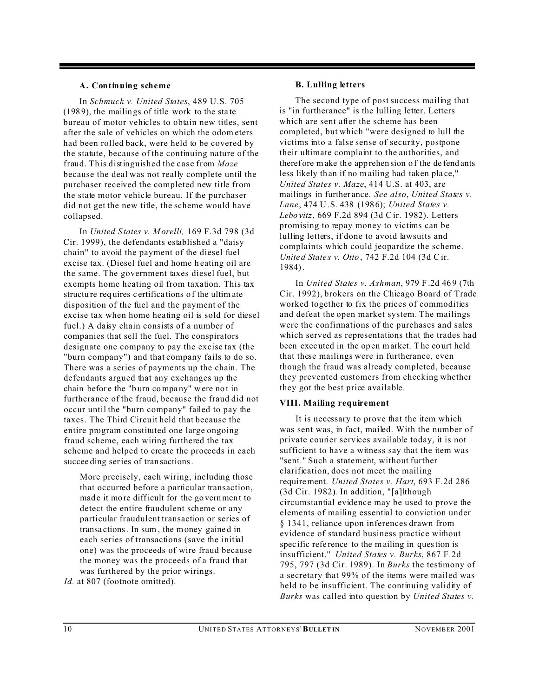#### **A. Continuing scheme**

In *Schmuck v. United States*, 489 U.S. 705 (198 9), the mailin gs of title work to the sta te bureau of motor vehicles to obtain new titles, sent after the sale of vehicles on which the odom eters had been rolled back, were held to be covered by the statute, because of the continuing nature of the fraud. This distinguished the case from *Maze* because the deal was not really complete until the purchaser received the completed new title from the state motor vehicle bureau. If the purchaser did not get the new title, the scheme would have collapsed.

In *United S tates v. Morelli,* 169 F.3d 798 (3d Cir. 1999), the defendants established a "daisy chain" to avoid the payment of the diesel fuel excise tax. (Diesel fuel and home heating oil are the same. The government taxes diesel fuel, but exempts home heating oil from taxation. This tax structu re req uires c ertifica tions o f the ultim ate disposition of the fuel and the payment of the excise tax when home heating oil is sold for diesel fuel.) A daisy chain consists of a number of companies that sell the fuel. The conspirators designate one company to pay the excise tax (the "burn company") and that company fails to do so. There was a series of payments up the chain. The defendants argued that any exchanges up the chain befor e the "b urn compa ny" were no t in furtherance of the fraud, because the fraud did not occur until the "burn company" failed to pay the taxes. The Third Circuit held that because the entire program constituted one large ongoing fraud scheme, each wiring furthered the tax scheme and helped to create the proceeds in each succee ding series of tran sactions.

More precisely, each wiring, including those that occurred before a particular transaction, made it more difficult for the government to detect the entire fraudulent scheme or any particular fraudulent transaction or series of transa ctions. In sum , the money gaine d in each series of transactions (save the initial one) was the proceeds of wire fraud because the money was the proceeds of a fraud that was furthered by the prior wirings.

*Id.* at 807 (footnote omitted).

#### **B. Lulling letters**

The second type of post success mailing that is "in furtherance" is the lulling letter. Letters which are sent after the scheme has been completed, but which "were designed to lull the victims into a false sense of security, postpone their ultimate complaint to the authorities, and therefore make the apprehen sion of the defendants less likely th an if no m ailing had taken pla ce," *United States v. Maze*, 414 U.S. at 403, are mailings in further ance. *See also*, *United States v. Lane*, 474 U .S. 438 (198 6); *United States v. Lebo vitz*, 669 F.2d 894 (3d Cir. 1982). Letters promising to repay money to victims can be lulling letters, if done to avoid lawsuits and complaints which could jeopardize the scheme. *Unite d State s v. Otto* , 742 F.2d 104 (3d Cir. 1984).

In *United States v. Ashman*, 979 F .2d 46 9 (7th Cir. 1992), brokers on the Chicago Board of Trade worked together to fix the prices of commodities and defeat the open market system. The mailings were the confirmations of the purchases and sales which served as representations that the trades had been exec uted in the op en market. T he co urt held that these mailings were in furtherance, even though the fraud was already completed, because they prevented customers from checking whether they got the best price available.

#### **VIII. Mailing requirement**

It is necessary to prove that the item which was sent was, in fact, mailed. With the number of private courier services available today, it is not sufficient to have a witness say that the item was "sent." Such a statement, without further clarification, does not meet the mailing requirement. *United States v. Hart*, 693 F.2d 286 (3d Cir. 1982). In addition, "[a]lthough circumstantial evidence may be used to prove the elements of mailing essential to conviction under § 1341, reliance upon inferences drawn from evidence of standard business practice without spec ific refe rence to the mailing in question is insufficient." *United States v. Burks*, 867 F.2d 795, 797 (3d Cir. 1989). In *Burks* the testimony of a secretary that 99% of the items were mailed was held to be insufficient. The continuing validity of *Burks* was called into question by *United States v.*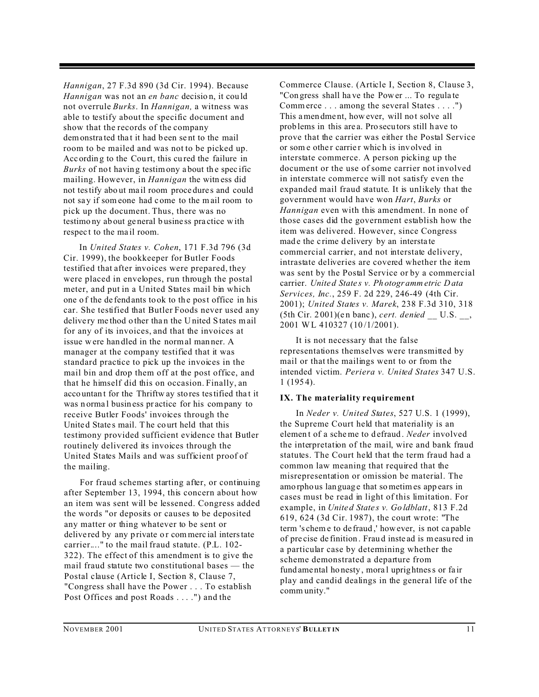*Hannigan*, 27 F.3d 890 (3d Cir. 1994). Because *Hannigan* was not an *en banc* decisio n, it cou ld not overrule *Burks*. In *Hannigan,* a witness was able to testify about the specific document and show that the records of the company demonstrated that it had been sent to the mail room to be mailed and was not to be picked up. According to the Court, this cured the failure in *Burks* of not having testimony about the specific mailing. However, in *Hannigan* the witn ess did not testify abo ut ma il room proce dure s and could not sa y if som eone had c ome to the mail room to pick up the document. Thus, there was no testimo ny ab out ge neral b usine ss pra ctice w ith respect to the mail room.

In *United States v. Cohen*, 171 F.3d 796 (3d Cir. 1999), the bookkeeper for Butler Foods testified that after invoices were prepared, they were placed in envelopes, run through the postal meter, and put in a United States mail bin which one of the defendants to ok to the post office in his car. She testified that Butler Foods never used any delive ry me thod o ther tha n the U nited S tates mail for any of its invoices, and that the invoices at issue were han dled in the normal man ner. A manager at the company testified that it was standard practice to pick up the invoices in the mail bin and drop them off at the post office, and that he himself did this on occasion. Finally, an acco untan t for the Thriftw ay sto res testified tha t it was n orma l busin ess pr actice for his company to receive Butler Foods' invoices through the Unite d State s mail. T he co urt held that this testimony provided sufficient evidence that Butler routinely delivered its invoices through the United States Mails and was sufficient proof of the mailing.

For fraud schemes starting after, or continuing after September 13, 1994, this concern about how an item was sent will be lessened. Congress added the words "or deposits or causes to be deposited any matter or thing whatever to be sent or delive red by any private or commercial interstate carrier...." to the mail fraud statute. (P.L. 102- 322). The effect of this amendment is to give the mail fraud statute two constitutional bases — the Postal clause (Article I, Section 8, Clause 7, "Congress shall have the Power . . . To establish Post Offices and post Roads . . . .") and the

Commerce Clause. (Article I, Section 8, Clause 3, "Con gress shall ha ve the Power ... To regula te Commerce . . . among the several States . . . .") This amen dme nt, how ever, will not solve all prob lems in this are a. Pro secu tors still h ave to prove that the carrier was either the Postal Service or some other carrier which is involved in interstate commerce. A person picking up the document or the use of some carrier not involved in interstate commerce will not satisfy even the expanded mail fraud statute. It is unlikely that the government would have won *Hart*, *Burks* or *Hannigan* even with this amendment. In none of those cases did the government establish how the item was delivered. However, since Congress made the crime delivery by an interstate commercial carrier, and not interstate delivery, intrastate deliveries are covered whether the item was sent by the Postal Service or by a commercial carrier. *Unite d State s v. Ph otogr amm etric Data Services, Inc.*, 259 F. 2d 229, 246-49 (4th Cir. 2001); *United States v. Marek*, 238 F.3d 310, 318 (5th Cir. 2 001)(e n banc ), *cert. denied \_\_* U.S. \_\_, 2001 WL 410327 (10 /1/2001).

It is not necessary that the false representations themselves were transmitted by mail or that the mailings went to or from the intended victim. *Periera v. United States* 347 U.S. 1 (195 4).

#### **IX. The materiality requirement**

In *Neder v. United States*, 527 U.S. 1 (1999), the Supreme Court held that materiality is an elemen t of a scheme to d efraud . *Neder* involved the interpretation of the mail, wire and bank fraud statutes. The Court held that the term fraud had a common law meaning that required that the misrepresentation or omission be material. The amo rpho us lan guag e that sometimes app ears in cases must be read in light of this limitation. For example, in *Unite d State s v. Go ldblatt*, 813 F.2d 619, 624 (3d Cir. 1987), the court wrote: "The term 's chem e to de fraud ,' however, is not ca pable of pre cise de finition . Fraud inste ad is measu red in a particular case by determining whether the scheme demonstrated a departure from fund ame ntal ho nesty , mora l uprig htness or fa ir play and candid dealings in the general life of the comm unity."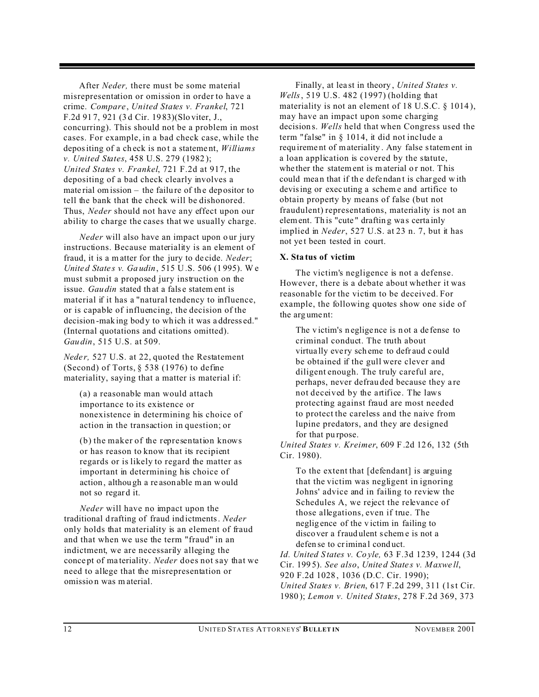After *Neder,* there must be some material misrepresentation or omission in order to have a crime. *Compare*, *United States v. Frankel*, 721 F.2d 91 7, 921 (3 d Cir. 19 83)(Slo viter, J., concurring). This should not be a problem in most cases. For example, in a bad check case, while the depositing of a ch eck is no t a stateme nt, *Williams v. United States*, 458 U.S. 279 (1982 ); *United States v. Frankel*, 721 F.2d at 917, the depositing of a bad check clearly involves a material omission – the failure of the depositor to tell the bank that the check will be dishonored. Thus, *Neder* should not have any effect upon our ability to charge the cases that we usually charge.

*Neder* will also have an impact upon our jury instructions. Because materiality is an element of fraud, it is a m atter for the jury to de cide. *Neder*; *Unite d State s v. Ga udin*, 515 U.S. 506 (1 995). W e must submit a proposed jury instruction on the issue. *Gau din* stated that a false statem ent is material if it has a "natural tendency to influence, or is capable of influencing, the decision of the decision -mak ing bod y to wh ich it was a ddress ed." (Internal quotations and citations omitted). *Gau din*, 515 U.S. at 509.

*Neder*, 527 U.S. at 22, quoted the Restatement (Second) of Torts, § 538 (1976) to define materiality, saying that a matter is material if:

(a) a reasonable man would attach importance to its existence or nonexistence in determining his choice of action in the transaction in question; or

(b) the maker of the representation knows or has reason to know that its recipient regards or is likely to regard the matter as important in determining his choice of action , althou gh a re ason able man would not so regar d it.

*Neder* will have no impact upon the traditional d rafting of fraud ind ictments. *Neder* only holds that materiality is an element of fraud and that when we use the term "fraud" in an indictment, we are necessarily alleging the conce pt of ma teriality. *Neder* does not say that we need to allege that the misrepresentation or omissio n was m aterial.

Finally, at lea st in theory , *United States v. Wells*, 519 U.S. 482 (1997) (holding that materiality is not an element of 18 U.S.C. § 1014 ), may have an impact upon some charging decision s. *Wells* held that when Congress used the term "false" in § 1014, it did not include a requ ireme nt of materiality . Any false statement in a loan application is covered by the statute, whe ther the statement is material or not. This could mean that if the defendant is charged with devising or exec uting a schem e and artifice to obtain property by means of false (but not fraudulent) representations, materiality is not an element. Th is "cute " draftin g wa s certa inly implied in *Neder*, 527 U.S. at 23 n. 7, but it has not ye t been tested in court.

#### **X. Sta tus of victim**

The victim's negligence is not a defense. However, there is a debate about whether it was reasonable for the victim to be deceived. For example, the following quotes show one side of the arg ume nt:

The v ictim's n eglige nce is n ot a de fense to criminal conduct. The truth about virtua lly eve ry sch eme to defr aud c ould be obtained if the gull were clever and diligent enough. The truly careful are, perhaps, never defrau ded because they a re not deceived by the artifice. The laws protecting against fraud are most needed to protect the careless and the naive from lupine predators, and they are designed for that pu rpose.

*United States v. Kreimer*, 609 F .2d 12 6, 132 (5th Cir. 1980).

To the extent that [defendant] is arguing that the victim was negligent in ignoring Johns' advice and in failing to review the Schedules A, we reject the relevance of those allegations, even if true. The neglig ence of the v ictim in failing to disco ver a fraud ulent s chem e is not a defen se to crimina l cond uct.

*Id. United S tates v. Co yle,* 63 F.3d 1239, 1244 (3d Cir. 199 5). *See also*, *Unite d State s v. Maxwe ll*, 920 F.2d 1028 , 1036 (D.C. Cir. 1990); *United States v. Brien*, 617 F.2d 299, 311 (1st Cir. 1980 ); *Lemon v. United States*, 278 F.2d 369, 373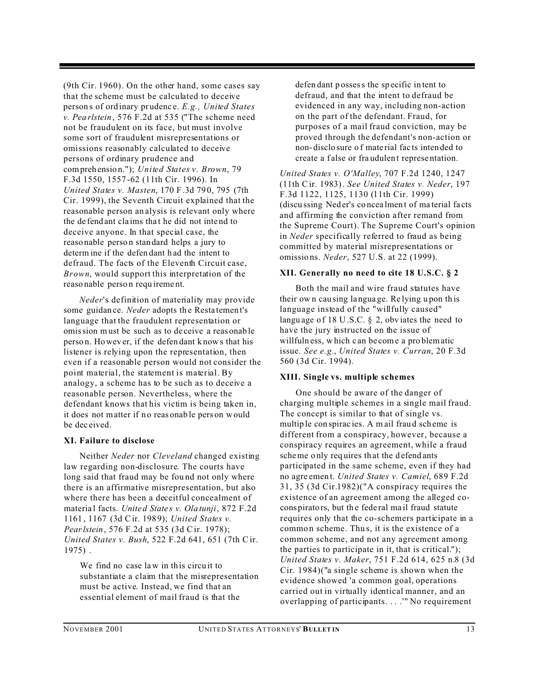(9th Cir. 1960). On the other hand, some cases say that the scheme must be calculated to deceive person s of ord inary pr udenc e. *E.g., United States v. Pea rlstein*, 576 F.2d at 535 ("The scheme need not be fraudulent on its face, but must involve some sort of fraudulent misrepresentations or omissions reasonably calculated to deceive persons of ordinary prudence and compreh ensio n."); *United States v. Brown*, 79 F.3d 1550, 1557 -62 (11th Cir. 1996). In *United States v. Masten*, 170 F .3d 79 0, 795 (7th Cir. 1999), the Seventh Circuit explained that the reasonable person an alysis is relevant only where the de fend ant cla ims tha t he did not inte nd to deceive anyone. In that special case, the reaso nable perso n stan dard helps a jury to determ ine if the defen dant h ad the intent to defraud. The facts of the Eleventh Circuit case, *Brown*, would support this interpretation of the reaso nable perso n requ ireme nt.

*Neder*'s definition of materiality may provide some guidance. *Neder* adopts the Restatement's language that the fraudulent representation or omission must be such as to de ceive a reas onab le perso n. Howev er, if the defen dant k nows that his listener is relying upon the representation, then even if a reasonable person would not consider the point material, the statement is material. By analogy, a scheme has to be such as to deceive a reasonable person. Nevertheless, where the defendant knows that his victim is being taken in, it does not matter if no reasonable pers on would be dec eived.

#### **XI. Failure to disclose**

Neither *Neder* nor *Cleveland* changed existing law regarding non-disclosure. The courts have long said that fraud may be fou nd not only where there is an affirmative misrepresentation, but also where there has been a deceitful concealment of materia l facts. *Unite d State s v. Ola tunji*, 872 F.2d 1161 , 1167 (3d Cir. 198 9); *United States v. Pearlstein*, 576 F.2d at 535 (3d Cir. 1978); *United States v. Bush*, 522 F.2d 641, 651 (7th Cir. 1975) .

We find no case law in this circuit to substantiate a claim that the misrepresentation must be active. Instead, we find that an essential element of mail fraud is that the

defen dant p ossess the sp ecific in tent to defraud, and that the intent to defraud be evidenced in any way, including non-action on the part of the defendant. Fraud, for purposes of a mail fraud conviction, may be proved through the defendant's non-action or non- disclo sure o f mate rial fac ts inten ded to create a f alse or fra udulen t represe ntation.

*United States v. O'Malley*, 707 F.2d 1240, 1247 (11th Cir. 1983). *See United States v. Neder*, 197 F.3d 1122, 1125, 1130 (11th Cir. 1999) (discu ssing Ned er's co ncea lmen t of ma terial fa cts and affirming the conviction after remand from the Supreme Court). The Supreme Court's opinion in *Neder* specifically referred to fraud as being committed by material misrepresentations or omissio ns. *Neder*, 527 U.S. at 22 (1999).

#### **XII. Generally no need to cite 18 U.S.C. § 2**

Both the mail and wire fraud statutes have their ow n cau sing la ngua ge. Re lying u pon th is language instead of the "willfully caused" langu age of 18 U.S.C.  $\S$  2, obviates the need to have the jury instructed on the issue of willfuln ess, which c an be come a pro blematic issue. *See e.g.*, *United States v. Curran*, 20 F.3d 560 (3d Cir. 1994).

#### **XIII. Single vs. multiple schemes**

One should be aware of the danger of charging multiple schemes in a single mail fraud. The concept is similar to that of single vs. multip le conspirac ies. A m ail fraud scheme is different from a conspiracy, however, because a conspiracy requires an agreement, while a fraud scheme only requires that the defendants participated in the same scheme, even if they had no agre emen t. *United States v. Camiel*, 689 F.2d 31, 35 (3d Cir.1982)("A conspiracy requires the existence of an agreement among the alleged cocons pirators, but th e fede ral ma il fraud statute requires only that the co-schemers participate in a common scheme. Thus, it is the existence of a common scheme, and not any agreement among the parties to participate in it, that is critical."); *United States v. Maker*, 751 F.2d 614, 625 n.8 (3d Cir. 1984)("a single scheme is shown when the evidence showed 'a common goal, operations carried out in virtually identical manner, and an overlapping of participants. . . .'" No requirement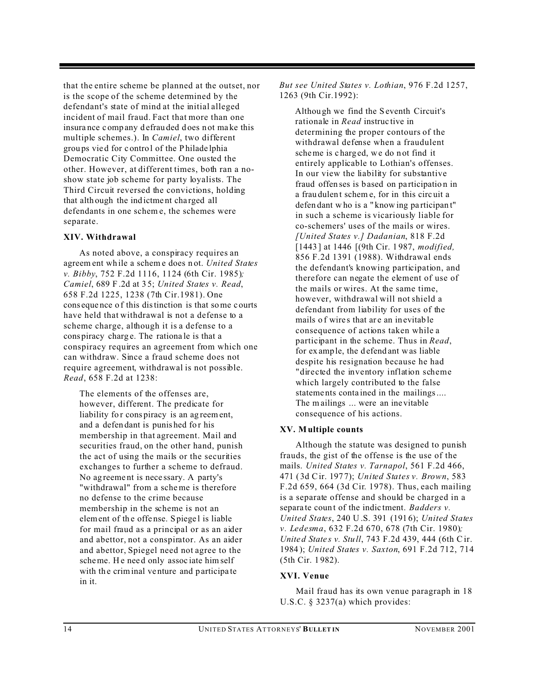that the entire scheme be planned at the outset, nor is the scope of the scheme determined by the defendant's state of mind at the initial alleged incident of mail fraud. Fact that more than one insura nce c omp any d efrau ded d oes n ot ma ke this multiple schemes.). In *Camiel*, two different grou ps vie d for c ontro l of the P hilade lphia Democratic City Committee. One ousted the other. However, at different times, both ran a noshow state job scheme for party loyalists. The Third Circuit reversed the convictions, holding that alth ough the ind ictme nt cha rged all defendants in one schem e, the schemes were separate.

#### **XIV. Withdrawal**

As noted above, a conspiracy requires an agreem ent wh ile a schem e does n ot. *United States v. Bibby*, 752 F.2d 1116, 1124 (6th Cir. 1985)*; Camiel*, 689 F .2d at 3 5; *United States v. Read*, 658 F.2d 1225, 1238 (7th Cir.1981). One cons eque nce o f this distinction is that some c ourts have held that withdrawal is not a defense to a scheme charge, although it is a defense to a cons piracy charg e. The rationa le is that a conspiracy requires an agreement from which one can withdraw. Since a fraud scheme does not require agreement, withdrawal is not possible. *Read*, 658 F.2d at 1238:

The elements of the offenses are, however, different. The predicate for liability for conspiracy is an agreement, and a defendant is punished for his membership in that agreement. Mail and securities fraud, on the other hand, punish the act of using the mails or the securities exchanges to further a scheme to defraud. No ag reeme nt is nece ssary. A party's "withdrawal" from a scheme is therefore no defense to the crime because membership in the scheme is not an element of th e offe nse. Spiege l is liable for mail fraud as a principal or as an aider and abettor, not a conspirator. As an aider and abettor, Spiegel need not agree to the scheme. He need only associate himself with the criminal venture and participate in it.

*But see United States v. Lothian*, 976 F.2d 1257, 1263 (9th Cir.1992):

Althou gh we find the Seventh Circuit's rationale in *Read* instruc tive in determining the proper contours of the withdrawal defense when a fraudulent scheme is c harg ed, we do n ot find it entirely applicable to Lothian's offenses. In our view the liability for substantive fraud offen ses is b ased on pa rticipatio n in a frau dulen t schem e, for in this circ uit a defen dant w ho is a " know ing pa rticipan t" in such a scheme is vicariously liable for co-schemers' uses of the mails or wires. *[United States v.] Dadanian*, 818 F.2d [1443 ] at 1446 [(9th Cir. 1 987, *modified,* 856 F.2d 1391 (1988). Withdrawal ends the defendant's knowing participation, and therefore can negate the element of use of the mails or wires. At the same time, however, withdrawal will not shield a defendant from liability for uses of the mails of wires that are an inevitable consequence of actions taken while a participant in the scheme. Thus in *Read*, for ex amp le, the d efend ant was liable despite his resignation because he had "directed the inventory inflation scheme which largely contributed to the false stateme nts conta ined in the mailings.... The m ailings ... were an ine vitable consequence of his actions.

#### **XV. Multiple counts**

Although the statute was designed to punish frauds, the gist of the offense is the use of the mails. *United States v. Tarnapol*, 561 F.2d 466, 471 ( 3d Cir. 197 7); *United States v. Brown*, 583 F.2d 659, 664 (3d Cir. 1978). Thus, each mailing is a separate offense and should be charged in a separa te count of the indic tment. *Badders v. United States*, 240 U .S. 391 (191 6); *United States v. Ledesma*, 632 F.2d 670, 678 (7th Cir. 1980)*; Unite d State s v. Stu ll*, 743 F.2d 439, 444 (6th Cir. 1984 ); *United States v. Saxton*, 691 F.2d 712, 714 (5th Cir. 1 982).

#### **XVI. Venue**

Mail fraud has its own venue paragraph in 18 U.S.C. § 3237(a) which provides: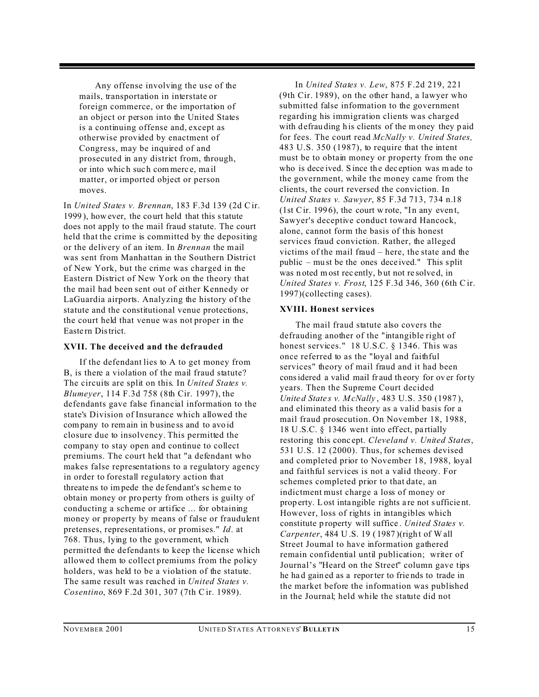Any offense involving the use of the mails, transportation in interstate or foreign commerce, or the importation of an object or person into the United States is a continuing offense and, except as otherwise provided by enactment of Congress, may be inquired of and prosecuted in any district from, through, or into whic h suc h com merc e, ma il matter, or imported object or person moves.

In *United States v. Brennan*, 183 F.3d 139 (2d Cir. 1999 ), how ever, the co urt held that this statute does not apply to the mail fraud statute. The court held that the crime is committed by the depositing or the delivery of an item. In *Brennan* the mail was sent from Manhattan in the Southern District of New York, but the crime was charged in the Eastern District of New York on the theory that the mail had been sent out of either Kennedy or LaGuardia airports. Analyzing the history of the statute and the constitutional venue protections, the court held that venue was not proper in the Easte rn District.

#### **XVII. The deceived and the defrauded**

If the defendant lies to A to get money from B, is there a violation of the mail fraud statute? The circuits are split on this. In *United States v. Blumeyer*, 114 F.3d 758 (8th Cir. 1997), the defendants gave false financial information to the state's Division of Insurance which allowed the company to remain in business and to avoid closure due to insolvency. This permitted the company to stay open and continue to collect premiums. The court held that "a defendant who makes false representations to a regulatory agency in order to forestall regulatory action that threate ns to impede the de fend ant's sc heme to obtain money or pro perty from others is guilty of conducting a scheme or artifice ... for obtaining money or property by means of false or fraudulent pretenses, representations, or promises." *Id*. at 768. Thus, lying to the government, which permitted the defendants to keep the license which allowed them to collect premiums from the policy holders, was held to be a violation of the statute. The same result was reached in *United States v. Cosentino*, 869 F.2d 301, 307 (7th Cir. 1989).

In *United States v. Lew*, 875 F.2d 219, 221 (9th Cir. 1989), on the other hand, a lawyer who submitted false information to the government regarding his immigration clients was charged with defrauding his clients of the money they paid for fees. The court read *McNally v. United States,* 483 U.S. 350 (1987), to require that the intent must be to obtain money or property from the one who is dece ived. Since the deception was made to the government, while the money came from the clients, the court reversed the conviction. In *United States v. Sawyer*, 85 F.3d 713, 734 n.18 (1st Cir. 1996), the court w rote, "In any event, Sawyer's deceptive conduct toward Hancock, alone, cannot form the basis of this honest services fraud conviction. Rather, the alleged victims of the mail fraud – here, the state and the public – must be the ones deceived." This split was n oted m ost rec ently, b ut not re solve d, in *United States v. Frost*, 125 F.3d 346, 360 (6th Cir. 1997)(collecting cases).

#### **XVIII. Honest services**

The mail fraud statute also covers the defrauding another of the "intangible right of honest services." 18 U.S.C. § 1346. This was once referred to as the "loyal and faithful services" theory of mail fraud and it had been considered a valid mail fraud theory for over forty years. Then the Supreme Court decided *Unite d State s v. McNally* , 483 U.S. 350 (1987 ), and eliminated this theory as a valid basis for a mail fraud prosecution. On November 18, 1988, 18 U.S.C.  $\S$  1346 went into effect, partially restoring this conc ept. *Cleveland v. United States*, 531 U.S. 12 (2000). Thus, for schemes devised and completed prior to November 18, 1988, loyal and faithful services is not a valid theory. For schemes completed prior to that date, an indictment must charge a loss of money or prop erty. Lost inta ngible rights a re not s ufficie nt. However, loss of rights in intangibles which constitute p roperty will suffice . *United States v. Carpenter*, 484 U.S. 19 (1987)(right of Wall Street Journal to have information gathered remain confidential until publication; writer of Journal's "Heard on the Street" column gave tips he ha d gain ed as a reporter to frie nds to trade in the market before the information was published in the Journal; held while the statute did not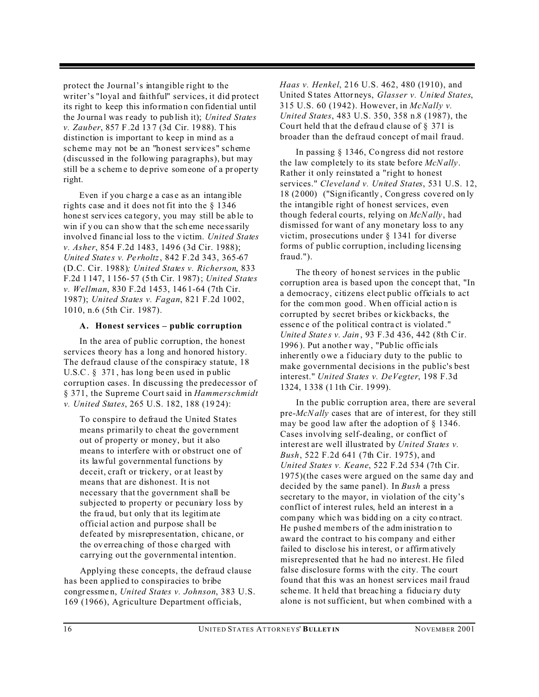protect the Journal's intangible right to the writer's "loyal and faithful" services, it did protect its right to keep this info rmatio n con fiden tial until the Jo urna l was r eady to pub lish it); *United States v. Zauber*, 857 F .2d 13 7 (3d Cir. 19 88). This distinction is important to keep in mind as a scheme may not be an "honest services" scheme (discussed in the following paragraphs), but may still be a s chem e to de prive someone of a pr operty right.

Even if you charge a case as an intangible rights case and it does not fit into the § 1346 hone st serv ices ca tegor y, you may still be ab le to win if you can show that the scheme necessarily involve d financ ial loss to the v ictim. *United States v. Asher*, 854 F.2d 1483, 149 6 (3d Cir. 1988); *Unite d State s v. Pe rholtz*, 842 F.2d 343, 365-67 (D.C. Cir. 1988)*; United States v. Richerson*, 833 F.2d 1 147, 1 156- 57 (5 th Cir. 1 987); *United States v. Wellman*, 830 F.2d 1453, 146 1-64 (7th Cir. 1987); *United States v. Fagan*, 821 F.2d 1002, 1010, n.6 (5th Cir. 1987).

#### **A. Honest services – public corruption**

In the area of public corruption, the honest services theory has a long and honored history. The defraud clause of the conspiracy statute, 18 U.S.C.  $\S$  371, has long be en us ed in public corruption cases. In discussing the predecessor of § 371, the Supreme Court said in *Hammerschmidt v. United States*, 265 U.S. 182, 188 (19 24):

To conspire to defraud the United States means primarily to cheat the government out of property or money, but it also means to interfere with or obstruct one of its lawful governmental functions by deceit, craft or trickery, or at least by means that are dishonest. It is not necessary that the government shall be subjected to property or pecuniary loss by the fra ud, bu t only th at its legitim ate official action and purpose shall be defeated by misrepresentation, chicane, or the ov errea ching of thos e cha rged with carrying out the governmental intention.

Applying these concepts, the defraud clause has been applied to conspiracies to bribe congr essme n, *United States v. Johnson*, 383 U.S. 169 (1966), Agriculture Department officials,

*Haas v. Henkel*, 216 U.S. 462, 480 (1910), and United S tates Attor neys, *Glasser v. United States*, 315 U.S. 60 (1942). However, in *McNally v. United States*, 483 U.S. 350, 358 n.8 (1987), the Court held that the defraud clause of  $\S$  371 is broader than the defraud concept of mail fraud.

In passing § 1346, Co ngress did not restore the law completely to its state before *McNally*. Rather it only reinstated a "right to honest services." *Cleveland v. United States*, 531 U.S. 12, 18 (2 000) ("Sign ificantly , Con gress cove red on ly the intangible right of honest services, even though federal courts, relying on *McNally*, had dismissed for want of any monetary loss to any victim, prosecutions under § 1341 for diverse forms of public corruption, including licensing fraud.").

The theory of honest services in the public corruption area is based upon the concept that, "In a democracy, citizens elect public officials to act for the common good. When official action is corrupted by secret bribes or kickbacks, the essenc e of the p olitical contra ct is violated ." *Unite d State s v. Jain* , 93 F.3d 436, 442 (8th Cir. 1996). Put a nother way, "Pub lic officials inher ently owe a fiducia ry duty to the public to make governmental decisions in the public's best interest." *United States v. DeVegter*, 198 F.3d 1324, 1 338 (1 1th Cir. 19 99).

In the public corruption area, there are several pre-*McNally* cases that are of inter est, for they still may be good law after the adoption of § 1346. Cases involving self-dealing, or conflict of interest are well illustrated by *United States v. Bush*, 522 F.2d 641 (7th Cir. 1975), and *United States v. Keane*, 522 F.2d 534 (7th Cir. 1975)(the cases were argued on the same day and decided by the same panel). In *Bush* a press secretary to the mayor, in violation of the city's conflict of interest rules, held an interest in a company whic h wa s bidd ing on a city co ntract. He pushed members of the administration to award the contract to his company and either failed to disclose his interest, or affirm atively misrepresented that he had no interest. He filed false disclosure forms with the city. The court found that this was an honest services mail fraud scheme. It h eld that breaching a fiduciary du ty alone is not sufficient, but when combined with a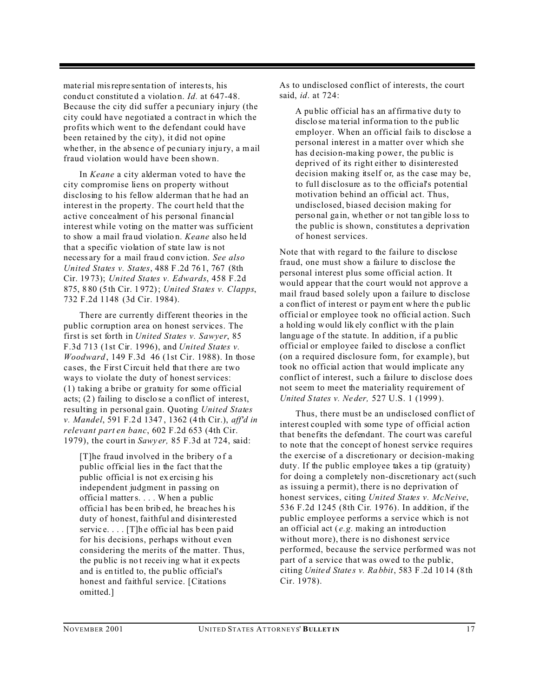mate rial misrepre senta tion of interests, his condu ct constitute d a violatio n. *Id.* at 647-48. Because the city did suffer a pecuniary injury (the city could have negotiated a contract in which the profits which went to the defendant could have been retained by the city), it did not opine whe ther, in the absence of pe cuniary injury, a mail fraud violation would have been shown.

In *Keane* a city alderman voted to have the city compromise liens on property without disclosing to his fellow alderman that he had an interest in the property. The court held that the active concealment of his personal financial interest while voting on the matter was sufficient to show a mail fra ud violatio n. *Keane* also he ld that a specific violation of state law is not necess ary for a mail frau d conv iction. *See also United States v. States*, 488 F .2d 76 1, 767 (8th Cir. 19 73); *United States v. Edwards*, 458 F.2d 875, 8 80 (5 th Cir. 1 972); *United States v. Clapps*, 732 F.2d 1148 (3d Cir. 1984).

There are currently different theories in the public corruption area on honest services. The first is set forth in *United States v. Sawyer*, 85 F.3d 713 (1st Cir. 1996), and *United States v. Woodward* , 149 F.3d 46 (1st Cir. 1988). In those cases, the First Circuit held that there are two ways to violate the duty of honest services: (1) taking a bribe or gratuity for some official acts; (2 ) failing to disclo se a co nflict of interest, resulting in personal gain. Quoting *United States v. Mandel*, 591 F.2 d 1347 , 1362 (4 th Cir.), *aff'd in relevant part en banc*, 602 F.2d 653 (4th Cir. 1979), the court in *Sawy er,* 85 F.3d at 724, said:

[T]he fraud involved in the bribery o f a public official lies in the fact that the public official is not exercising his independent judgment in passing on officia l matters. . . . When a public officia l has be en brib ed, he breac hes h is duty of honest, faithful and disinterested service.... [T]he official has been paid for his decisions, perhaps without even considering the merits of the matter. Thus, the pu blic is no t receiv ing what it ex pects and is en titled to, the pu blic official's honest and faithful service. [Citations omitted.]

As to undisclosed conflict of interests, the court said, *id*. at 724:

A pu blic official ha s an affirma tive du ty to disclose material information to the public employer. When an official fails to disclose a personal interest in a matter over which she has decision-making power, the public is deprived of its right either to disinterested decision making itself or, as the case may be, to full disclosure as to the official's potential motivation behind an official act. Thus, undisclosed, biased decision making for perso nal ga in, wh ether o r not tan gible lo ss to the public is shown, constitutes a deprivation of honest services.

Note that with regard to the failure to disclose fraud, one must show a failure to disclose the personal interest plus some official action. It would appear that the court would not approve a mail fraud based solely upon a failure to disclose a con flict of interest or paym ent where the public official or employee took no official action. Such a hold ing would lik ely co nflict with the p lain langu age of the statute. In addition, if a public official or employee failed to disclose a conflict (on a required disclosure form, for example), but took no official action that would implicate any conflict of interest, such a failure to disclose does not seem to meet the materiality requirement of *United S tates v. Ne der,* 527 U.S. 1 (1999 ).

Thus, there must be an undisclosed conflict of interest coupled with some type of official action that benefits the defendant. The court was careful to note that the concept of honest service requires the exercise of a discretionary or decision-making duty. If the public employee takes a tip (gratuity) for doing a completely non-discretionary act (such as issuing a permit), there is no deprivation of honest services, citing *United States v. McNeive*, 536 F.2d 1245 (8th Cir. 1976). In addition, if the public employee performs a service which is not an official act ( *e.g.* making an introduction without more), there is no dishonest service performed, because the service performed was not part of a service that was owed to the public, citing *Unite d State s v. Ra bbit*, 583 F .2d 10 14 (8 th Cir. 1978).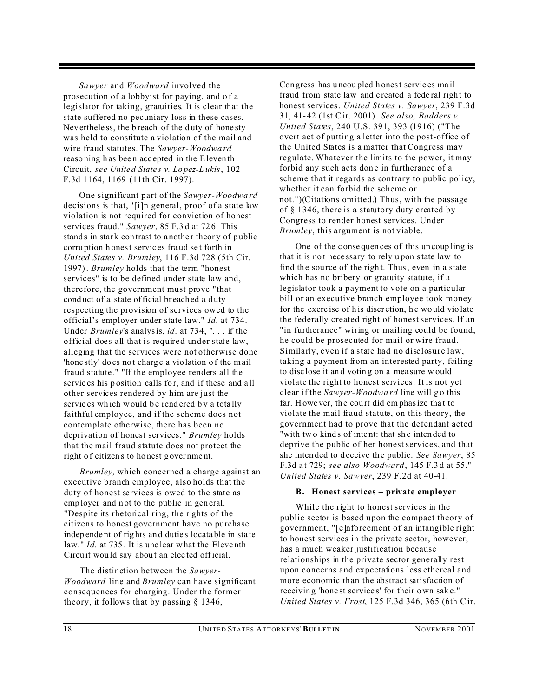*Sawyer* and *Woodward* involved the prosecution of a lobbyist for paying, and o f a legislator for taking, gratuities. It is clear that the state suffered no pecuniary loss in these cases. Nev erthele ss, the breach of the duty of hone sty was held to constitute a violation of the mail and wire fraud statutes. The *Sawyer-Woodwa rd* reaso ning h as bee n acc epted in the Eleven th Circuit, *see Unite d State s v. Lo pez-L ukis*, 102 F.3d 1164, 1169 (11th Cir. 1997).

One significant part of the *Sawyer-Woodwa rd* decisions is that, "[i]n general, proof of a state law violation is not required for conviction of honest services fraud." *Sawyer*, 85 F.3 d at 72 6. This stands in stark contrast to a nother theory of public corru ption h onest servic es fra ud se t forth in *United States v. Brumley*, 116 F.3d 728 (5th Cir. 1997). *Brumley* holds that the term "honest services" is to be defined under state law and, therefore, the government must prove "that conduct of a state of ficial breached a duty respecting the provision of services owed to the official's employer under state law." *Id.* at 734. Under *Brumley*'s analysis, *id*. at 734, ". . . if the official does all that is required under state law, alleging that the services were not otherwise done 'hone stly' do es not charge a vio lation of the mail fraud statute." "If the employee renders all the servic es his p osition calls for, and if these and all other services rendered by him are just the servic es which would be rendered by a totally faithful employee, and if the scheme does not contemplate otherwise, there has been no deprivation of honest services." *Brumley* holds that the mail fraud statute does not protect the right of citizens to honest government.

*Brumley,* which concerned a charge against an executive branch employee, also holds that the duty of honest services is owed to the state as employer and not to the public in general. "Despite its rhetorical ring, the rights of the citizens to honest government have no purchase indep ende nt of rig hts an d dutie s locata ble in sta te law." *Id.* at 735. It is unclear what the Eleventh Circu it would say about an elected official.

The distinction between the *Sawyer-Woodward* line and *Brumley* can have significant consequences for charging. Under the former theory, it follows that by passing § 1346,

Con gress has uncou pled h onest servic es ma il fraud from state law and c reated a fede ral righ t to honest services. *United States v. Sawyer*, 239 F.3d 31, 41- 42 (1st Cir. 2001). *See also, Badders v. United States*, 240 U.S. 391, 393 (1916) ("The overt act of putting a letter into the post-office of the United States is a matter that Congress may regulate. Whatever the limits to the power, it may forbid any such acts don e in furtherance of a scheme that it regards as contrary to public policy, whether it can forbid the scheme or not.")(Citations omitted.) Thus, with the passage of § 1346, there is a statutory duty created by Congress to render honest services. Under *Brumley*, this argument is not viable.

One of the c onse quen ces of this un coup ling is that it is no t nece ssary to rely u pon state law to find the source of the right. Thus, even in a state which has no bribery or gratuity statute, if a legislator took a payment to vote on a particular bill or an executive branch employee took money for the exercise of his discretion, he would violate the federally created right of honest services. If an "in furtherance" wiring or mailing could be found, he could be prosecuted for mail or wire fraud. Similarly, even if a state had no disclosure law, taking a payment from an interested party, failing to disc lose it an d votin g on a mea sure w ould violate the right to honest services. It is not yet clear if the *Sawyer-Woodwa rd* line will g o this far. However, the court did emphasize that to violate the mail fraud statute, on this theory, the government had to prove that the defendant acted "with two kinds of intent: that she intended to deprive the public of her honest services, and that she intended to deceive the public. *See Sawyer*, 85 F.3d a t 729; *see also Woodward*, 145 F.3 d at 55." *United States v. Sawyer*, 239 F.2d at 40-41.

#### **B. Honest services – private employer**

While the right to honest services in the public sector is based upon the compact theory of government, "[e]nforcement of an intangible right to honest services in the private sector, however, has a much weaker justification because relationships in the private sector generally rest upon concerns and expectations less ethereal and more economic than the abstract satisfaction of receivin g 'hone st service s' for their own sak e." *United States v. Frost*, 125 F.3d 346, 365 (6th Cir.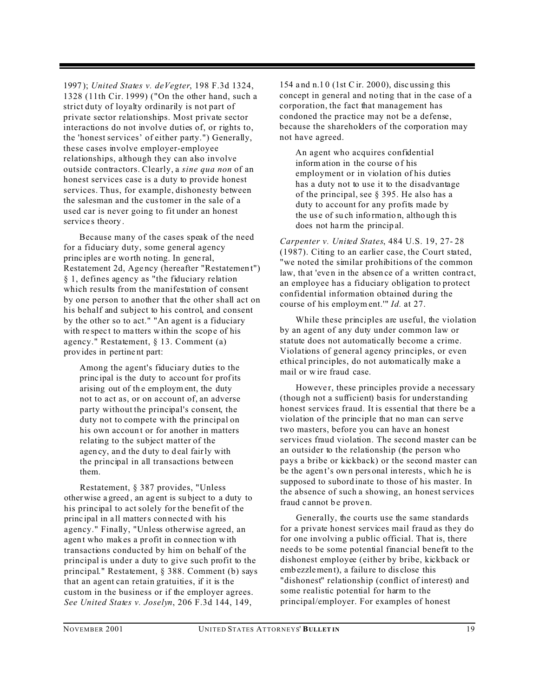1997 ); *United States v. deVegter*, 198 F.3d 1324, 1328 (11th Cir. 1999) ("On the other hand, such a strict duty of loyalty ordinarily is not part of private sector relationships. Most private sector interactions do not involve duties of, or rights to, the 'honest services' of either party.") Generally, these cases involve employer-employee relationships, although they can also involve outside contractors. Clearly, a *sine qua non* of an honest services case is a duty to provide honest services. Thus, for example, dishonesty between the salesman and the customer in the sale of a used car is never going to fit under an honest services theory.

Because many of the cases speak of the need for a fiduciary duty, some general agency princ iples are worth no ting. In general, Restatement 2d, Age ncy (hereafter "Restatemen t") § 1, defines agency as "the fiduciary relation which results from the manifestation of consent by one person to another that the other shall act on his behalf and subject to his control, and consent by the other so to act." "An agent is a fiduciary with respect to matters within the scope of his agency." Restatement, § 13. Comment (a) prov ides in pertine nt part:

Among the agent's fiduciary duties to the principal is the duty to account for profits arising out of the employment, the duty not to act as, or on account of, an adverse party without the principal's consent, the duty not to compete with the principal on his own accoun t or for another in matters relating to the subject matter of the agency, and the duty to deal fairly with the principal in all transactions between them.

Restatement, § 387 provides, "Unless otherwise a greed , an ag ent is su bject to a duty to his principal to act solely for the benefit of the princ ipal in a ll matters con necte d with his agency." Finally, "Unless otherwise agreed, an agent who makes a profit in connection with transactions conducted by him on behalf of the principal is under a duty to give such profit to the principal." Restatement, § 388. Comment (b) says that an agent can retain gratuities, if it is the custom in the business or if the employer agrees. *See United States v. Joselyn*, 206 F.3d 144, 149,

154 a nd n.1 0 (1st Cir. 200 0), disc ussing this concept in general and no ting that in the case of a corporation, the fact that management has condoned the practice may not be a defense, because the shareholders of the corporation may not have agreed.

An agent who acquires confidential inform ation in the course of his employment or in violation of his duties has a duty not to use it to the disadvantage of the principal, see § 395. He also has a duty to account for any profits made by the us e of su ch info rmatio n, altho ugh th is does not ha rm the princip al.

*Carpenter v. United States*, 484 U.S. 19, 27- 28 (1987). Citing to an earlier case, the Court stated, "we noted the similar prohibitions of the common law, that 'even in the absence of a written contract, an employee has a fiduciary obligation to protect confidential information obtained during the course of his employm ent.'" *Id.* at 27.

While these principles are useful, the violation by an agent of any duty under common law or statute does not automatically become a crime. Violations of general agency principles, or even ethical principles, do not automatically make a mail or w ire fraud case.

However, these principles provide a necessary (though not a sufficient) basis for understanding honest services fraud. It is essential that there be a violation of the principle that no man can serve two masters, before you can have an honest services fraud violation. The second master can be an outsider to the relationship (the person who pays a bribe or kickback) or the second master can be the agen t's own pers onal in terests, whic h he is supposed to subord inate to those of his master. In the absence of such a showing, an honest services fraud cannot be proven.

Generally, the courts use the same standards for a private honest services mail fraud as they do for one involving a public official. That is, there needs to be some potential financial benefit to the dishonest employee (either by bribe, kickback or emb ezzlemen t), a failu re to dis close this "dishonest" relationship (conflict of interest) and some realistic potential for harm to the principal/employer. For examples of honest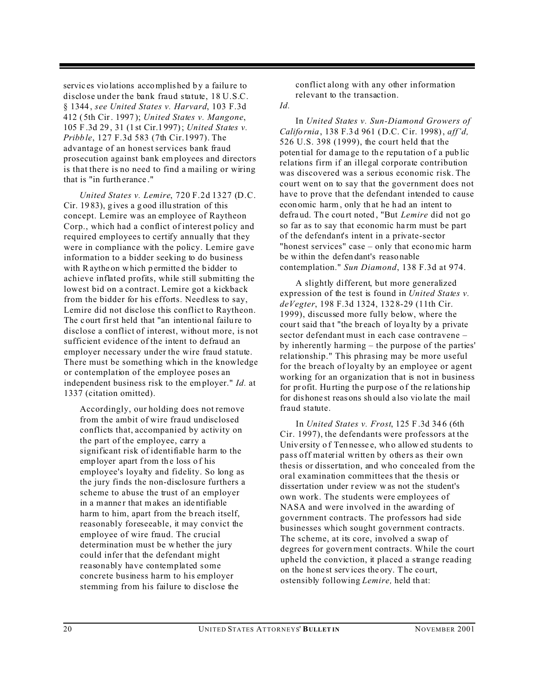servic es vio lations accomplished by a failure to disclose under the bank fraud statute, 18 U.S.C. § 1344 , *see United States v. Harvard*, 103 F.3d 412 ( 5th Cir. 1997 ); *United States v. Mangone*, 105 F .3d 29 , 31 (1 st Cir.1 997); *United States v. Pribb le*, 127 F.3d 583 (7th Cir.1997). The advantage of an honest services bank fraud prosecution against bank em ployees and directors is that there is no need to find a mailing or wiring that is "in furth erance ."

*United States v. Lemire*, 720 F.2d 1327 (D.C. Cir. 19 83), g ives a g ood illu stration of this concept. Lemire was an employee of Raytheon Corp., which had a conflict of interest policy and required employees to certify annually that they were in compliance with the policy. Lemire gave information to a bidder seeking to do business with Raythe on which permitted the bidder to achieve inflated profits, while still submitting the lowest bid on a contract. Lemire got a kickback from the bidder for his efforts. Needless to say, Lemire did not disclose this conflict to Raytheon. The c ourt first held that "an intentio nal failu re to disclose a conflict of interest, without more, is not sufficient evidence of the intent to defraud an employer necessary under the wire fraud statute. There must be something which in the knowledge or contemplation of the employee poses an independent business risk to the employer." *Id.* at 1337 (citation omitted).

Accordingly, our holding does not remove from the ambit of wire fraud undisclosed conflicts that, accompanied by activity on the part of the employee, carry a significant risk of identifiable harm to the employer apart from the loss of his employee's loyalty and fidelity. So long as the jury finds the non-disclosure furthers a scheme to abuse the trust of an employer in a manner that makes an identifiable harm to him, apart from the breach itself, reasonably foreseeable, it may convict the employee of wire fraud. The crucial determination must be whether the jury could infer that the defendant might reasonably have contemplated some concrete business harm to his employer stemming from his failure to disclose the

conflict along with any other information relevant to the transaction.

*Id.*

In *United States v. Sun-Diamond Growers of Califo rnia*, 138 F.3 d 961 (D.C. Cir. 1998), *aff'd,* 526 U.S. 398 (1999), the court held that the poten tial for dama ge to the reputation of a public relations firm if an illegal corporate contribution was discovered was a serious economic risk. The court went on to say that the government does not have to prove that the defendant intended to cause econ omic harm, only th at he h ad an intent to defra ud. Th e cou rt noted , "But *Lemire* did not go so far as to say that economic ha rm must be part of the defendant's intent in a private-sector "honest services" case – only that economic harm be within the defen dant's reaso nable contemplation." *Sun Diamond*, 138 F.3d at 974.

A slightly different, but more generalized expression of the test is found in *United States v. deVegter*, 198 F.3d 1324, 132 8-29 (11th Cir. 1999), discussed more fully below, where the court said that "the breach of loyalty by a private sector defendant must in each case contravene – by inherently harming – the purpose of the parties' relationship." This phrasing may be more useful for the breach of loyalty by an employee or agent working for an organization that is not in business for pr ofit. Hu rting th e purp ose o f the re lations hip for dis hone st reas ons sh ould a lso vio late the mail fraud statute.

In *United States v. Frost*, 125 F .3d 34 6 (6th Cir. 1997), the defendants were professors at the Univ ersity o f Ten nesse e, wh o allow ed stu dents to pass off material written by others as their own thesis or dissertation, and who concealed from the oral examination committees that the thesis or dissertation under review w as not the student's own work. The students were employees of NASA and were involved in the awarding of government contracts. The professors had side businesses which sought government contracts. The scheme, at its core, involved a swap of degrees for government contracts. While the court upheld the conviction, it placed a strange reading on the hone st serv ices the ory. The co urt, ostensibly following *Lemire,* held th at: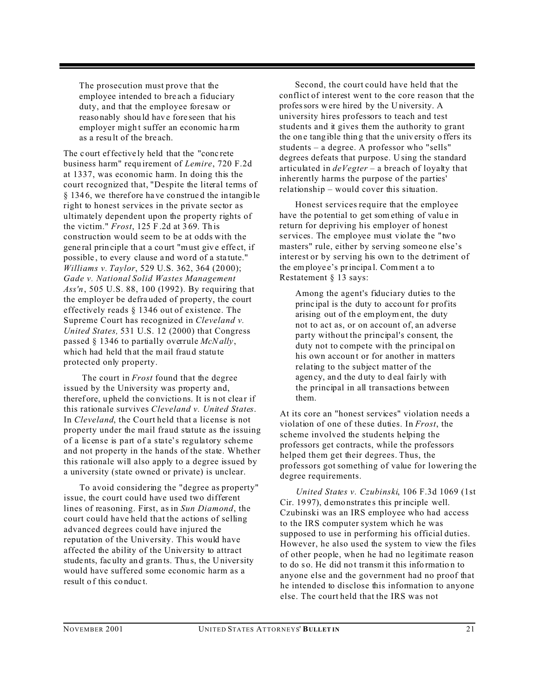The prosecution must prove that the employee intended to bre ach a fiduciary duty, and that the employee foresaw or reaso nably shou ld hav e fore seen that his employer might suffer an economic harm as a resu lt of the bre ach.

The c ourt effective ly held that the "conc rete business harm" requ irement of *Lemire*, 720 F.2d at 1337, was economic harm. In doing this the court recognized that, "Despite the literal terms of § 134 6, we theref ore ha ve co nstrue d the in tangib le right to honest services in the private sector as ultimately dependent upon the property rights of the victim." *Frost*, 125 F .2d at 3 69. Th is construction would seem to be at odds with the gene ral prin ciple th at a court "must giv e effe ct, if possible , to every clause a nd wo rd of a sta tute." *Williams v. Taylor*, 529 U.S. 362, 364 (20 00); *Gade v. National Solid Wastes Management Ass'n*, 505 U.S. 88, 100 (1992). By requiring that the employer be defra uded of property, the court effectively reads § 1346 out of existence. The Supreme Court has recognized in *Cleveland v. United States,* 531 U.S. 12 (2000) that Congress passed § 1346 to partially overrule *McNally*, which had held that the mail fraud statute protected only property.

 The court in *Frost* found that the degree issued by the University was property and, therefore, upheld the convictions. It is not clear if this rationale survives *Cleveland v. United States*. In *Cleveland*, the Court held that a license is not property under the mail fraud statute as the issuing of a license is part of a state's regulatory scheme and not property in the hands of the state. Whether this rationale will also apply to a degree issued by a university (state owned or private) is unclear.

To avoid considering the "degree as property" issue, the court could have used two different lines of reasoning. First, as in *Sun Diamond*, the court could have held that the actions of selling advanced degrees could have injured the reputation of the University. This would have affected the ability of the University to attract stude nts, fac ulty an d gran ts. Thu s, the U niversity would have suffered some economic harm as a result o f this co nduc t.

Second, the court could have held that the conflict of interest went to the core reason that the professors were hired by the U niversity. A university hires professors to teach and test students and it gives them the authority to grant the one tangible thing that the university offers its students – a degree. A professor who "sells" degrees defeats that purpose. U sing the standard articulated in *deVegter* – a breach of loyalty that inherently harms the purpose of the parties' relationship – would cover this situation.

Honest services require that the employee have the potential to get something of value in return for depriving his employer of honest services. The employee must violate the "two masters" rule, either by serving someo ne else's interest or by serving his own to the detriment of the employe e's principa l. Commen t a to Restatement § 13 says:

Among the agent's fiduciary duties to the principal is the duty to account for profits arising out of th e employm ent, the duty not to act as, or on account of, an adverse party without the principal's consent, the duty not to compete with the principal on his own account or for another in matters relating to the subject matter of the agen cy, and the duty to deal fairly with the principal in all transactions between them.

At its core an "honest services" violation needs a violation of one of these duties. In *Frost*, the scheme involved the students helping the professors get contracts, while the professors helped them get their degrees. Thus, the professors got something of value for lowering the degree requirements.

*United States v. Czubinski*, 106 F.3d 1069 (1st Cir. 19 97), d emo nstrate s this principle well. Czubinski was an IRS employee who had access to the IRS computer system which he was supposed to use in performing his official duties. However, he also used the system to view the files of other people, when he had no legitimate reason to do so. He did not transm it this information to anyone else and the government had no proof that he intended to disclose this information to anyone else. The court held that the IRS was not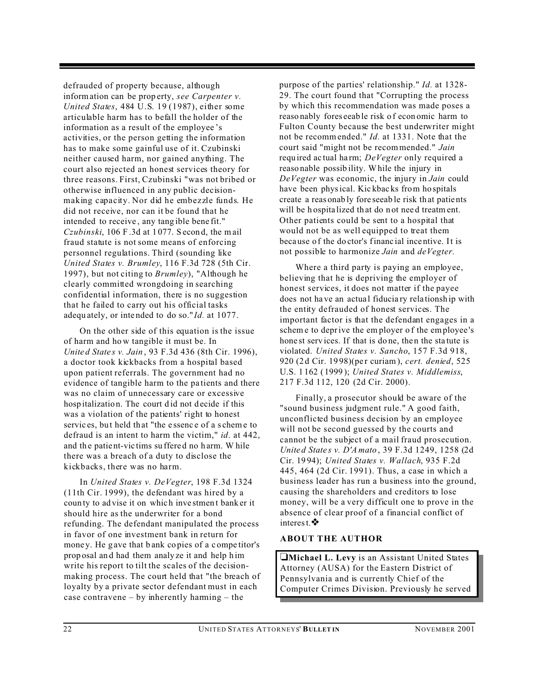defrauded of property because, although information can be prop erty, *see Carpenter v. United States*, 484 U.S. 19 (1987), either some articulable harm has to befall the holder of the information as a result of the employee 's activities, or the person getting the information has to make some gainful use of it. Czubinski neither caused harm, nor gained anything. The court also rejected an honest services theory for three reasons. First, Czubinski "was not bribed or otherwise influenced in any public decisionmaking capacity. Nor did he embezzle funds. He did not receive, nor can it be found that he intended to receive , any tang ible bene fit." *Czubinski*, 106 F .3d at 1 077. S econ d, the m ail fraud statute is not some means of enforcing personnel regulations. Third (sounding like *United States v. Brumley*, 116 F.3d 728 (5th Cir. 1997), but not citing to *Brumley*), "Although he clearly committed wrongdoing in searching confidential information, there is no suggestion that he failed to carry out his official tasks adequ ately, or inte nded to do so." *Id.* at 1077.

On the other side of this equation is the issue of harm and ho w tangible it must be. In *Unite d State s v. Jain* , 93 F.3d 436 (8th Cir. 1996), a doctor took kickbacks from a hospital based upon patient referrals. The government had no evidence of tangible harm to the pa tients and there was no claim of unnecessary care or excessive hosp italization. The court did not decide if this was a violation of the patients' right to honest servic es, but held that "the essence of a scheme to defraud is an intent to harm the victim," *id*. at 442, and the patient-vic tims su ffered no harm. While there was a breach of a duty to disclose the kickbacks, there was no harm.

In *United States v. DeVegter*, 198 F.3d 1324 (11th Cir. 1999), the defendant was hired by a coun ty to ad vise it on which inve stmen t bank er it should hire as the underwriter for a bond refunding. The defendant manipulated the process in favor of one investment bank in return for mone y. He gave that b ank copies of a competitor's prop osal an d had them analy ze it and help h im write his report to tilt the scales of the decisionmaking process. The court held that "the breach of loyalty by a private sector defendant must in each case contravene – by inherently harming – the

purpose of the parties' relationship." *Id.* at 1328- 29. The court found that "Corrupting the process by which this recommendation was made poses a reaso nably fores eeab le risk o f econ omic harm to Fulton County because the best underwriter might not be recomm ended." *Id.* at 1331. Note that the court said "might not be recommended." *Jain* requ ired ac tual ha rm; *DeVegter* only required a reaso nable possib ility. While the injury in *DeVegter* was economic, the injury in *Jain* could have been physical. Kic kbac ks from ho spitals create a reas onab ly fore seeab le risk th at patie nts will be h ospita lized th at do n ot nee d treatm ent. Other patients could be sent to a hospital that would not be as well equipped to treat them beca use o f the do ctor's financ ial ince ntive. It is not possible to harmonize *Jain* and *deVegter.*

Where a third party is paying an employee, believing that he is depriving the employer of honest services, it does not matter if the payee does not ha ve an actua l fiducia ry rela tionsh ip with the entity defrauded of honest services. The important factor is that the defendant engages in a scheme to deprive the employer of the employee's hone st services. If that is do ne, then the statute is violated. *United States v. Sancho*, 157 F.3d 918, 920 (2 d Cir. 19 98)(pe r curiam), *cert. denied*, 525 U.S. 1 162 ( 1999 ); *United States v. Middlemiss*, 217 F.3d 112, 120 (2d Cir. 2000).

Finally, a prosecutor should be aware of the "sound business judgment rule." A good faith, unconflicted business decision by an employee will not be second guessed by the courts and cannot be the subject of a mail fraud prosecution. *Unite d State s v. D'A mato* , 39 F.3d 1249, 1258 (2d Cir. 19 94); *United States v. Wallach*, 935 F.2d 445, 464 (2d Cir. 1991). Thus, a case in which a business leader has run a business into the ground, causing the shareholders and creditors to lose money, will be a very difficult one to prove in the absence of clear proof of a financial conflict of interest.

#### **ABOUT THE AUTHOR**

**Michael L. Levy** is an Assistant United States Attorney (AUSA) for the Eastern District of Pennsylvania and is currently Chief of the Computer Crimes Division. Previously he served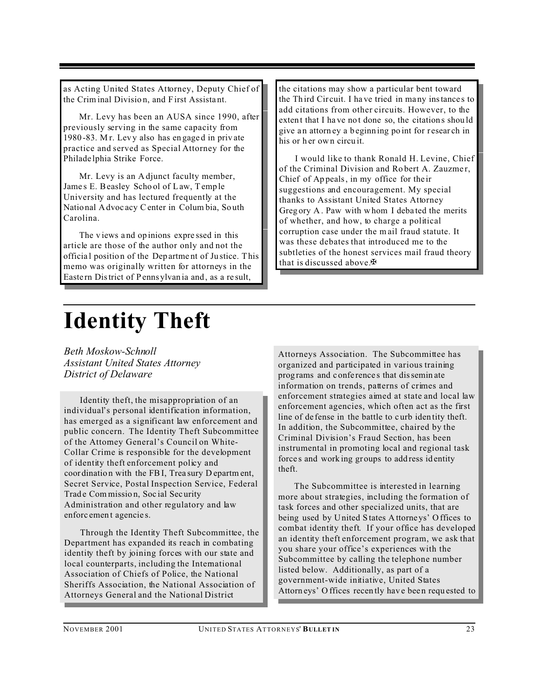as Acting United States Attorney, Deputy Chief of the Criminal Divisio n, and F irst Assista nt.

Mr. Levy has been an AUSA since 1990, after previously serving in the same capacity from 1980 -83. M r. Lev y also has en gage d in priv ate practice and served as Special Attorney for the Philade lphia Strike Force.

Mr. Levy is an A djunct faculty member, Jame s E. Beasley Scho ol of Law, Temp le University and has lectured frequently at the Natio nal Advoc acy Center in Colum bia, So uth Carolina.

The v iews a nd op inions expre ssed in this article are those of the author only and not the officia l positio n of the Dep artme nt of Ju stice. This memo was originally written for attorneys in the Easte rn District of Penns ylvan ia and , as a re sult,

the citations may show a particular bent toward the Th ird Cir cuit. I ha ve tried in ma ny instance s to add citations from other circuits. However, to the extent that I have not done so, the citations should give an attorn ey a b eginning po int for resear ch in his or her own circuit.

I would like to thank Ronald H. Levine, Chief of the Criminal Division and Robert A. Zauzmer, Chief of Ap peals, in my office for the ir suggestions and encouragement. My special thanks to Assistant United States Attorney Greg ory A . Paw with w hom I deba ted the merits of whether, and how, to charge a political corruption case under the m ail fraud statute. It was these debates that introduced me to the subtleties of the honest services mail fraud theory that is discussed above. $\mathbb{F}$ 

### **Identity Theft**

*Beth Moskow-Schnoll Assistant United States Attorney District of Delaware*

Identity theft, the misappropriation of an individual's personal identification information, has emerged as a significant law enforcement and public concern. The Identity Theft Subcommittee of the Attorney General's Council on White-Collar Crime is responsible for the development of identity theft enforcement policy and coor dinatio n with the FBI, Trea sury D epartm ent, Secret Service, Postal Inspection Service, Federal Trade Commission, Social Security Administration and other regulatory and law enforc emen t agencie s.

Through the Identity Theft Subcommittee, the Department has expanded its reach in combating identity theft by joining forces with our state and local counterparts, including the International Association of Chiefs of Police, the National Sheriffs Association, the National Association of Attorneys General and the National District

Attorneys Association. The Subcommittee has organized and participated in various training prog rams and c onfe rence s that dissemin ate information on trends, patterns of crimes and enforcement strategies aimed at state and local law enforcement agencies, which often act as the first line of de fense in the battle to c urb iden tity theft. In addition, the Subcommittee, chaired by the Criminal Division's Fraud Section, has been instrumental in promoting local and regional task force s and work ing gr oups to add ress id entity theft.

The Subcommittee is interested in learning more about strategies, including the formation of task forces and other specialized units, that are being used by United S tates Attorneys' Offices to combat identity theft. If your office has developed an identity theft enforcement program, we ask that you share your office's experiences with the Subcommittee by calling the telephone number listed below. Additionally, as part of a government-wide initiative, United States Attorn eys' O ffices recently have been requested to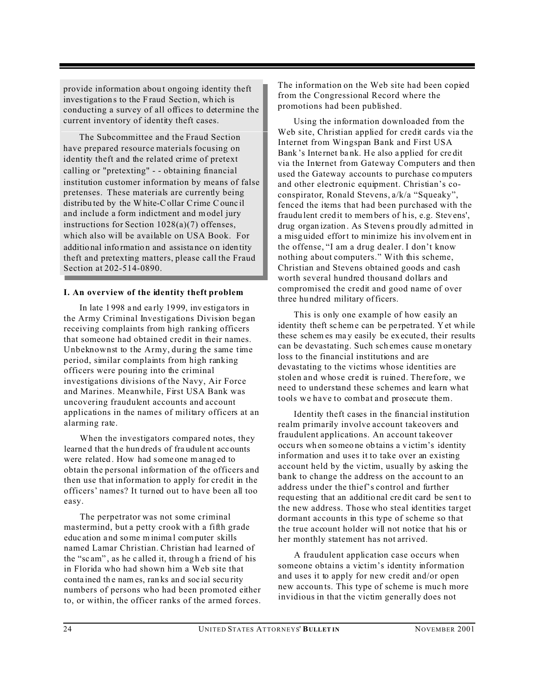provide information about ongoing identity theft investigations to the F raud Section, which is conducting a survey of all offices to determine the current inventory of identity theft cases.

The Subcommittee and the Fraud Section have prepared resource materials focusing on identity theft and the related crime of pretext calling or "pretexting" - - obtaining financial institution customer information by means of false pretenses. These materials are currently being distribu ted by the White-Collar Crime Counc il and include a form indictment and model jury instructions for Section 1028(a)(7) offenses, which also will be available on USA Book. For additio nal info rmatio n and assista nce o n iden tity theft and pretexting matters, please call the Fraud Section at 202-514-0890.

#### **I. An overview of the identity theft problem**

In late 1 998 a nd ea rly 19 99, inv estiga tors in the Army Criminal Investigations Division began receiving complaints from high ranking officers that someone had obtained credit in their names. Unbeknownst to the Army, during the same time period, similar complaints from high ranking officers were pouring into the criminal investigations divisions of the Navy, Air Force and Marines. Meanwhile, First USA Bank was uncovering fraudulent accounts and account applications in the names of military officers at an alarming rate.

When the investigators compared notes, they learned that the hundreds of fraudulent accounts were related . How had some one m anag ed to obtain the personal information of the officers and then use that information to apply for credit in the officers' names? It turned out to have been all too easy.

The perpetrator was not some criminal mastermind, but a petty crook with a fifth grade educ ation a nd some minima l computer skills named Lamar Christian. Christian had learned of the "sc am", as he called it, through a friend of his in Florida who had shown him a Web site that conta ined th e nam es, ran ks an d soc ial secu rity numbers of persons who had been promoted either to, or within, the officer ranks of the armed forces.

The information on the Web site had been copied from the Congressional Record where the promotions had been published.

Using the information downloaded from the Web site, Christian applied for credit cards via the Internet from Wingspan Bank and First USA Bank 's Inte rnet ba nk. He also a pplied for cre dit via the Internet from Gateway Computers and then used the Gateway accounts to purchase computers and other electronic equipment. Christian's coconspirator, Ronald Stevens, a/k/a "Squeaky", fenced the items that had been purchased with the fraudu lent cred it to members of h is, e.g. Stev ens', drug organ ization . As Steven s prou dly admitted in a misg uided effort to min imize his inv olvem ent in the offense, "I am a drug dealer. I don't know nothing about computers." With this scheme, Christian and Stevens obtained goods and cash worth several hundred thousand dollars and compromised the credit and good name of over three hu ndred military officers.

This is only one example of how easily an identity theft sc heme can be pe rpetra ted. Yet wh ile these schem es ma y easily be ex ecute d, their results can be devastating. Such sch emes cause m onetary loss to the financial institutions and are devastating to the victims whose identities are stolen and whose credit is ruined. Therefore, we need to understand these schemes and learn what tools we have to combat and prosecute them.

Identity theft cases in the financial institution realm primarily involve account takeovers and fraudulent applications. An account takeover occu rs wh en someo ne ob tains a v ictim's identity information and uses it to take over an existing account held by the victim, usually by asking the bank to change the address on the account to an address under the thief's control and further requ esting that an additio nal cre dit card be sen t to the new address. Those who steal identities target dormant accounts in this type of scheme so that the true account holder will not notice that his or her monthly statement has not arrived.

A fraudulent application case occurs when someone obtains a victim's identity information and uses it to apply for new credit and/or open new accoun ts. This type of scheme is muc h more invidious in that the victim generally does not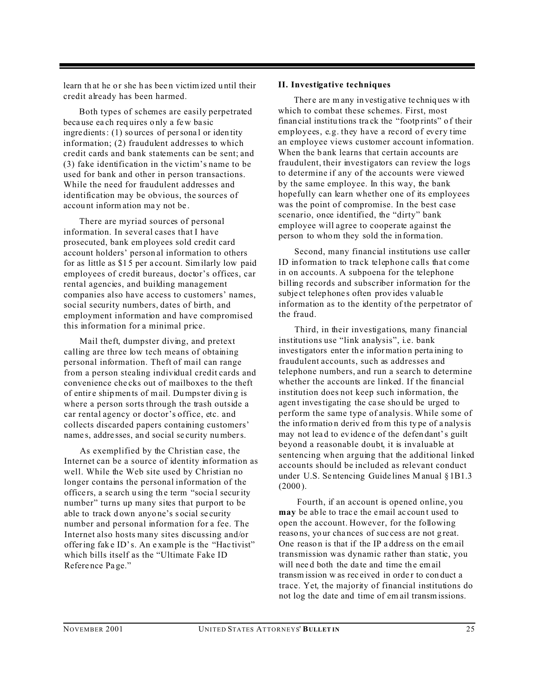learn that he or she has been victim ized until their credit already has been harmed.

Both types of schemes are easily perpetrated beca use ea ch req uires o nly a fe w ba sic ingredients: (1) sources of personal or identity information; (2) fraudulent addresses to which credit cards and bank statements can be sent; and (3) fake identification in the victim's name to be used for bank and other in person transactions. While the need for fraudulent addresses and identification may be obvious, the sources of accou nt information ma y not be .

There are myriad sources of personal information. In several cases that I have prosecuted, bank em ployees sold credit card account holders' person al information to others for as little as \$1 5 per a ccou nt. Similarly low paid employees of credit bureaus, doctor's offices, car rental agencies, and building management companies also have access to customers' names, social security numbers, dates of birth, and employment information and have compromised this information for a minimal price.

Mail theft, dumpster diving, and pretext calling are three low tech means of obtaining personal information. Theft of mail can range from a person stealing individual credit cards and convenience che cks out of mailboxes to the theft of entir e shipmen ts of mail. Dumpster divin g is where a person sorts through the trash outside a car rental agency or doctor's office, etc. and collects discarded papers containing customers' name s, addre sses, an d social se curity numbers.

As exemplified by the Christian case, the Internet can be a source of identity information as well. While the Web site used by Christian no longer contains the personal information of the office rs, a se arch u sing th e term "socia l security number" turns up many sites that purport to be able to track down anyone's social security number and personal information for a fee. The Internet also hosts many sites discussing and/or offering fak e ID's. An e xample is the "Hac tivist" which bills itself as the "Ultimate Fake ID Refere nce Pa ge."

#### **II. Investigative techniques**

There are many in vestigative techniques with which to combat these schemes. First, most finan cial institu tions tra ck the "footp rints" o f their employees, e.g. they have a record of every time an employee views customer account information. When the bank learns that certain accounts are fraudulent, their investigators can review the logs to determine if any of the accounts were viewed by the same employee. In this way, the bank hopefully can learn whether one of its employees was the point of compromise. In the best case scenario, once identified, the "dirty" bank employee will agree to cooperate against the person to whom they sold the in forma tion.

Second, many financial institutions use caller ID information to track telephone calls that come in on accounts. A subpoena for the telephone billing records and subscriber information for the subje ct telep hone s often prov ides v aluab le information as to the identity of the perpetrator of the fraud.

Third, in their investigations, many financial institutions use "link analysis", i.e. bank investigators enter the information perta ining to fraudulent accounts, such as addresses and telephone numbers, and run a search to determine whether the accounts are linked. If the financial institution does not keep such information, the agent investigating the case should be urged to perform the same type of analysis. While some of the info rmatio n deriv ed from this ty pe of a nalysis may not lea d to ev idenc e of the defen dant's guilt beyond a reasonable doubt, it is invaluable at sentencing when arguing that the additional linked accounts should be included as relevant conduct under U.S. Se ntencing Guide lines Manual § 1B1.3  $(2000)$ .

 Fourth, if an account is opened online, you **may** be able to trace the email account used to open the account. However, for the following reaso ns, yo ur cha nces of suc cess a re not g reat. One reaso n is that if the IP a ddre ss on th e email transmission was dynamic rather than static, you will need both the date and time the email transm ission w as rec eived in orde r to con duct a trace. Yet, the majority of financial institutions do not log the date and time of em ail transmissions.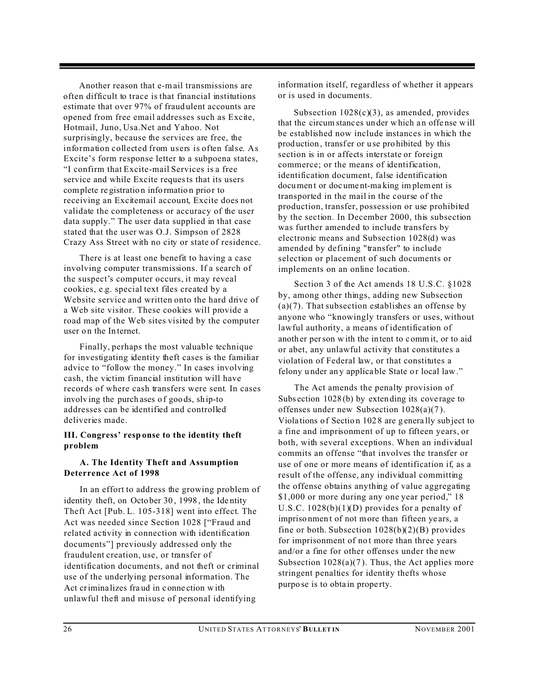Another reason that e-mail transmissions are often difficult to trace is that financial institutions estimate that over 97% of fraud ulent accounts are opened from free email addresses such as Excite, Hotmail, Juno, Usa.Net and Yahoo. Not surprisingly, because the services are free, the information collected from users is often false. As Excite's form response letter to a subpoena states, "I confirm that Excite-mail Services is a free service and while Excite requests that its users complete registration information prior to receiving an Excitemail account, Excite does not validate the completeness or accuracy of the user data supply." The user data supplied in that case stated that the user was O.J. Simpson of 2828 Crazy Ass Street with no city or state of residence.

There is at least one benefit to having a case involving computer transmissions. If a search of the suspect's computer occurs, it may reveal cookies, e.g. special text files created by a Website service and written onto the hard drive of a Web site visitor. These cookies will provide a road map of the Web sites visited by the computer user on the Internet.

Finally, perhaps the most valuable technique for investigating identity theft cases is the familiar advice to "follow the money." In cases involving cash, the victim financial institution will have records of where cash transfers were sent. In cases involving the purchases of goods, ship-to addresses can be identified and controlled deliveries made.

#### **III. Congress' resp onse to the identity theft problem**

#### **A. The Identity Theft and Assumption Deterrence Act of 1998**

In an effort to address the growing problem of identity theft, on Octo ber 30 , 1998 , the Ide ntity Theft Act [Pub. L. 105-318] went into effect. The Act was needed since Section 1028 ["Fraud and related activity in connection with identification documents"] previously addressed only the fraudulent creation, use, or transfer of identification documents, and not theft or criminal use of the underlying personal information. The Act crimina lizes fra ud in c onne ction w ith unlawful theft and misuse of personal identifying

information itself, regardless of whether it appears or is used in documents.

Subsection  $1028(c)(3)$ , as amended, provides that the circum stanc es un der which a n offe nse w ill be established now include instances in which the production, transfer or use prohibited by this section is in or affects interstate or foreign commerce; or the means of identification, identification document, false identification document or document-making implement is transported in the mail in the course of the production, transfer, possession or use prohibited by the section. In December 2000, this subsection was further amended to include transfers by electronic means and Subsection 1028(d) was amended by defining "transfer" to include selection or placement of such documents or implements on an online location.

Section 3 of the Act amends 18 U.S.C. §1028 by, among other things, adding new Subsection  $(a)(7)$ . That subsection establishes an offense by anyone who "knowingly transfers or uses, without lawful authority, a means of identification of anoth er person w ith the in tent to c omm it, or to aid or abet, any unlawful activity that constitutes a violation of Federal law, or that constitutes a felony under any applicable State or local law."

The Act amends the penalty provision of Subsection 1028(b) by extending its coverage to offenses under new Subsection 1028(a)(7 ). Viola tions o f Sectio n 102 8 are g enera lly sub ject to a fine and imprisonment of up to fifteen years, or both, with several exceptions. When an individual commits an offense "that involves the transfer or use of one or more means of identification if, as a result of the offense, any individual committing the offense obtains anything of value aggregating \$1,000 or more during any one year period," 18 U.S.C. 1028(b)(1)(D) provides for a penalty of impriso nmen t of not more than fifteen ye ars, a fine or both. Subsection  $1028(b)(2)(B)$  provides for imprisonment of not more than three years and/or a fine for other offenses under the new Subsection  $1028(a)(7)$ . Thus, the Act applies more stringent penalties for identity thefts whose purpo se is to obta in prope rty.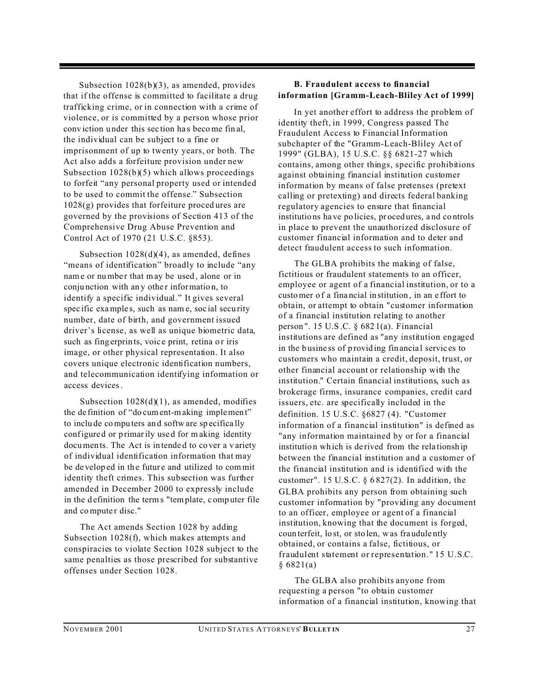Subsection 1028(b)(3), as amended, provides that if the offense is committed to facilitate a drug trafficking crime, or in connection with a crime of violence, or is committed by a person whose prior conv iction u nder this sec tion ha s become fin al, the individual can be subject to a fine or imprisonment of up to twenty years, or both. The Act also adds a forfeiture provision under new Subsection 1028(b)(5) which allows proceedings to forfeit "any personal property used or intended to be used to commit the offense." Subsection  $1028(g)$  provides that forfeiture procedures are governed by the provisions of Section 413 of the Comprehensive Drug Abuse Prevention and Control Act of 1970 (21 U.S.C. §853).

Subsection  $1028(d)(4)$ , as amended, defines "means of identification" broadly to include "any name or number that may be used, alone or in conjunction with any other information, to identify a specific individual." It gives several spec ific examples, such as name, social security number, date of birth, and government issued driver's license, as well as unique biometric data, such as fing erprints, voice print, retina or iris image, or other physical representation. It also covers unique electronic identification numbers, and telecommunication identifying information or access devices.

Subsection  $1028(d)(1)$ , as amended, modifies the de finition of "do cument-making implemen t" to inclu de compu ters an d softw are sp ecifica lly configure d or primarily use d for m aking identity documen ts. The Act is in tende d to co ver a v ariety of individual identification information that may be developed in the future and utilized to commit identity theft crimes. This subsection was further amended in December 2000 to expressly include in the definition the terms "template, computer file and computer disc."

The Act amends Section 1028 by adding Subsection 1028(f), which makes attempts and conspiracies to violate Section 1028 subject to the same penalties as those prescribed for substantive offenses under Section 1028.

#### **B. Fraudulent access to financial information [Gramm-Leach-Bliley Act of 1999]**

In yet another effort to address the problem of identity theft, in 1999, Congress passed The Fraudulent Access to Financial Information subchapter of the "Gramm-Leach-Bliley Act of 1999" (GLBA), 15 U.S.C. §§ 6821-27 which contains, among other things, specific prohibitions against obtaining financial institution customer information by means of false pretenses (pretext calling or pretexting) and directs federal banking regulatory agencies to ensure that financial institutio ns ha ve po licies, pr oced ures, a nd co ntrols in place to prevent the unauthorized disclosure of customer financial information and to deter and detect fraudulent access to such information.

The GLBA prohibits the making of false, fictitious or fraudulent statements to an officer, employee or agent of a financial institution, or to a customer o f a fina ncial in stitution , in an e ffort to obtain, or attempt to obtain "customer information of a financial institution relating to another person ". 15 U.S .C. § 682 1(a). Financial institutions are defined as "any institution engaged in the b usine ss of p rovid ing fin ancia l servic es to customers who maintain a credit, deposit, trust, or other financial account or relationship with the institution." Certain financial institutions, such as brokerage firms, insurance companies, credit card issuers, etc. are specifically included in the definition. 15 U.S.C. §6827 (4). "Customer information of a financial institution" is defined as "any information maintained by or for a financial institution which is de rived from the relationship between the financial institution and a customer of the financial institution and is identified with the customer". 15 U.S.C.  $\S 6827(2)$ . In addition, the GLBA prohibits any person from obtaining such customer information by "providing any document to an officer, employee or agent of a financial institution, knowing that the document is forged, coun terfeit, lo st, or sto len, was fra udule ntly obtained, or contains a false, fictitious, or fraudulent statement or representation." 15 U.S.C.  $§ 6821(a)$ 

The GLBA also prohibits anyone from requesting a person "to obtain customer information of a financial institution, knowing that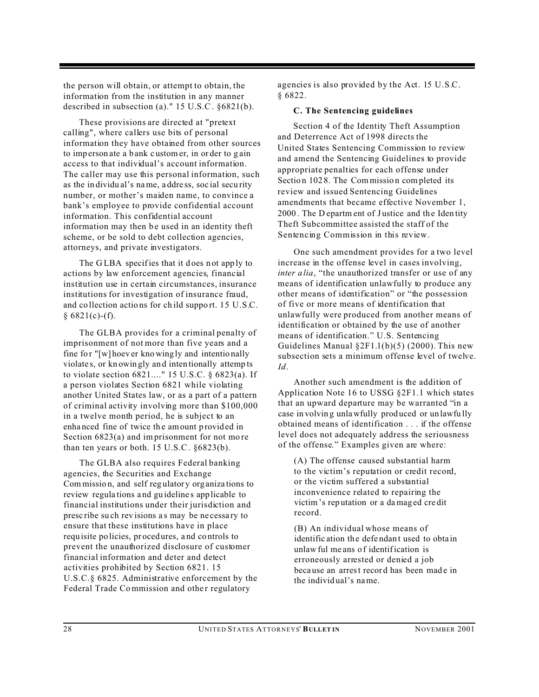the person will obtain, or attempt to obtain, the information from the institution in any manner described in subsection (a)." 15 U.S.C. §6821(b).

These provisions are directed at "pretext calling", where callers use bits of personal information they have obtained from other sources to imp erson ate a bank c ustom er, in or der to g ain access to that individual's account information. The caller may use this personal information, such as the in dividu al's name, a ddre ss, soc ial secu rity number, or mother's maiden name, to convince a bank's employee to provide confidential account information. This confidential account information may then be used in an identity theft scheme, or be sold to debt collection agencies, attorneys, and private investigators.

The GLBA specifies that it does not apply to actions by law enforcement agencies, financial institution use in certain circumstances, insurance institutions for investigation of insurance fraud, and co llection actio ns for ch ild suppo rt. 15 U.S.C.  $§ 6821(c)-(f).$ 

The GLBA provides for a criminal penalty of imprisonment of not more than five years and a fine for "[w] hoever kno wing ly and intentionally violate s, or kn owin gly an d inten tionally attemp ts to violate section 6821...." 15 U.S.C. § 6823(a). If a person violates Section 6821 while violating another United States law, or as a part of a pattern of criminal activity involving more than \$100,000 in a twelve month period, he is subject to an enha nced fine of twice th e amount p rovid ed in Section 6823(a) and imprisonment for not more than ten years or both. 15 U.S.C. §6823(b).

The GLBA also requires Federal banking agencies, the Securities and Exchange Commissio n, and self reg ulatory org aniza tions to review regula tions a nd gu ideline s app licable to financial institutions under their jurisdiction and presc ribe su ch rev isions a s may be ne cessa ry to ensure that these institutions have in place requ isite po licies, pr oced ures, a nd co ntrols to prevent the unauthorized disclosure of customer financial information and deter and detect activities prohibited by Section 6821. 15 U.S.C.§ 6825. Administrative enforcement by the Federal Trade Commission and other regulatory

agencies is also provided by the Act. 15 U.S.C. § 6822.

#### **C. The Sentencing guidelines**

Section 4 of the Identity Theft Assumption and Deterrence Act of 1998 directs the United States Sentencing Commission to review and amend the Sentencing Guidelines to provide appropriate penalties for each offense under Section 1028. The Commission completed its review and issued Sentencing Guidelines amendments that became effective November 1, 2000. The D epartm ent of Justice and the Iden tity Theft Subcommittee assisted the staff of the Sentencing Commission in this review.

One such amendment provides for a two level increase in the offense level in cases involving, *inter a lia*, "the unauthorized transfer or use of any means of identification unlawfully to produce any other means of identification" or "the possession of five or more means of identification that unlawfully were produced from another means of identification or obtained by the use of another means of identification." U.S. Sentencing Guidelines Manual  $\S 2F1.1(b)(5)$  (2000). This new subsection sets a minimum offense level of twelve. *Id*.

Another such amendment is the addition of Application Note 16 to USSG §2F1.1 which states that an upward departure may be warranted "in a case in volvin g unlawfully prod uced or unlawfu lly obtained means of identification . . . if the offense level does not adequately address the seriousness of the offense." Examples given are where:

(A) The offense caused substantial harm to the victim's reputation or credit record, or the victim suffered a substantial inconvenience related to repairing the victim's rep utation or a damag ed cre dit record.

(B) An individual whose means of identific ation the defendant used to obtain unlaw ful me ans of identification is erroneously arrested or denied a job because an arrest record has been made in the individ ual's name.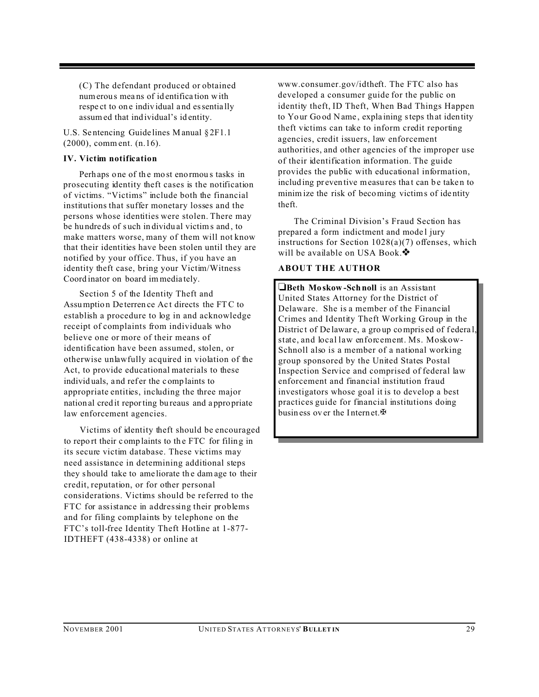(C) The defendant produced or obtained numerou s mea ns of id entifica tion with respe ct to on e indiv idual a nd essentia lly assumed that ind ividual's id entity.

U.S. Se ntencing Guide lines Manual § 2F1.1 (2000), comm ent. (n.16).

#### **IV. Victim notification**

Perhaps one of the most enormous tasks in prosecuting identity theft cases is the notification of victims. "Victims" include both the financial institutions that suffer monetary losses and the persons whose identities were stolen. There may be hu ndre ds of s uch in dividu al victims and , to make matters worse, many of them will not know that their identities have been stolen until they are notified by your office. Thus, if you have an identity theft case, bring your Victim/Witness Coord inator on board im media tely.

Section 5 of the Identity Theft and Assumptio n De terren ce Ac t directs the FTC to establish a procedure to log in and acknowledge receipt of complaints from individuals who believe one or more of their means of identification have been assumed, stolen, or otherwise unlawfully acquired in violation of the Act, to provide educational materials to these individuals, and refer the complaints to appropriate entities, including the three major nation al cred it reporting bu reaus and a ppro priate law enforcement agencies.

Victims of identity theft should be encouraged to repo rt their c omp laints to th e FTC for filing in its secure victim database. These victims may need assistance in determining additional steps they s hould take to ame liorate th e dam age to their credit, reputation, or for other personal considerations. Victims should be referred to the FTC for assistance in addressing their problems and for filing complaints by telephone on the FTC's toll-free Identity Theft Hotline at 1-877- IDTHEFT (438-4338) or online at

www.consumer.gov/idtheft. The FTC also has developed a consumer guide for the public on identity theft, ID Theft, When Bad Things Happen to Yo ur Go od Name , expla ining steps th at iden tity theft victims can take to inform credit reporting agencies, credit issuers, law enforcement authorities, and other agencies of the improper use of their identification information. The guide provides the public with educational information, includ ing pr even tive measures that can be taken to minim ize the risk of becoming victims of ide ntity theft.

The Criminal Division's Fraud Section has prepared a form indictment and mode l jury instructions for Section 1028(a)(7) offenses, which will be available on USA Book. $\clubsuit$ 

#### **ABOUT THE AUTHOR**

**Beth Mo skow -Schnoll** is an Assistant United States Attorney for the District of Delaware. She is a member of the Financial Crimes and Identity Theft Working Group in the District of De laware, a group comprised of federal, state, and local law enforcement. Ms. Moskow-Schnoll also is a member of a national working group sponsored by the United States Postal Inspection Service and comprised of federal law enforcement and financial institution fraud investigators whose goal it is to develop a best practices guide for financial institutions doing business over the Internet. $\mathbf{\mathbf{\Phi}}$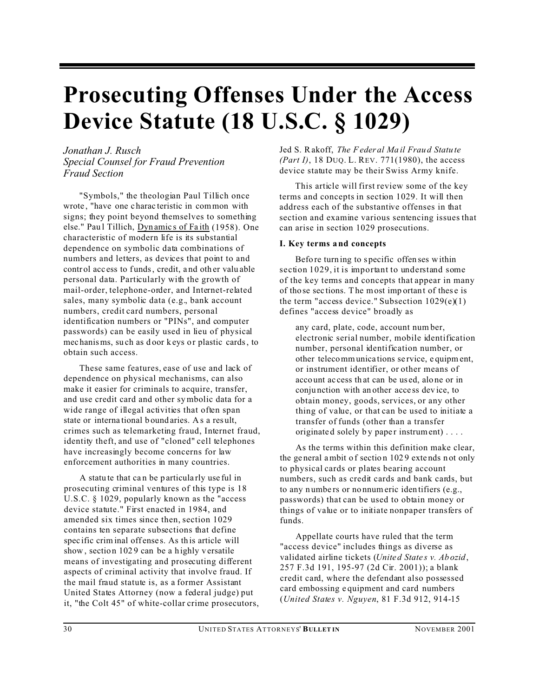### **Prosecuting Offenses Under the Access Device Statute (18 U.S.C. § 1029)**

*Jonathan J. Rusch Special Counsel for Fraud Prevention Fraud Section*

"Symbols," the theologian Paul Tillich once wrote, "have one charac teristic in common with signs; they point beyond themselves to something else." Paul Tillich, Dynamics of Faith (1958). One characteristic of modern life is its substantial dependence on symbolic data combinations of numbers and letters, as devices that point to and control access to funds, credit, and other valuable personal data. Particularly with the growth of mail-order, telephone-order, and Internet-related sales, many symbolic data (e.g., bank account numbers, credit card numbers, personal identification numbers or "PINs", and computer passwords) can be easily used in lieu of physical mec hanisms, su ch as door keys or plastic cards, to obtain such access.

These same features, ease of use and lack of dependence on physical mechanisms, can also make it easier for criminals to acquire, transfer, and use credit card and other symbolic data for a wide range of illegal activities that often span state or interna tional b ound aries. A s a res ult, crimes such as telemarketing fraud, Internet fraud, identity theft, and use of "cloned" cell telephones have increasingly become concerns for law enforcement authorities in many countries.

A statu te that ca n be p articula rly use ful in prosecuting criminal ventures of this type is 18 U.S.C. § 1029, popularly known as the "access device statute." First enacted in 1984, and amended six times since then, section 1029 contains ten separate subsections that define spec if ic criminal offenses. As this article will show, section 1029 can be a highly versatile means of investigating and prosecuting different aspects of criminal activity that involve fraud. If the mail fraud statute is, as a former Assistant United States Attorney (now a federal judge) put it, "the Colt 45" of white-collar crime prosecutors, Jed S. Rakoff, *The Feder al Ma il Frau d Statu te (Part I)*, 18 DUQ. L. REV. 771(1980), the access device statute may be their Swiss Army knife.

This article will first review some of the key terms and concepts in section 1029. It will then address each of the substantive offenses in that section and examine various sentencing issues that can arise in section 1029 prosecutions.

#### **I. Key terms a nd concepts**

Befo re turn ing to s pecific offen ses within section 1029, it is important to understand some of the key terms and concepts that appear in many of tho se sec tions. The most imp ortan t of thes e is the term "access device." Subsection  $1029(e)(1)$ defines "access device" broadly as

any card, plate, code, account num ber, electronic serial number, mobile identification number, personal identification number, or other telecommunica tions se rvice, e quipm ent, or instrument identifier, or other means of acco unt ac cess th at can be us ed, alo ne or in conju nction with an other acce ss dev ice, to obtain money, goods, services, or any other thing of value, or that can be used to initiate a transfer of funds (other than a transfer originated solely by paper instrument)....

As the terms within this definition make clear, the ge neral ambit o f sectio n 102 9 exte nds n ot only to physical cards or plates bearing account numbers, such as credit cards and bank cards, but to any n umbe rs or no nnumeric iden tifiers (e.g., passwords) that can be used to obtain money or things of value or to initiate nonpaper transfers of funds.

Appellate courts have ruled that the term "access device" includes things as diverse as validated airline tickets (*Unite d State s v. Ab ozid*, 257 F.3d 191, 195-97 (2d Cir. 2001)); a blank credit card, where the defendant also possessed card embossing e quipment and card numbers (*United States v. Nguyen*, 81 F.3d 912, 914-15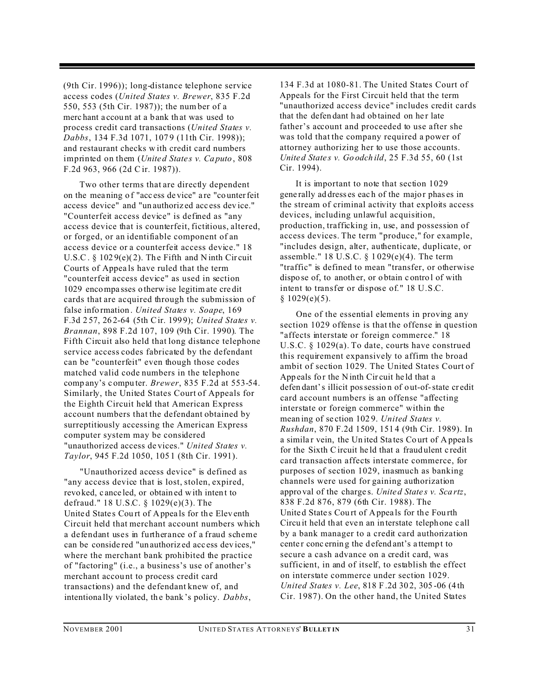(9th Cir. 1996)); long-distance telephone service access codes (*United States v. Brewer*, 835 F.2d 550, 553 (5th Cir. 1987)); the num ber of a merc hant a ccou nt at a b ank th at was used to process credit card transactions (*United States v. Dabbs*, 134 F.3d 1071, 107 9 (11th Cir. 1998)); and restaurant checks w ith credit card numbers imprinted on them (*Unite d State s v. Ca puto*, 808 F.2d 963, 966 (2d Cir. 1987)).

Two other terms that are directly dependent on the mea ning o f "acc ess de vice" a re "co unterfeit access device" and "un authoriz ed acc ess dev ice." "Counterfeit access device" is defined as "any access device that is counterfeit, fictitious, altered, or forged, or an identifiable component of an access device or a counterfeit access device." 18 U.S.C.  $\S$  1029(e)(2). The Fifth and N inth Circuit Courts of Appea ls have ruled that the term "counterfeit access device" as used in section 1029 encompa sses o therw ise legitim ate cre dit cards that are acquired through the submission of false info rmation . *United States v. Soape*, 169 F.3d 2 57, 26 2-64 (5th Cir. 199 9); *United States v. Brannan*, 898 F.2d 107, 109 (9th Cir. 1990). The Fifth Circuit also held that long distance telephone service access codes fabricated by the defendant can be "counterfeit" even though those codes matched valid code numbers in the telephone comp any's c ompu ter. *Brewer*, 835 F.2d at 553-54. Similarly, the United States Court of Appeals for the Eighth Circuit held that American Express account numbers that the defendant obtained by surreptitiously accessing the American Express computer system may be considered "unauthorized access de vices." *United States v. Taylor*, 945 F.2d 1050, 105 1 (8th Cir. 1991).

"Unauthorized access device" is defined as "any access device that is lost, stolen, expired, revo ked, c ance led, or obtain ed with inten t to defraud." 18 U.S.C. § 1029(e)(3). The United States Court of Appeals for the Eleventh Circuit held that merchant account numbers which a defendant uses in furtherance of a fraud scheme can be conside red "un authoriz ed acc ess dev ices," where the merchant bank prohibited the practice of "factoring" (i.e., a business's use of another's merchant accou nt to process credit card transactions) and the defendant knew of, and intentiona lly violated, th e bank 's policy. *Dabbs*,

134 F.3d at 1080-81. The United States Court of Appeals for the First Circuit held that the term "unauthorized access device" includes credit cards that the defendant had obtained on her late father's account and proceeded to use after she was told that the company required a power of attorney authorizing her to use those accounts. *Unite d State s v. Go odch ild*, 25 F.3d 55, 60 (1st Cir. 1994).

It is important to note that section 1029 gene rally ad dress es eac h of the majo r phas es in the stream of criminal activity that exploits access devices, including unlawful acquisition, production, trafficking in, use, and possession of access devices. The term "produce," for example, "includes design, alter, authenticate, duplicate, or assemble." 18 U.S.C. § 1 029(e)(4). The term "traffic" is defined to mean "transfer, or otherwise dispo se of, to anoth er, or o btain c ontro l of with intent to transfer or dispose of." 18 U.S.C.  $§ 1029(e)(5).$ 

One of the essential elements in proving any section 1029 offense is that the offense in question "affects interstate or foreign commerce." 18 U.S.C. § 1029(a). To date, courts have construed this requirement expansively to affirm the broad ambit of section 1029. The United States Court of Appeals for the Ninth Circuit held that a defen dant's illicit possessio n of out-of-state cr edit card account numbers is an offense "affecting interstate or foreign commerce" within the mean ing of se ction 102 9. *United States v. Rushdan*, 870 F.2d 1509, 151 4 (9th Cir. 1989). In a similar vein, the United States Court of Appeals for the Sixth Circuit he ld that a fraud ulent c redit card transaction affects interstate commerce, for purposes of section 1029, inasmuch as banking channels were used for gaining authorization appro val of the charge s. *Unite d State s v. Sca rtz*, 838 F.2d 876, 879 (6th Cir. 1988). The United States Court of Appeals for the Fourth Circu it held that even an interstate telephone call by a bank manager to a credit card authorization center concerning the defend ant's attempt to secure a cash advance on a credit card, was sufficient, in and of itself, to establish the effect on interstate commerce under section 1029. *United States v. Lee*, 818 F .2d 30 2, 305 -06 (4 th Cir. 1987). On the other hand, the United States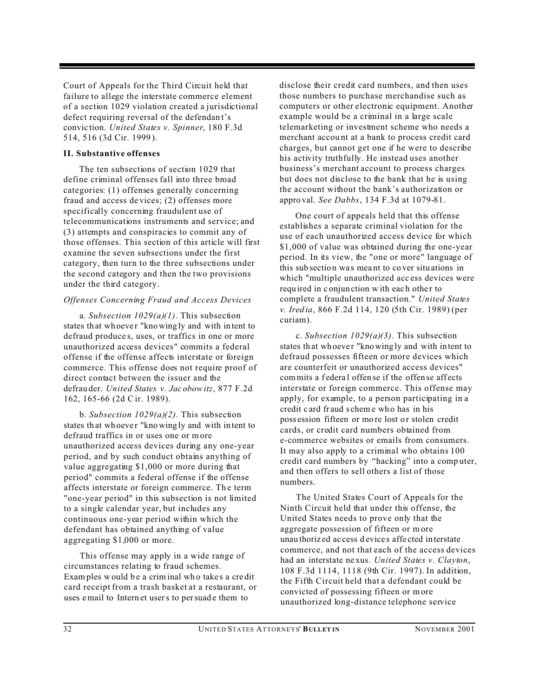Court of Appeals for the Third Circuit held that failure to allege the interstate commerce element of a section 1029 violation created a jurisdictional defect requiring reversal of the defendan t's convic tion. *United States v. Spinner*, 180 F.3d 514, 516 (3d Cir. 1999 ).

#### **II. Substantive offenses**

The ten subsections of section 1029 that define criminal offenses fall into three broad categories: (1) offenses generally concerning fraud and access de vices; (2) offenses more specifically concerning fraudulent use of telecommunications instruments and service; and (3) attempts and conspiracies to commit any of those offenses. This section of this article will first examine the seven subsections under the first category, then turn to the three subsections under the second category and then the two provisions under the third category.

#### *Offenses Concerning Fraud and Access Devices*

a. *Subsection 1029(a)(1)*. This subsection states that whoever "knowingly and with intent to defraud produce s, uses, or traffics in one or more unauthorized access devices" commits a federal offense if the offense affects interstate or foreign commerce. This offense does not require proof of direct contact between the issuer and the defrau der. *United States v. Jac obowitz*, 877 F.2d 162, 165-66 (2d Cir. 1989).

b. *Subsection 1029(a)(2)*. This subsection states that whoever "knowingly and with intent to defraud traffics in or uses one or more unauthorized access devices during any one-year period, and by such conduct obtains anything of value aggregating \$1,000 or more during that period" commits a federal offense if the offense affects interstate or foreign commerce. Th e term "one-year period" in this subsection is not limited to a single calendar year, but includes any continuous one-year period within which the defendant has obtained anything of value aggregating \$1,000 or more.

This offense may apply in a wide range of circumstances relating to fraud schemes. Exam ples would be a criminal who takes a credit card receipt from a trash basket at a restaurant, or uses email to Internet users to per suade them to

disclose their credit card numbers, and then uses those numbers to purchase merchandise such as computers or other electronic equipment. Another example would be a criminal in a large scale telemarketing or investment scheme who needs a merchant accou nt at a bank to process credit card charges, but cannot get one if he were to describe his activity truthfully. He instead uses another business's merchant account to process charges but does not disclose to the bank that he is using the account without the bank's authorization or appro val. *See Dabbs*, 134 F.3d at 1079-81.

One court of appeals held that this offense establishes a separate criminal violation for the use of each unauthorized access device for which \$1,000 of value was obtained during the one-year period. In its view, the "one or more" language of this sub section wa s mea nt to co ver situ ations in which "multiple unauthorized acc ess devices were required in conjunction with each other to complete a fraudulent transaction." *United States v. Ired ia*, 866 F.2d 114, 120 (5th Cir. 1989) (per curiam).

c. *Subsection 1029(a)(3)*. This subsection states that whoever "knowing ly and with intent to defraud possesses fifteen or more devices which are counterfeit or unauthorized access devices" commits a federal offense if the offense affects interstate or foreign commerce. This offense may apply, for example, to a person participating in a credit c ard fr aud s chem e wh o has in his poss ession fifteen or more lost or stolen credit cards, or credit card numbers obtained from e-commerce websites or emails from consumers. It may also apply to a criminal who obtains 100 credit card numbers by "hacking" into a comp uter, and then offers to sell others a list of those numbers.

The United States Court of Appeals for the Ninth Circuit held that under this offense, the United States needs to prove only that the aggregate possession of fifteen or m ore unau thoriz ed ac cess d evice s affe cted in terstate commerce, and not that each of the access devices had an interstate ne xus. *United States v. Clayton*, 108 F.3d 1114, 1118 (9th Cir. 1997). In addition, the Fifth Circuit held that a defendant could be convicted of possessing fifteen or more unauthorized long-distance telephone service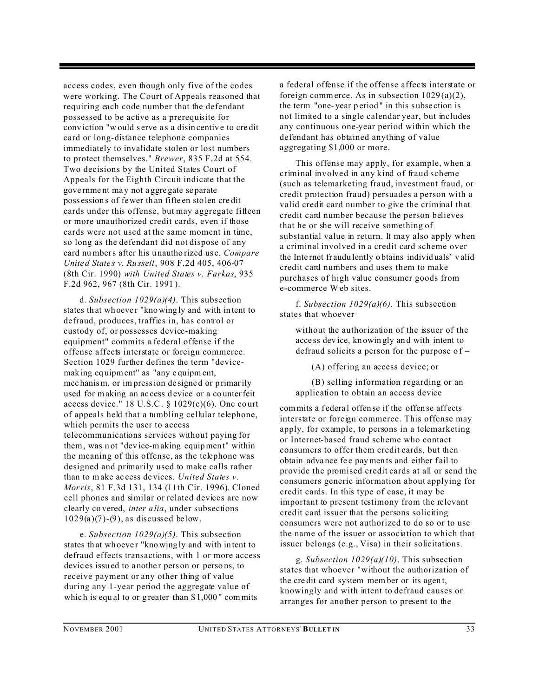access codes, even though only five of the codes were working. The Court of Appeals reasoned that requiring each code number that the defendant possessed to be active as a prerequisite for conv iction "w ould s erve a s a disin centiv e to cre dit card or long-distance telephone companies immediately to invalidate stolen or lost numbers to protect themselves." *Brewer*, 835 F.2d at 554. Two decisions by the United States Court of Appeals for the Eighth Circuit indicate that the gove rnme nt ma y not a ggre gate se parate poss ession s of fewer th an fifte en sto len cre dit cards under this offense, but may aggregate fifteen or more unauthorized credit cards, even if those cards were not used at the same moment in time, so long as the defendant did not dispose of any card numbers after his u nautho rized us e. *Compare Unite d State s v. Ru ssell*, 908 F.2d 405, 406-07 (8th Cir. 1990) *with United States v. Farkas*, 935 F.2d 962, 967 (8th Cir. 1991 ).

d. *Subsection 1029(a)(4)*. This subsection states that whoever "knowingly and with intent to defraud, produces, traffics in, has control or custody of, or possesses device-making equipment" commits a federal offense if the offense affects interstate or foreign commerce. Section 1029 further defines the term "devicemak ing eq uipment" as "any e quipm ent, mec hanism, or im pression de signe d or primarily used for making an access device or a counterfeit access device."  $18$  U.S.C. §  $1029(e)(6)$ . One court of appeals held that a tumbling cellular telephone, which permits the user to access telecommunications services without paying for them, was n ot "dev ice-making equipmen t" within the meaning of this offense, as the telephone was designed and primarily used to make calls rather than to make ac cess de vices. *United States v. Morris*, 81 F.3d 131, 134 (11th Cir. 1996). Cloned cell phones and similar or related devices are now clearly co vered, *inter a lia*, under subsections  $1029(a)(7)$ - $(9)$ , as discussed below.

e. *Subsection 1029(a)(5)*. This subsection states that whoever "knowingly and with intent to defraud effects transactions, with 1 or more access devices issued to a nother person or persons, to receive payment or any other thing of value during any 1-year period the aggregate value of which is equal to or g reater than  $$1,000"$  commits

a federal offense if the offense affects interstate or foreign commerce. As in subsection  $1029(a)(2)$ , the term "one- year p eriod " in this s ubse ction is not limited to a single calendar year, but includes any continuous one-year period within which the defendant has obtained anything of value aggregating \$1,000 or more.

This offense may apply, for example, when a criminal involved in any kind of fraud scheme (such as telemarketing fraud, investment fraud, or credit protection fraud) persuades a person with a valid credit card number to give the criminal that credit card number because the person believes that he or she will receive something of substantial value in return. It may also apply when a criminal involved in a credit card scheme over the Inte rnet fr audu lently o btains individ uals' v alid credit card numbers and uses them to make purchases of high value consumer goods from e-commerce W eb sites.

f. *Subsection 1029(a)(6)*. This subsection states that whoever

without the authorization of the issuer of the acce ss dev ice, kn owin gly an d with intent to defraud solicits a person for the purpose of  $-$ 

(A) offering an access device; or

(B) selling information regarding or an application to obtain an access device

commits a federal offense if the offense affects interstate or foreign commerce. This offense may apply, for example, to persons in a telemarketing or Internet-based fraud scheme who contact consumers to offer them credit cards, but then obtain advance fee payments and either fail to provide the promised credit cards at all or send the consumers generic information about applying for credit cards. In this type of case, it may be important to present testimony from the relevant credit card issuer that the persons soliciting consumers were not authorized to do so or to use the name of the issuer or association to which that issuer belongs (e.g., Visa) in their solicitations.

g. *Subsection 1029(a)(10)*. This subsection states that whoever "without the authorization of the cre dit card system member or its agen t, knowingly and with intent to defraud causes or arranges for another person to present to the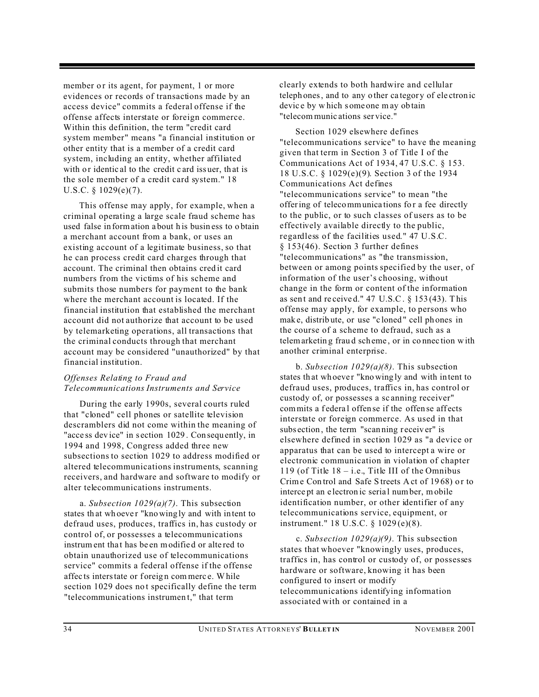member or its agent, for payment, 1 or more evidences or records of transactions made by an access device" commits a federal offense if the offense affects interstate or foreign commerce. Within this definition, the term "credit card system member" means "a financial institution or other entity that is a member of a credit card system, including an entity, whether affiliated with or identic al to the credit c ard issuer, that is the sole member of a credit card system." 18 U.S.C. § 1029(e)(7).

This offense may apply, for example, when a criminal operating a large scale fraud scheme has used false in formation a bout h is busin ess to o btain a merchant account from a bank, or uses an existing account of a legitimate business, so that he can process credit card charges through that account. The criminal then obtains cred it card numbers from the victims of his scheme and submits those numbers for payment to the bank where the merchant account is located. If the financial institution that established the merchant account did not authorize that account to be used by telemarketing operations, all transactions that the criminal conducts through that merchant account may be considered "unauthorized" by that financial institution.

#### *Offenses Relating to Fraud and Telecommunications Instruments and Service*

During the early 1990s, several courts ruled that "cloned" cell phones or satellite television descramblers did not come within the meaning of "acce ss device" in section 1029. Consequently, in 1994 and 1998, Congress added three new subsections to section 1029 to address modified or altered telecommunications instruments, scanning receivers, and hardware and software to modify or alter telecommunications instruments.

a. *Subsection 1029(a)(7)*. This subsection states that whoever "knowingly and with intent to defraud uses, produces, traffics in, has custody or control of, or possesses a telecommunications instrum ent that has be en modified or altered to obtain unauthorized use of telecommunications service" commits a federal offense if the offense affec ts interstate or foreign commerce. While section 1029 does not specifically define the term "telecommunications instrumen t," that term

clearly extends to both hardwire and cellular teleph ones, and to any o ther ca tegor y of ele ctron ic devic e by w hich s ome one m ay ob tain "telecommunic ations ser vice."

Section 1029 elsewhere defines "telecommunications service" to have the meaning given that term in Section 3 of Title I of the Communications Act of 1934, 47 U.S.C. § 153. 18 U.S.C. § 1029(e)(9). Section 3 of the 1934 Communications Act defines "telecommunications service" to mean "the offering of telecommunica tions fo r a fee directly to the public, or to such classes of users as to be effectively available directly to the public, regardless of the facilities used." 47 U.S.C. § 153(46). Section 3 further defines "telecommunications" as "the transmission, between or among points specified by the user, of information of the user's choosing, without change in the form or content of the information as sent and received."  $47 \text{ U.S.C. }$  §  $153(43)$ . This offense may apply, for example, to persons who mak e, distrib ute, or use "c loned " cell ph ones in the course of a scheme to defraud, such as a telemarketin g frau d sch eme , or in co nnec tion with another criminal enterprise.

b. *Subsection 1029(a)(8)*. This subsection states that whoever "knowingly and with intent to defraud uses, produces, traffics in, has control or custody of, or possesses a sc anning receiver" commits a federal offen se if the offen se affects interstate or foreign commerce. As used in that subsection, the term "scanning receiver" is elsewhere defined in section 1029 as "a device or apparatus that can be used to intercept a wire or electronic communication in violation of chapter 119 (of Title  $18 - i.e.,$  Title III of the Omnibus Crime Con trol and Safe Streets A ct of 1968) or to interce pt an e lectron ic seria l number, mobile identification number, or other identifier of any telecommunications service, equipment, or instrument." 18 U.S.C. § 1029 (e)(8).

c. *Subsection 1029(a)(9)*. This subsection states that whoever "knowingly uses, produces, traffics in, has control or custody of, or possesses hardware or software, knowing it has been configured to insert or modify telecommunications identifying information associated with or contained in a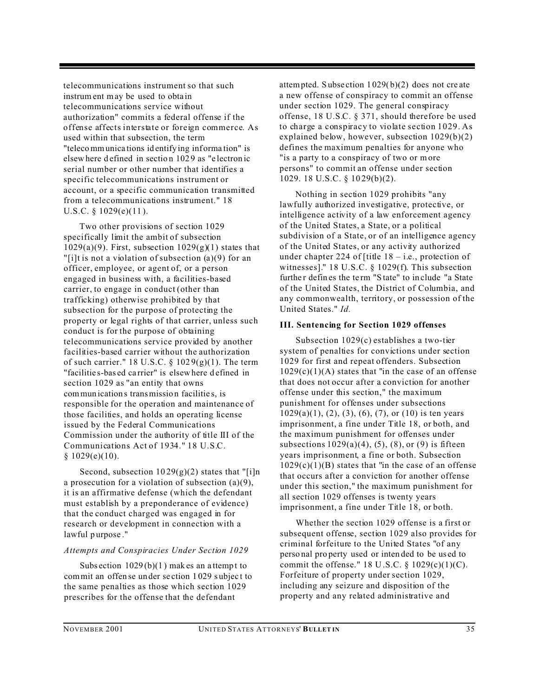telecommunications instrument so that such instrum ent may be used to obta in telecommunications service without authorization" commits a federal offense if the offense affects interstate or foreign commerce. As used within that subsection, the term "telecommunica tions id entifying inf orma tion" is elsew here d efined in sectio n 102 9 as "e lectron ic serial number or other number that identifies a specific telecommunications instrument or account, or a specific communication transmitted from a telecommunications instrument." 18 U.S.C.  $\S$  1029(e)(11).

Two other provisions of section 1029 specifically limit the ambit of subsection  $1029(a)(9)$ . First, subsection  $1029(g)(1)$  states that "[i]t is not a violation of subsection (a)(9) for an officer, employee, or agent of, or a person engaged in business with, a facilities-based carrier, to engage in conduct (other than trafficking) otherwise prohibited by that subsection for the purpose of protecting the property or legal rights of that carrier, unless such conduct is for the purpose of obtaining telecommunications service provided by another facilities-based carrier without the authorization of such carrier." 18 U.S.C.  $\S 1029(g)(1)$ . The term "facilities-bas ed carrier" is elsewhere defined in section 1029 as "an entity that owns commun ication s transmissio n facilitie s, is responsible for the operation and maintenance of those facilities, and holds an operating license issued by the Federal Communications Commission under the authority of title III of the Communications Act of 1934." 18 U.S.C. § 1029(e)(10).

Second, subsection  $1029(g)(2)$  states that "[i]n a prosecution for a violation of subsection (a)(9), it is an affirmative defense (which the defendant must establish by a preponderance of evidence) that the conduct charged was engaged in for research or development in connection with a lawful purpose."

#### *Attempts and Conspiracies Under Section 1029*

Subs ection  $1029(b)(1)$  makes an attempt to commit an offen se un der se ction 1 029 s ubjec t to the same penalties as those which section 1029 prescribes for the offense that the defendant

attempted. Subsection  $1029(b)(2)$  does not create a new offense of conspiracy to commit an offense under section 1029. The general conspiracy offense, 18 U.S.C. § 371, should therefore be used to charge a conspiracy to violate section 1029. As explained below, however, subsection 1029(b)(2) defines the maximum penalties for anyone who "is a party to a conspiracy of two or more persons" to commit an offense under section 1029. 18 U.S.C. § 10 29(b)(2).

Nothing in section 1029 prohibits "any lawfully authorized investigative, protective, or intelligence activity of a law enforcement agency of the United States, a State, or a political subdivision of a State, or of an intelligence agency of the United States, or any activity authorized under chapter 224 of [title  $18 - i.e.,$  protection of witnesses]." 18 U.S.C. § 1029(f). This subsection further defines the term "State" to include "a State" of the United States, the District of Columbia, and any commonwealth, territory, or possession of the United States." *Id.*

#### **III. Sentencing for Section 1029 offenses**

Subsection 1029(c) establishes a two-tier system of penalties for convictions under section 1029 for first and repeat offenders. Subsection  $1029(c)(1)(A)$  states that "in the case of an offense" that does not occur after a conviction for another offense under this section," the maximum punishment for offenses under subsections  $1029(a)(1)$ ,  $(2)$ ,  $(3)$ ,  $(6)$ ,  $(7)$ , or  $(10)$  is ten years imprisonment, a fine under Title 18, or both, and the maximum punishment for offenses under subsections  $1029(a)(4)$ ,  $(5)$ ,  $(8)$ , or  $(9)$  is fifteen years imprisonment, a fine or both. Subsection  $1029(c)(1)(B)$  states that "in the case of an offense" that occurs after a conviction for another offense under this section," the maximum punishment for all section 1029 offenses is twenty years imprisonment, a fine under Title 18, or both.

Whether the section 1029 offense is a first or subsequent offense, section 1029 also provides for criminal forfeiture to the United States "of any perso nal pro perty used or inten ded to be us ed to commit the offense."  $18 \text{ U.S.C. } § 1029(c)(1)(C)$ . Forfeiture of property under section 1029, including any seizure and disposition of the property and any related administrative and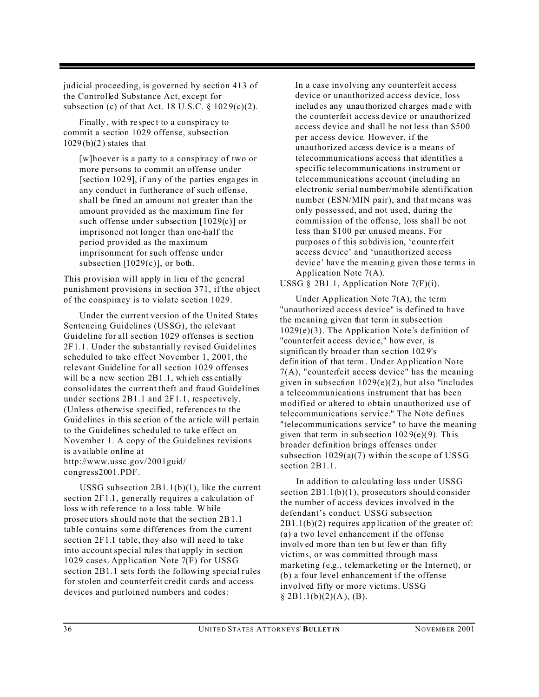judicial proceeding, is governed by section 413 of the Controlled Substance Act, except for subsection (c) of that Act. 18 U.S.C.  $\S 1029(c)(2)$ .

Finally, with respect to a conspira cy to commit a section 1029 offense, subsection  $1029(b)(2)$  states that

[w]hoever is a party to a conspiracy of two or more persons to commit an offense under [sectio n 102 9], if an y of the parties enga ges in any conduct in furtherance of such offense, shall be fined an amount not greater than the amount provided as the maximum fine for such offense under subsection [1029(c)] or imprisoned not longer than one-half the period provided as the maximum imprisonment for such offense under subsection  $[1029(c)]$ , or both.

This provision will apply in lieu of the general punishment provisions in section 371, if the object of the conspiracy is to violate section 1029.

Under the current version of the United States Sentencing Guidelines (USSG), the relevant Guideline for all section 1029 offenses is section 2F1.1. Under the substantially revised Guidelines scheduled to take effect November 1, 2001, the relevant Guideline for all section 1029 offenses will be a new section 2B1.1, which essentially consolidates the current theft and fraud Guidelines under sections 2B1.1 and 2F1.1, respectively. (Unless otherwise specified, references to the Guid elines in this section of the article will pertain to the Guidelines scheduled to take effect on November 1. A copy of the Guidelines revisions is available online at http://www.ussc.gov/2001guid/ congress2001.PDF.

USSG subsection 2B1.1(b)(1), like the current section 2F1.1, generally requires a calculation of loss with refe rence to a loss table. W hile prosec utors sh ould no te that the se ction 2B1.1 table contains some differences from the current section 2F1.1 table, they also will need to take into account special rules that apply in section 1029 cases. Application Note 7(F) for USSG section 2B1.1 sets forth the following special rules for stolen and counterfeit credit cards and access devices and purloined numbers and codes:

In a case involving any counterfeit access device or unauthorized access device, loss includ es any unau thorized charges made with the counterfeit access device or unauthorized access device and shall be not less than \$500 per access device. However, if the unauthorized access device is a means of telecommunications access that identifies a specific telecommunications instrument or telecommunications account (including an electronic serial number/mobile identification number (ESN/MIN pair), and that means was only possessed, and not used, during the commission of the offense, loss shall be not less than \$100 per unused means. For purp oses o f this su bdivision, 'c ounte rfeit access device' and 'unauthorized access device' have the meaning given those terms in Application Note 7(A).

USSG  $\S$  2B1.1, Application Note 7(F)(i).

Under Application Note  $7(A)$ , the term "unauthorized access device" is defined to have the meaning given that term in subsection  $1029(e)(3)$ . The Application Note's definition of "coun terfeit a ccess devic e," how ever, is significan tly broad er than se ction 102 9's definition of that term. Under Application Note 7(A), "counterfeit access device" has the meaning given in subsection 1029(e)(2), but also "includes a telecommunications instrument that has been modified or altered to obtain unauthorized use of telecommunications service." The Note defines "telecommunications service" to have the meaning given that term in subsection  $1029(e)(9)$ . This broader definition brings offenses under subsection  $1029(a)(7)$  within the scope of USSG section 2B1.1.

In addition to calculating loss under USSG section  $2B1.1(b)(1)$ , prosecutors should consider the number of access devices involved in the defendant's conduct. USSG subsection  $2B1.1(b)(2)$  requires app lication of the greater of: (a) a two level enhancement if the offense involved more than ten but fewer than fifty victims, or was committed through mass marketing (e.g., telemarketing or the Internet), or (b) a four level enhancement if the offense involved fifty or more victims. USSG  $§$  2B1.1(b)(2)(A), (B).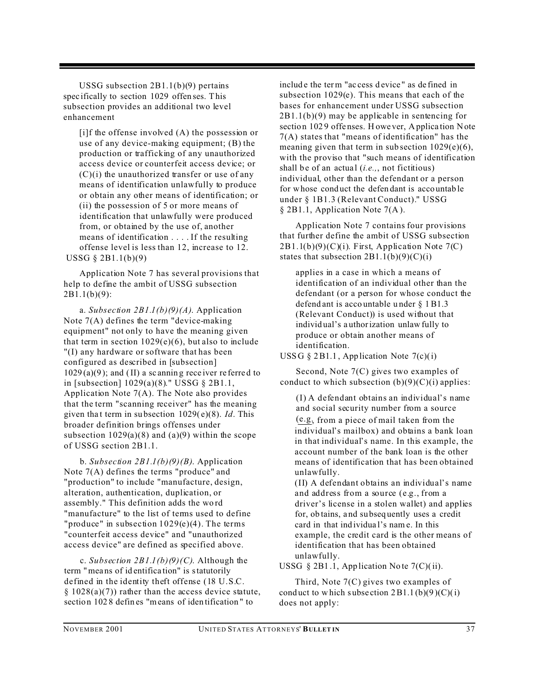USSG subsection 2B1.1(b)(9) pertains spec ifically to section 1029 offen ses. This subsection provides an additional two level enhancement

[i]f the offense involved (A) the possession or use of any device-making equipment; (B) the production or trafficking of any unauthorized access device or counterfeit access device; or  $(C)(i)$  the unauthorized transfer or use of any means of identification unlawfully to produce or obtain any other means of identification; or (ii) the possession of 5 or more means of identification that unlawfully were produced from, or obtained by the use of, another means of identification . . . . If the resulting offense level is less than 12, increase to 12. USSG § 2B1.1(b)(9)

Application Note 7 has several provisions that help to define the ambit of USSG subsection 2B1.1(b)(9):

a. *Subsection 2B1.1(b)(9)(A)*. Application Note  $7(A)$  defines the term "device-making" equipment" not only to have the meaning given that term in section  $1029(e)(6)$ , but also to include "(I) any hardware or software that has been configured as described in [subsection]  $1029(a)(9)$ ; and (II) a sc anning rece iver referred to in [subsection] 1029(a)(8)." USSG § 2B1.1, Application Note 7(A). The Note also provides that the term "scanning receiver" has the meaning given tha t term in su bsection 1029( e)(8). *Id*. This broader definition brings offenses under subsection  $1029(a)(8)$  and  $(a)(9)$  within the scope of USSG section 2B1.1.

b. *Subsection 2B1.1(b)(9)(B)*. Application Note 7(A) defines the terms "produce" and "production" to include "manufacture, design, alteration, authentication, duplication, or assembly." This definition adds the wo rd "manufacture" to the list of terms used to define "produce" in subsection  $1029(e)(4)$ . The terms "counterfeit access device" and "unauthorized access device" are defined as specified above.

c. *Subsection 2B1.1(b)(9)(C)*. Although the term "mea ns of id entifica tion" is statutorily defined in the identity theft offense (18 U.S.C.  $§ 1028(a)(7)$  rather than the access device statute, section 102 8 defin es "means of iden tification " to

includ e the term "ac cess d evice " as de fined in subsection 1029(e). This means that each of the bases for enhancement under USSG subsection 2B1.1(b)(9) may be applicable in sentencing for section 1029 offenses. Howe ver, Application Note 7(A) states that "means of identification" has the meaning given that term in sub section 1029(e)(6), with the proviso that "such means of identification" shall be of an actual (*i.e.*,, not fictitious) individual, other than the defendant or a person for whose cond uct the defen dant is acco untab le under § 1B1.3 (Relevant Conduct)." USSG § 2B1.1, Application Note 7(A ).

Application Note 7 contains four provisions that further define the ambit of USSG subsection  $2B1.1(b)(9)(C)(i)$ . First, Application Note 7(C) states that subsection  $2B1.1(b)(9)(C)(i)$ 

applies in a case in which a means of identification of an individual other than the defendant (or a person for whose conduct the defend ant is acco untable u nder § 1B1.3 (Relevant Conduct)) is used without that individ ual's a uthorization unlaw fully to produce or obtain another means of identification.

USS G  $\S$  2B1.1, App lication Note 7(c)(i)

Second, Note 7(C) gives two examples of conduct to which subsection  $(b)(9)(C)(i)$  applies:

(I) A defendant obtains an individual's name and social security number from a source (e.g., from a piece of mail taken from the individual's mailbox) and obtains a bank loan in that individual's name. In this example, the account number of the bank loan is the other means of identification that has been obtained unlawfully.

(II) A defendant obtains an individual's name and address from a source (e.g., from a driver's license in a stolen wallet) and applies for, ob tains, and su bseq uently uses a credit card in that ind ividua l's nam e. In this example, the credit card is the other means of identification that has been obtained unlawfully.

USSG § 2B1.1, App lication No te  $7(C)(ii)$ .

Third, Note 7(C) gives two examples of conduct to which subsection  $2B1.1(b)(9)(C)(i)$ does not apply: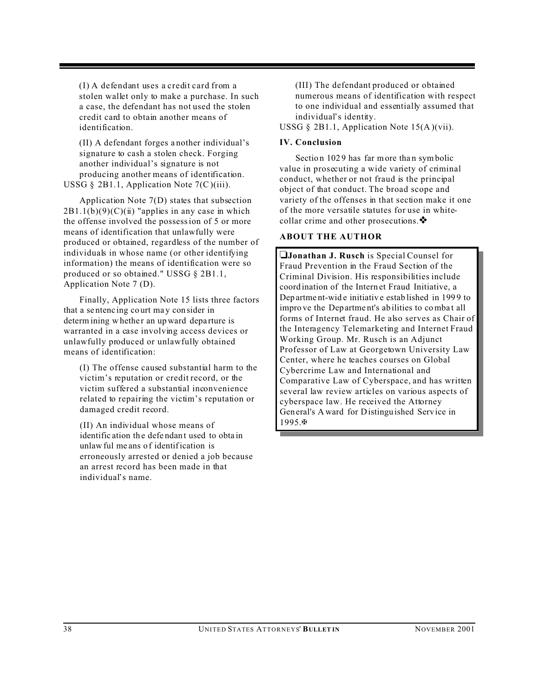(I) A defendant uses a credit card from a stolen wallet only to make a purchase. In such a case, the defendant has not used the stolen credit card to obtain another means of identification.

(II) A defendant forges a nother individual's signature to cash a stolen check. Forging another individual's signature is not producing another means of identification. USSG § 2B1.1, Application Note  $7(C)(iii)$ .

Application Note 7(D) states that subsection  $2B1.1(b)(9)(C)(ii)$  "applies in any case in which the offense involved the possession of 5 or more means of identification that unlawfully were produced or obtained, regardless of the number of individuals in whose name (or other identifying information) the means of identification were so produced or so obtained." USSG § 2B1.1, Application Note 7 (D).

Finally, Application Note 15 lists three factors that a se ntenc ing co urt ma y con sider in determ ining w hether an up ward departure is warranted in a case involving access devices or unlawfully produced or unlawfully obtained means of identification:

(I) The offense caused substantial harm to the victim's reputation or credit record, or the victim suffered a substantial inconvenience related to repairing the victim's reputation or damaged credit record.

(II) An individual whose means of identific ation the defendant used to obtain unlaw ful me ans o f identification is erroneously arrested or denied a job because an arrest record has been made in that individual's name.

(III) The defendant produced or obtained numerous means of identification with respect to one individual and essentially assumed that individual's identity.

USSG § 2B1.1, Application Note  $15(A)(vii)$ .

#### **IV. Conclusion**

Section 1029 has far more than symbolic value in prosecuting a wide variety of criminal conduct, whether or not fraud is the principal object of that conduct. The broad scope and variety of the offenses in that section make it one of the more versatile statutes for use in whitecollar crime and other prosecutions.

#### **ABOUT THE AUTHOR**

**Jonathan J. Rusch** is Special Counsel for Fraud Prevention in the Fraud Section of the Criminal Division. His responsibilities include coord ination of the Intern et Fraud Initiative, a Dep artment-wide initiative established in 1999 to impro ve the Dep artme nt's ab ilities to comba t all forms of Internet fraud. He also serves as Chair of the Interagency Telemarketing and Internet Fraud Working Group. Mr. Rusch is an Adjunct Professor of Law at Georgetown University Law Center, where he teaches courses on Global Cybercrime Law and International and Comparative Law of Cyberspace, and has written several law review articles on various aspects of cyberspace law. He received the Attorney Gen eral's A ward for Distingu ished Serv ice in 1995.a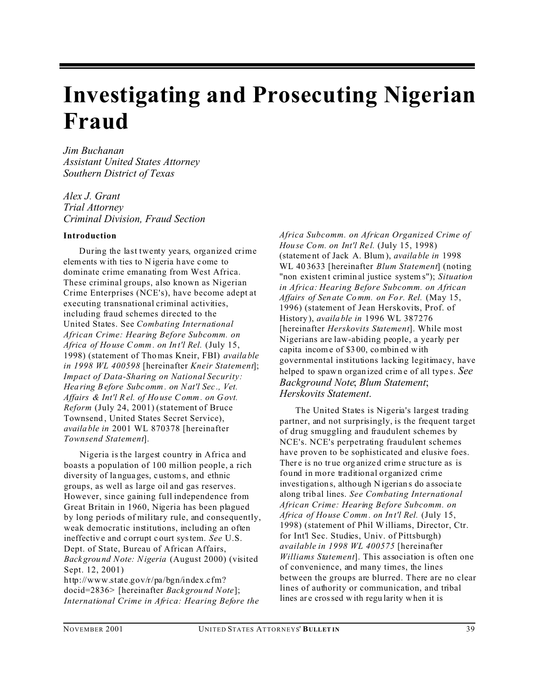### **Investigating and Prosecuting Nigerian Fraud**

*Jim Buchanan Assistant United States Attorney Southern District of Texas*

*Alex J. Grant Trial Attorney Criminal Division, Fraud Section*

#### **Introduction**

During the last twenty years, organized crime elements w ith ties to N igeria h ave c ome to dominate crime emanating from West Africa. These criminal groups, also known as Nigerian Crime Enterprises (NCE's), have become adept at executing transnational criminal activities, including fraud schemes directed to the United States. See *Combating International African Crime: Hearing Before Subcomm. on Africa of Ho use Comm . on In t'l Rel.* (July 15, 1998) (statement of Thomas Kneir, FBI) *availa ble in 1998 WL 400598* [hereinafter *Kneir Statement*]; *Impact of Data-Sharing on National Security: Hea ring Before Subc omm . on Nat'l Sec ., Vet. Affairs & Int'l R el. of Ho use Comm . on Govt. Reform* (July 24, 2001) (statement of Bruce Townsend, United States Secret Service), *availa ble in* 2001 WL 870378 [hereinafter *Townsend Statement*].

Nigeria is the largest country in Africa and boasts a population of 100 million people, a rich diversity of la ngua ges, c ustom s, and ethnic groups, as well as large oil and gas reserves. However, since gaining full independence from Great Britain in 1960, Nigeria has been plagued by long periods of military rule, and consequently, weak democratic institutions, including an often ineffectiv e and c orrupt c ourt system. *See* U.S. Dept. of State, Bureau of African Affairs, *Back grou nd Note: Nigeria* (August 2000) (visited Sept. 12, 2001)

http://www.state.gov/r/pa/bgn/index.cfm? docid=2836> [hereinafter *Back grou nd Note*]; *International Crime in Africa: Hearing Before the* *Africa Subcomm. on African Organized Crime of Hou se Com. on Int'l Re l.* (July 15, 1998) (stateme nt of Jack A. Blum ), *availa ble in* 1998 WL 40 3633 [hereinafter *Blum Statement*] (noting "non existen t crimin al justice system s"); *Situation in Africa: Hearing Before Subcomm. on African Affairs of Sen ate Co mm. on Fo r. Rel.* (May 15, 1996) (statement of Jean Herskovits, Prof. of History ), *availa ble in* 1996 WL 387276 [hereinafter *Herskovits Statement*]. While most Nigerians are law-abiding people, a yearly per capita incom e of \$3 00, combin ed with governmental institutions lacking legitimacy, have helped to spawn organ ized crime of all type s. *See Background Note*; *Blum Statement*; *Herskovits Statement*.

The United States is Nigeria's largest trading partner, and not surprisingly, is the frequent target of drug smuggling and fraudulent schemes by NCE's. NCE's perpetrating fraudulent schemes have proven to be sophisticated and elusive foes. There is no true organized crime structure as is found in more traditional organized crime investigation s, altho ugh N igerian s do a ssocia te along trib al lines. *See Combating International African Crime: Hearing Before Subcomm. on Africa of Ho use Comm . on In t'l Rel.* (July 15, 1998) (statement of Phil Williams, Director, Ctr. for Int'l Sec. Studies, Univ. of Pittsburgh) *available in 1998 WL 400575* [hereinafter *Williams Statement*]. This association is often one of convenience, and many times, the lines between the groups are blurred. There are no clear lines of authority or communication, and tribal lines are crossed with regularity when it is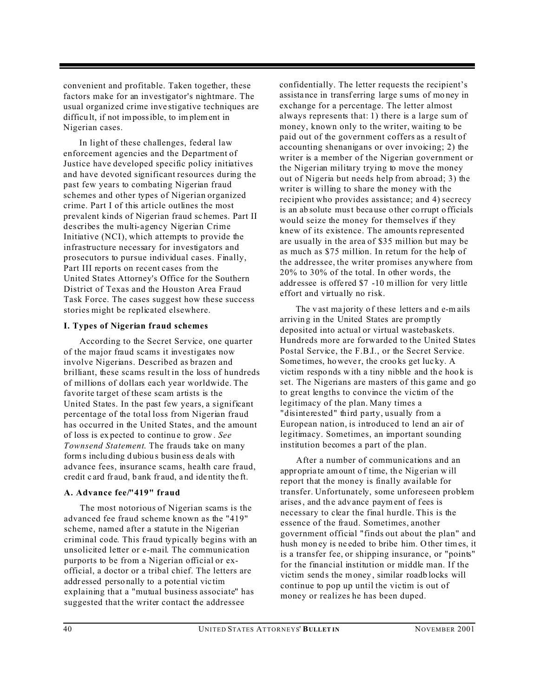convenient and profitable. Taken together, these factors make for an investigator's nightmare. The usual organized crime inve stigative techniques are difficu lt, if not impossible, to im plement in Nigerian cases.

In light of these challenges, federal law enforcement agencies and the Department of Justice have developed specific policy initiatives and have devoted significant resources during the past few years to combating Nigerian fraud schemes and other types of Nigerian organized crime. Part I of this article outlines the most prevalent kinds of Nigerian fraud sc hemes. Part II describes the multi-agency Nigerian Crime Initiative (NCI), which attempts to provide the infrastructure necessary for investigators and prosecutors to pursue individual cases. Finally, Part III reports on recent cases from the United States Attorney's Office for the Southern District of Texas and the Houston Area Fraud Task Force. The cases suggest how these success stories might be replicated elsewhere.

#### **I. Types of Nigerian fraud schemes**

According to the Secret Service, one quarter of the major fraud scams it investigates now involve Nigerians. Described as brazen and brilliant, these scams result in the loss of hundreds of millions of dollars each year worldwide. The favorite target of these scam artists is the United States. In the past few years, a significant percentage of the total loss from Nigerian fraud has occurred in the United States, and the amount of loss is ex pected to continu e to grow . *See Townsend Statement*. The frauds take on many forms inclu ding d ubiou s busin ess de als with advance fees, insurance scams, health care fraud, credit c ard fr aud, b ank fr aud, a nd ide ntity the ft.

#### **A. Advance fee/"419" fraud**

The most notorious of Nigerian scams is the advanced fee fraud scheme known as the "419" scheme, named after a statute in the Nigerian criminal code. This fraud typically begins with an unsolicited letter or e-mail. The communication purports to be from a Nigerian official or exofficial, a doctor or a tribal chief. The letters are addr essed perso nally to a pote ntial vic tim explaining that a "mutual business associate" has suggested that the writer contact the addressee

confidentially. The letter requests the recipient's assistance in transferring large sums of money in exchange for a percentage. The letter almost always represents that: 1) there is a large sum of money, known only to the writer, waiting to be paid out of the government coffers as a result of accounting shenanigans or over invoicing; 2) the writer is a member of the Nigerian government or the Nigerian military trying to move the money out of Nigeria but needs help from abroad; 3) the writer is willing to share the money with the recipient who provides assistance; and 4) secrecy is an ab solute must beca use o ther co rrupt o fficials would seize the money for themselves if they knew of its existence. The amounts represented are usually in the area of \$35 million but may be as much as \$75 million. In return for the help of the addressee, the writer promises anywhere from 20% to 30% of the total. In other words, the addr essee is offe red \$7 -10 million for very little effort and virtually no risk.

The v ast ma jority o f these letters a nd e-m ails arrivin g in the United States are pr omp tly deposited into actual or virtual wastebaskets. Hundreds more are forwarded to the United States Postal Service, the F.B.I., or the Secret Service. Some times, however, the crooks get lucky. A victim responds with a tiny nibble and the hook is set. The Nigerians are masters of this game and go to great lengths to convince the victim of the legitimacy of the plan. Many times a "disinterested" third party, usually from a European nation, is introduced to lend an air of legitimacy. Sometimes, an important sounding institution becomes a part of the plan.

After a number of communications and an appr opria te amount o f time, th e Nig erian w ill report that the money is finally available for transfer. Unfortunately, some unforeseen problem arises, and the advance paym ent of fees is necessary to clear the final hurdle. This is the essence of the fraud. Sometimes, another government official "finds out about the plan" and hush mon ey is ne eded to bribe him. O ther times, it is a transfer fee, or shipping insurance, or "points" for the financial institution or middle man. If the victim sends the money, similar roadb locks will continue to pop up until the victim is out of money or realizes he has been duped.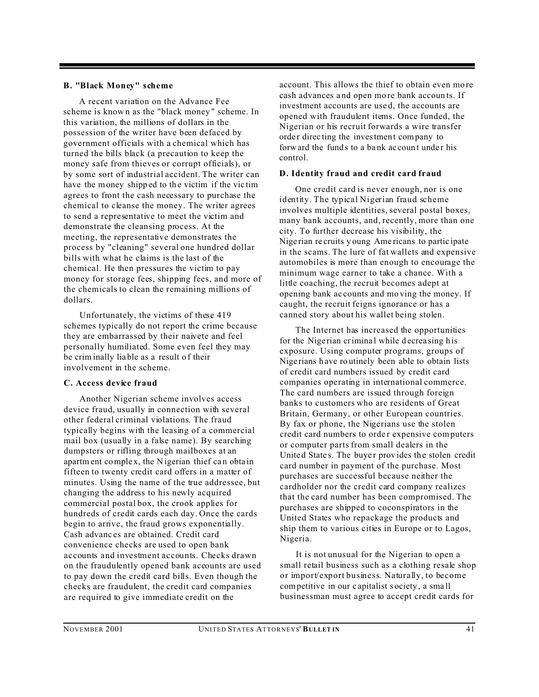#### **B. "Black Money" scheme**

A recent variation on the Advance Fee scheme is know n as the "black money " scheme. In this variation, the millions of dollars in the possession of the writer have been defaced by government officials with a chemical which has turned the bills black (a precaution to keep the money safe from thieves or corrupt officials), or by some sort of industrial accident. The writer can have the money shipped to the victim if the victim agrees to front the cash necessary to purchase the chemical to cleanse the money. The writer agrees to send a representative to meet the victim and demonstrate the cleansing process. At the meeting, the representative demonstrates the process by "cleaning" several one hundred dollar bills with what he claims is the last of the chemical. He then pressures the victim to pay money for storage fees, shipping fees, and more of the chemicals to clean the remaining millions of dollars.

Unfortunately, the victims of these 419 schemes typically do not report the crime because they are embarrassed by their naivete and feel personally humiliated. Some even feel they may be crim inally lia ble as a result o f their involvement in the scheme.

#### **C. Access device fraud**

Another Nigerian scheme involves access device fraud, usually in connection with several other federal criminal violations. The fraud typically begins with the leasing of a commercial mail box (usually in a false name). By searching dumpsters or rifling through mailboxes at an apartm ent complex, the N igerian thief can obtain fifteen to twenty credit card offers in a matter of minutes. Using the name of the true addressee, but changing the address to his newly acquired commercial postal box, the crook applies for hundreds of credit cards each day. Once the cards begin to arrive, the fraud grows exponentially. Cash advanc es are obtained. Credit card convenience checks are used to open bank accounts and investment accounts. Checks drawn on the fraudulently opened bank accounts are used to pay down the credit card bills. Even though the checks are fraudulent, the credit card companies are required to give immediate credit on the

account. This allows the thief to obtain even more cash advances a nd open mo re bank accoun ts. If investment accounts are use d, the accounts are opened with fraudulent items. Once funded, the Nigerian or his recruit forwards a wire transfer order directing the investment company to forward the funds to a bank account under his control.

#### **D. Identity fraud and credit card fraud**

One credit card is never enough, nor is one identity. The typical Nigerian fraud scheme involves multiple identities, several postal boxes, many bank accounts, and, recently, more than one city. To further decrease his visibility, the Nige rian re cruits y oung Ame ricans to partic ipate in the scams. The lure of fat wallets and expensive automobiles is more than enough to encourage the minimum wage earner to take a chance. With a little coaching, the recruit becomes adept at opening bank ac counts and mo ving the money. If caught, the recruit feigns ignorance or has a canned story about his wallet being stolen.

The Internet has increased the opportunities for the Nigerian criminal while decreasing his exposure. Using computer programs, groups of Nige rians h ave ro utinely been able to obtain lists of credit card numbers issued by credit card companies operating in international commerce. The card numbers are issued through foreign banks to customers who are residents of Great Britain, Germany, or other European countries. By fax or phone, the Nigerians use the stolen credit card numbers to order expensive computers or computer parts from small dealers in the United States. The buyer provides the stolen credit card number in payment of the purchase. Most purchases are successful because neither the cardholder nor the credit card company realizes that the card number has been compromised. The purchases are shipped to coconspirators in the United States who repackage the products and ship them to various cities in Europe or to Lagos, Nigeria.

It is not unusual for the Nigerian to open a small retail business such as a clothing resale shop or import/export business. Naturally, to become competitive in our c apitalist s ociety , a sma ll businessman must agree to accept credit cards for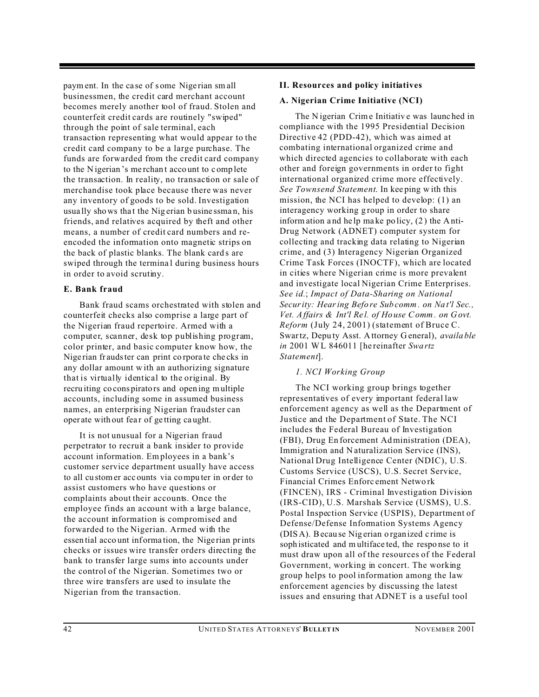paym ent. In the ca se of s ome Nige rian sm all businessmen, the credit card merchant account becomes merely another tool of fraud. Stolen and counterfeit credit cards are routinely "swiped" through the point of sale terminal, each transaction representing what would appear to the credit card company to be a large purchase. The funds are forwarded from the credit card company to the N igerian 's me rchan t acco unt to c omp lete the transaction. In reality, no transaction or sale of merchandise took place because there was never any inventory of goods to be sold. Investigation usually shows that the Nig erian busine ssman, his friends, and relatives acquired by theft and other means, a number of credit card numbers and reencoded the information onto magnetic strips on the back of plastic blanks. The blank cards are swiped through the termina l during business hours in order to avoid scrutiny.

#### **E. Bank fraud**

Bank fraud scams orchestrated with stolen and counterfeit checks also comprise a large part of the Nigerian fraud repertoire. Armed with a computer, scanner, desk top publishing program, color printer, and basic computer know how, the Nige rian fr audster can print co rpora te che cks in any dollar amount w ith an authorizing signature that is virtually identical to the original. By recru iting co cons pirators and open ing multiple accounts, including some in assumed business names, an enterprising Nigerian fraudster can oper ate with out fea r of ge tting ca ught.

It is not unusual for a Nigerian fraud perpetrator to recruit a bank insider to provide account information. Employees in a bank's customer service department usually have access to all cu stomer acc ounts via compu ter in or der to assist customers who have questions or complaints about their accounts. Once the employee finds an account with a large balance, the account information is compromised and forwarded to the Nigerian. Armed with the essen tial acco unt information, the Nigerian prints checks or issues wire transfer orders directing the bank to transfer large sums into accounts under the control of the Nigerian. Sometimes two or three wire transfers are used to insulate the Nigerian from the transaction.

#### **II. Resources and policy initiatives**

#### **A. Nigerian Crime Initiative (NCI)**

The N igerian Crime Initiativ e was launc hed in compliance with the 1995 Presidential Decision Directive 42 (PDD-42), which was aimed at combating international organized crime and which directed agencies to collaborate with each other and foreign governments in order to fight international organized crime more effectively. *See Townsend Statement*. In kee ping w ith this mission, the NCI has helped to develop: (1) an interagency working group in order to share inform ation a nd he lp ma ke po licy, (2) the Anti-Drug Network (ADNET) computer system for collecting and tracking data relating to Nigerian crime, and (3) Interagency Nigerian Organized Crime Task Forces (INOCTF), which are located in cities where Nigerian crime is more prevalent and investigate local Nigerian Crime Enterprises. *See id.*; *Impact of Data-Sharing on National Security: Hearing Befo re Sub comm . on Na t'l Sec., Vet. Affairs & Int'l Re l. of Ho use Comm . on Govt. Reform* (July 24, 2001) (statement of Bruce C. Swartz, Depu ty Asst. A ttorney G eneral), *availa ble in* 2001 WL 846011 [he reinafter *Swa rtz Statement*].

#### *1. NCI Working Group*

The NCI working group brings together representatives of every important federal law enforcement agency as well as the Department of Justice and the Department of State. The NCI includes the Federal Bureau of Investigation (FBI), Drug En forcement Administration (DEA), Immigration and N aturalization Service (INS), National Drug Intelligence Center (NDIC), U.S. Customs Service (USCS), U.S. Secret Service, Financial Crimes Enforc ement Netwo rk (FINCEN), IRS - Criminal Investigation Division (IRS-CID), U.S. Marshals Service (USMS), U.S. Postal Inspection Service (USPIS), Department of Defense/Defense Information Systems Agency (DISA). Becau se Nig erian o rgan ized c rime is soph isticated and m ultiface ted, the respo nse to it must draw upon all of the resources of the Federal Government, working in concert. The working group helps to pool information among the law enforcement agencies by discussing the latest issues and ensuring that ADNET is a useful tool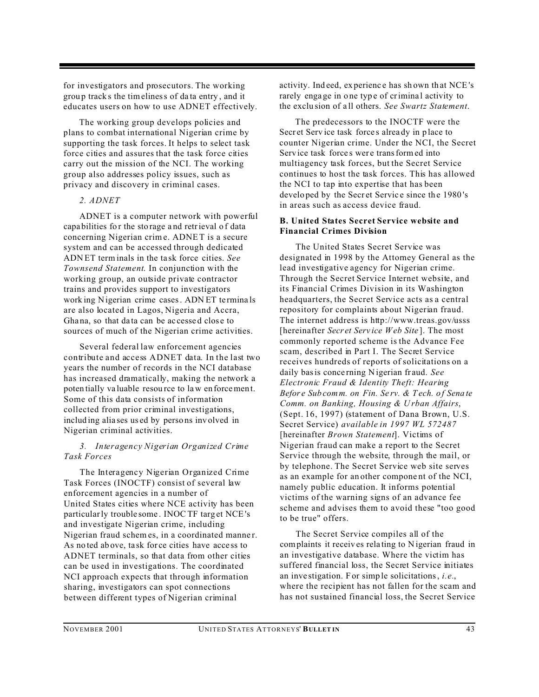for investigators and prosecutors. The working grou p track s the timeliness of da ta entry , and it educates users on how to use ADNET effectively.

The working group develops policies and plans to combat international Nigerian crime by supporting the task forces. It helps to select task force cities and assures that the task force cities carry out the mission of the NCI. The working group also addresses policy issues, such as privacy and discovery in criminal cases.

#### *2. ADNET*

ADNET is a computer network with powerful capa bilities fo r the sto rage a nd retrieval o f data concerning Nigerian crime. ADNET is a secure system and can be accessed through dedicated ADN ET term inals in the ta sk force cities. *See Townsend Statement*. In conjunction with the working group, an outside private contractor trains and provides support to investigators work ing Nigerian crime cases. ADN ET te rmina ls are also located in Lagos, Nigeria and Accra, Ghana, so that data can be accessed close to sources of much of the Nigerian crime activities.

Several federal law enforcement agencies contribute and access ADNET data. In the last two years the number of records in the NCI database has increased dramatically, making the network a poten tially va luable resou rce to law en forcemen t. Some of this data consists of information collected from prior criminal investigations, includ ing alia ses us ed by perso ns inv olved in Nigerian criminal activities.

#### *3. Interagency Nigerian Organized Crime Task Forces*

The Interagency Nigerian Organized Crime Task Forces (INOCTF) consist of several law enforcement agencies in a number of United States cities where NCE activity has been particularly trouble some . INOCTF targ et NCE 's and investigate Nigerian crime, including Nigerian fraud schemes, in a coordinated manner. As no ted ab ove, ta sk for ce cities have acce ss to ADNET terminals, so that data from other cities can be used in investigations. The coordinated NCI approach expects that through information sharing, investigators can spot connections between different types of Nigerian criminal

activity. Ind eed, ex perienc e has sh own th at NCE 's rarely engage in one type of criminal activity to the exclu sion of a ll others. *See Swartz Statement*.

The predecessors to the INOCTF were the Secret Service task forces already in place to counter Nigerian crime. Under the NCI, the Secret Service task forces were transformed into multiagency task forces, but the Secret Service continues to host the task forces. This has allowed the NCI to tap into expertise that has been developed by the Secret Service since the 1980's in areas such as access device fraud.

#### **B. United States Secret Service website and Financial Crimes Division**

The United States Secret Service was designated in 1998 by the Attorney General as the lead investigative agency for Nigerian crime. Through the Secret Service Internet website, and its Financial Crimes Division in its Washington headquarters, the Secret Service acts as a central repository for complaints about Nigerian fraud. The internet address is http://www.treas.gov/usss [hereinafter *Secr et Serv ice Web Site* ]. The most commonly reported scheme is the Advance Fee scam, described in Part I. The Secret Service receives hundreds of reports of solicitations on a daily basis conce rning N igerian fr aud. *See Electronic Fraud & Identity Theft: Hearing Befor e Sub comm. on Fin. Se rv. & T ech. o f Sena te Comm. on Banking, Housing & U rban Affairs*, (Sept. 16, 1997) (statement of Dana Brown, U.S. Secret Service) *available in 1997 WL 572487* [hereinafter *Brown Statement*]. Victims of Nigerian fraud can make a report to the Secret Service through the website, through the mail, or by telephone. The Secret Service web site serves as an example for an other compone nt of the NCI, namely public education. It informs potential victims of the warning signs of an advance fee scheme and advises them to avoid these "too good to be true" offers.

The Secret Service compiles all of the complaints it receiv es rela ting to N igerian fraud in an investigative database. Where the victim has suffered financial loss, the Secret Service initiates an inve stigation. For simp le solicitations, *i.e.*, where the recipient has not fallen for the scam and has not sustained financial loss, the Secret Service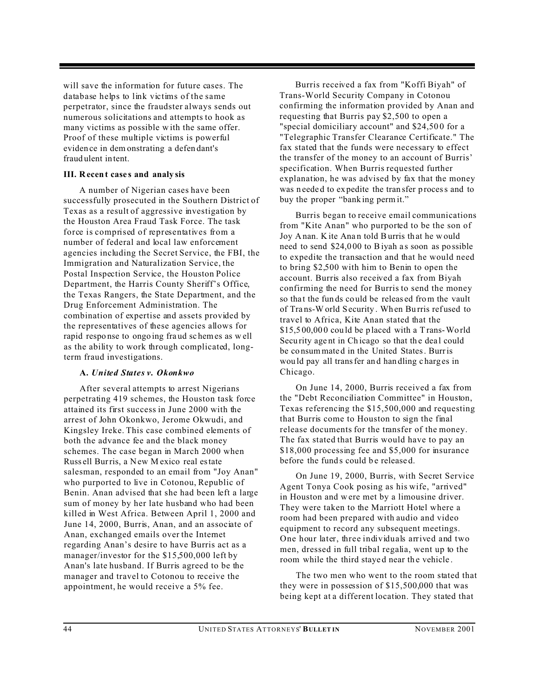will save the information for future cases. The database helps to link victims of the same perpetrator, since the fraudster always sends out numerous solicitations and attempts to hook as many victims as possible w ith the same offer. Proof of these multiple victims is powerful eviden ce in dem onstrating a defen dant's fraud ulent in tent.

#### **III. Recent case s and analy sis**

A number of Nigerian cases have been successfully prosecuted in the Southern District of Texas as a result of aggressive investigation by the Houston Area Fraud Task Force. The task force is comprised of representatives from a number of federal and local law enforcement agencies including the Secret Service, the FBI, the Immigration and Naturalization Service, the Postal Inspection Service, the Houston Police Department, the Harris County Sheriff's Office, the Texas Rangers, the State Department, and the Drug Enforcement Administration. The combination of expertise and assets provided by the representatives of these agencies allows for rapid respo nse to ongo ing fra ud sc hemes as w ell as the ability to work through complicated, longterm fraud investigations.

#### **A.** *United States v. Okonkwo*

After several attempts to arrest Nigerians perpetrating 419 schemes, the Houston task force attained its first success in June 2000 with the arrest of John Okonkwo, Jerome Okwudi, and Kingsley Ireke. This case combined elements of both the advance fee and the black money schemes. The case began in March 2000 when Russ ell Burris, a New M exico real estate salesman, responded to an email from "Joy Anan" who purported to live in Cotonou, Republic of Benin. Anan advised that she had been left a large sum of money by her late husband who had been killed in West Africa. Between April 1, 2000 and June 14, 2000, Burris, Anan, and an associate of Anan, exchanged emails over the Internet regarding Anan's desire to have Burris act as a manager/investor for the \$15,500,000 left by Anan's late husband. If Burris agreed to be the manager and travel to Cotonou to receive the appointment, he would receive a 5% fee.

Burris received a fax from "Koffi Biyah" of Trans-World Security Company in Cotonou confirming the information provided by Anan and requesting that Burris pay \$2,500 to open a "special domiciliary account" and \$24,500 for a "Telegraphic Transfer Clearance Certificate." The fax stated that the funds were necessary to effect the transfer of the money to an account of Burris' specification. When Burris requested further explanation, he was advised by fax that the money was n eede d to ex pedite the tran sfer p rocess and to buy the proper "bank ing perm it."

Burris began to receive email communications from "Kite Anan" who purported to be the son of Joy A nan. K ite Ana n told Burris th at he w ould need to send \$24,000 to Biyah as soon as possible to expedite the transaction and that he would need to bring \$2,500 with him to Benin to open the account. Burris also received a fax from Biyah confirming the need for Burris to send the money so that the funds could be released from the vault of Tra ns-W orld Security . Wh en Bu rris ref used to travel to Africa, Kite Anan stated that the \$15,5 00,00 0 cou ld be p laced with a T rans-Wo rld Security agent in Chicago so that the deal could be co nsum mate d in the United States. Burris wou ld pay all transfer an d han dling c harg es in Chicago.

On June 14, 2000, Burris received a fax from the "Debt Reconciliation Committee" in Houston, Texas referencing the \$15,500,000 and requesting that Burris come to Houston to sign the final release documents for the transfer of the money. The fax stated that Burris would have to pay an \$18,000 processing fee and \$5,000 for insurance before the funds could be released.

On June 19, 2000, Burris, with Secret Service Agent Tonya Cook posing as his wife, "arrived" in Houston and w ere met by a limousine driver. They were taken to the Marriott Hotel where a room had been prepared with audio and video equipment to record any subsequent meetings. One hour later, three individuals arrived and two men, dressed in full tribal regalia, went up to the room while the third stayed near the vehicle.

The two men who went to the room stated that they were in possession of \$15,500,000 that was being kept at a different location. They stated that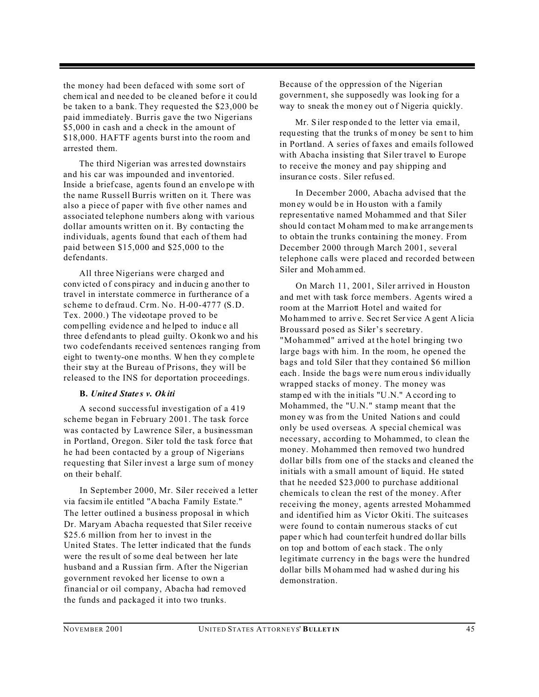the money had been defaced with some sort of chem ical an d nee ded to be cle aned befor e it cou ld be taken to a bank. They requested the \$23,000 be paid immediately. Burris gave the two Nigerians \$5,000 in cash and a check in the amount of \$18,000. HAFTF agents burst into the room and arrested them.

The third Nigerian was arrested downstairs and his car was impounded and inventoried. Inside a brief case, agen ts foun d an e nvelo pe with the name Russell Burris written on it. There was also a piece of paper with five other names and associated telephone numbers along with various dollar amounts written on it. By contacting the individuals, agents found that each of them had paid between \$15,000 and \$25,000 to the defendants.

All three Nigerians were charged and conv icted o f cons piracy and in ducin g ano ther to travel in interstate commerce in furtherance of a scheme to defraud. Crm. No. H-00-4777 (S.D. Tex. 2000.) The videotape proved to be compelling evide nce a nd he lped to induc e all three d efend ants to plead guilty. O konk wo a nd his two codefendants received sentences ranging from eight to twen ty-on e mo nths. W hen th ey comple te their stay at the Bureau of Prisons, they will be released to the INS for deportation proceedings.

#### **B.** *Unite d State s v. Ok iti*

A second successful investigation of a 419 scheme began in February 2001. The task force was contacted by Lawrence Siler, a businessman in Portland, Oregon. Siler told the task force that he had been contacted by a group of Nigerians requesting that Siler invest a large sum of money on their b ehalf.

In September 2000, Mr. Siler received a letter via facsim ile entitled "Abacha Family Estate." The letter outlined a business proposal in which Dr. Maryam Abacha requested that Siler receive \$25.6 million from her to invest in the United States. The letter indicated that the funds were the result of some deal between her late husband and a Russian firm. After the Nigerian government revoked her license to own a financial or oil company, Abacha had removed the funds and packaged it into two trunks.

Because of the oppression of the Nigerian governmen t, she supposedly was look ing for a way to sneak the money out of Nigeria quickly.

Mr. S iler resp onded to the letter via email, requ esting that the trunk s of money be sen t to him in Portland. A series of faxes and emails followed with Abacha insisting that Siler travel to Europe to receive the money and pay shipping and insuran ce costs. Siler refus ed.

In December 2000, Abacha advised that the mon ey would be in Houston with a family representative named Mohammed and that Siler shou ld con tact Moham med to ma ke arr angemen ts to obtain the trunks containing the money. From December 2000 through March 2001, several telephone calls were placed and recorded between Siler and Moh ammed.

On March 11, 2001, Siler arrived in Houston and met with task force members. Agents wired a room at the Marriott Hotel and waited for Mo hammed to arriv e. Sec ret Ser vice A gent A licia Broussard posed as Siler's secretary. "Mohammed" arrived at the hotel bringing two large bags with him. In the room, he opened the bags and told Siler that they contained \$6 million each. Inside the bags we re num erous individually wrapped stacks of money. The money was stamp ed with the in itials "U.N." Accord ing to Mohammed, the "U.N." stamp meant that the mon ey was from the United Nation s and could only be used overseas. A special chemical was necessary, according to Mohammed, to clean the money. Mohammed then removed two hundred dollar bills from one of the stacks and cleaned the initials with a small amount of liquid. He stated that he needed \$23,000 to purchase additional chemicals to clean the rest of the money. After receiving the money, agents arrested Mohammed and identified him as Victor Okiti. The suitcases were found to contain numerous stacks of cut paper which had counterfeit hundred do llar bills on top and b ottom of eac h stack . The o nly legitimate currency in the bags were the hundred dollar bills Moham med had w ashe d during his demonstration.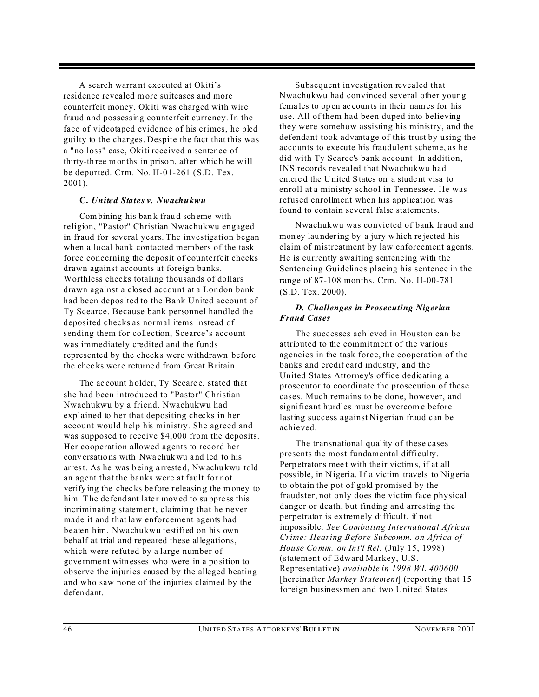A search warra nt executed at Okiti's residence revealed more suitcases and more counterfeit money. Ok iti was charged with wire fraud and possessing counterfeit currency. In the face of videotaped evidence of his crimes, he pled guilty to the charges. Despite the fact that this was a "no loss" case, Okiti received a sentence of thirty-th ree months in priso n, after whic h he w ill be deported. Crm. No. H-01-261 (S.D. Tex. 2001).

#### **C.** *United States v. Nwachukwu*

Combining his ban k frau d sch eme with religion, "Pastor" Christian Nwachukwu engaged in fraud for several years. The investigation began when a local bank contacted members of the task force concerning the deposit of counterfeit checks drawn against accounts at foreign banks. Worthless checks totaling thousands of dollars drawn against a closed account at a London bank had been deposited to the Bank United account of Ty Scearce. Because bank personnel handled the deposited checks as normal items instead of sending them for collection, Scearce's account was immediately credited and the funds represented by the check s were withdrawn before the chec ks wer e returne d from Great Britain.

The ac count h older, Ty Scearc e, stated that she had been introduced to "Pastor" Christian Nwachukwu by a friend. Nwachukwu had explained to her that depositing checks in her account would help his ministry. She agreed and was supposed to receive \$4,000 from the deposits. Her cooperation allowed agents to record her conv ersatio ns with Nwa chukwu a nd led to his arrest. As he was b eing a rreste d, Nw achu kwu told an agent that the banks were at fault for not verify ing the chec ks be fore r eleasin g the m oney to him. The defend ant later moved to suppress this incriminating statement, claiming that he never made it and that law enforcement agents had beaten him. Nwachukwu testified on his own behalf at trial and repeated these allegations, which were refuted by a large number of gove rnme nt witn esses who were in a po sition to observe the injuries caused by the alleged beating and who saw none of the injuries claimed by the defen dant.

Subsequent investigation revealed that Nwachukwu had convinced several other young fema les to op en ac coun ts in their names for his use. All of them had been duped into believing they were somehow assisting his ministry, and the defendant took advantage of this trust by using the accounts to execute his fraudulent scheme, as he did with Ty Searce's bank account. In addition, INS records revealed that Nwachukwu had entere d the U nited S tates on a stude nt visa to enroll at a ministry school in Tennessee. He was refused enrollment when his application was found to contain several false statements.

Nwachukwu was convicted of bank fraud and mon ey lau ndering by a jury w hich re jected his claim of mistreatment by law enforcement agents. He is currently awaiting sentencing with the Sentencing Guidelines placing his sentence in the range of 87-108 months. Crm. No. H-00-781 (S.D. Tex. 2000).

#### *D. Challenges in Prosecuting Nigerian Fraud Cases*

The successes achieved in Houston can be attributed to the commitment of the various agencies in the task force, the cooperation of the banks and credit card industry, and the United States Attorney's office dedicating a prosecutor to coordinate the prosecution of these cases. Much remains to be done, however, and significant hurdles must be overcom e before lasting success against Nigerian fraud can be achieved.

The transnational quality of these cases presents the most fundamental difficulty. Perp etrators mee t with the ir victims, if at all possible, in Nigeria. If a victim travels to Nigeria to obtain the pot of gold promised by the fraudster, not only does the victim face physical danger or death, but finding and arresting the perpetrator is extremely difficult, if not impossible. *See Combating International African Crime: Hearing Before Subcomm. on Africa of Hou se Comm. on Int'l Rel.* (July 15, 1998) (statement of Edward Markey, U.S. Representative) *available in 1998 WL 400600* [hereinafter *Markey Statement*] (reporting that 15 foreign businessmen and two United States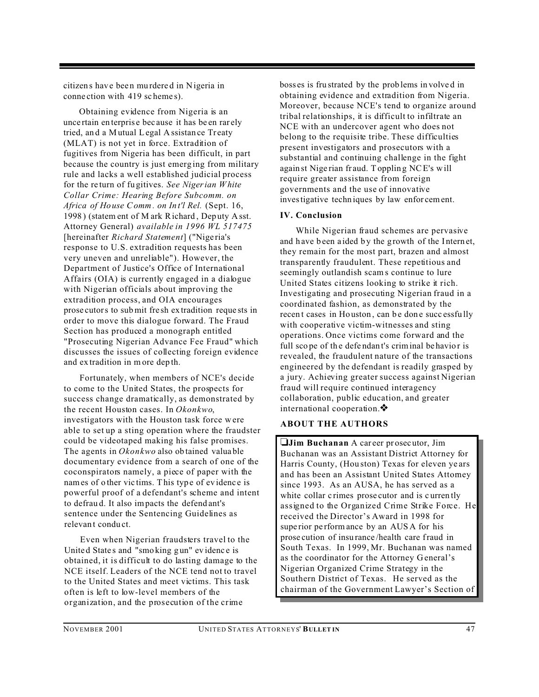citizen s hav e bee n mu rdere d in Nigeria in conne ction with 419 sc heme s).

Obtaining evidence from Nigeria is an unce rtain en terpris e bec ause it has be en rar ely tried, and a Mutual Legal A ssistance Treaty (MLAT) is not yet in force. Extradition of fugitives from Nigeria has been difficult, in part because the country is just emerg ing from military rule and lacks a well established judicial process for the re turn of fu gitives. *See Nigerian W hite Collar Crime: Hearing Before Subcomm. on Africa of Ho use Comm . on In t'l Rel.* (Sept. 16, 1998 ) (statem ent of M ark Richard , Dep uty Asst. Attorney General) *available in 1996 WL 517475* [hereinafter *Richard Statement*] ("Nige ria's response to U.S. extradition requests has been very uneven and unreliable"). However, the Department of Justice's Office of International Affairs (OIA) is currently engaged in a dialogue with Nigerian officials about improving the extradition process, and OIA encourages prose cutors to submit fre sh ex tradition reque sts in order to move this dialogue forward. The Fraud Section has produced a monograph entitled "Prosecuting Nigerian Advance Fee Fraud" which discusses the issues of collecting foreign evidence and ex tradition in m ore dep th.

Fortunately, when members of NCE's decide to come to the United States, the prospects for success change dramatically, as demonstrated by the recent Houston cases. In *Okonkwo*, investigators with the Houston task force were able to set up a sting operation where the fraudster could be videotaped making his false promises. The agents in *Okonkwo* also ob tained valua ble documentary evidence from a search of one of the coconspirators namely, a piece of paper with the names of o ther vic tims. This type of evidence is powerful proof of a defendant's scheme and intent to defrau d. It also impacts the defend ant's sentence under the Sentencing Guidelines as relevant conduct.

Even when Nigerian fraudsters travel to the Unite d State s and "smo king g un" ev idenc e is obtained, it is difficult to do lasting damage to the NCE itself. Leaders of the NCE tend not to travel to the United States and meet victims. This task often is left to low-level members of the organization, and the prosecution of the crime

boss es is fru strated by the prob lems in volve d in obtaining evidence and extradition from Nigeria. Moreover, because NCE's tend to organize around tribal relationships, it is difficult to infiltrate an NCE with an undercover agent who does not belong to the requisite tribe. These difficulties present investigators and prosecutors with a substantial and continuing challenge in the fight again st Nige rian fr aud. Topplin g NCE's will require greater assistance from foreign governments and the use of innovative investigative techn iques by law enfor cement.

#### **IV. Conclusion**

While Nigerian fraud schemes are pervasive and have been a ided by the growth of the Internet, they remain for the most part, brazen and almost transparently fraudulent. These repetitious and seemingly outlandish scams continue to lure United States citizens looking to strike it rich. Investigating and prosecuting Nigerian fraud in a coordinated fashion, as demonstrated by the recent cases in Houston, can be done successfully with cooperative victim-witnesses and sting operations. Once victims come forward and the full scope of the defendant's criminal behavior is revealed, the fraudulent nature of the transactions engineered by the defendant is readily grasped by a jury. Achieving greater success against Nigerian fraud will require continued interagency collaboration, public education, and greater international cooperation. ❖

#### **ABOUT THE AUTHORS**

**Jim Buchanan** A car eer pr osec utor, Jim Buchanan was an Assistant District Attorney for Harris County, (Hou ston) Texas for eleven ye ars and has been an Assistant United States Attorney since 1993. As an AUSA, he has served as a white collar crimes prosecutor and is currently assigned to the Organized Crime Strike Force. He received the Director's Award in 1998 for superior perform ance by an AUSA for his prose cution of insu rance /health care fraud in South Texas. In 1999, Mr. Buchanan was named as the coordinator for the Attorney G eneral's Nigerian Organized Crime Strategy in the Southern District of Texas. He served as the chairman of the Government Lawyer's Section of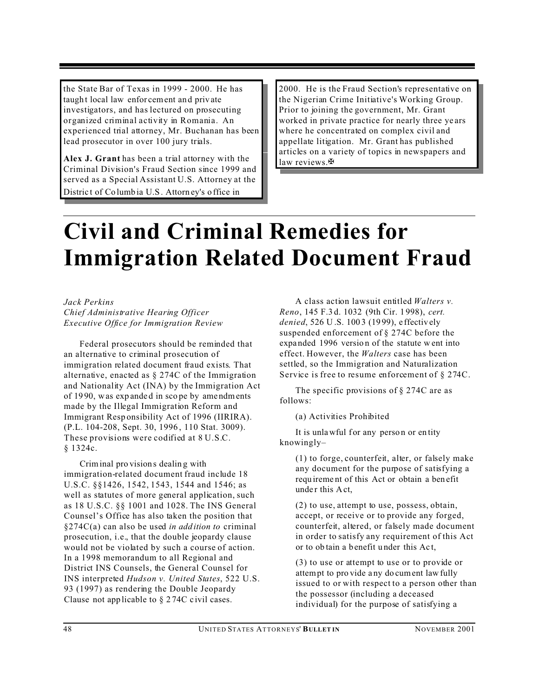the State Bar of Texas in 1999 - 2000. He has taugh t local law enfor cement an d priv ate investigators, and has lectured on prosecuting organized criminal activity in Romania. An experienced trial attorney, Mr. Buchanan has been lead prosecutor in over 100 jury trials.

**Alex J. Grant** has been a trial attorney with the Criminal Division's Fraud Section since 1999 and served as a Special Assistant U.S. Attorney at the Distric t of Co lumb ia U.S. Attorn ey's o ffice in

2000. He is the Fraud Section's representative on the Nigerian Crime Initiative's Working Group. Prior to joining the government, Mr. Grant worked in private practice for nearly three ye ars where he concentrated on complex civil and appellate litigation. Mr. Grant has published articles on a variety of topics in newspapers and law reviews. $\mathbf{\mathbf{\mathbf{\mathsf{F}}}}$ 

### **Civil and Criminal Remedies for Immigration Related Document Fraud**

*Jack Perkins Chief Administrative Hearing Officer Executive Office for Immigration Review*

Federal prosecutors should be reminded that an alternative to criminal prosecution of immigration related document fraud exists. That alternative, enacted as § 274C of the Immigration and Nationality Act (INA) by the Immigration Act of 19 90, was exp ande d in sco pe by ame ndments made by the Illegal Immigration Reform and Immigrant Resp onsibility Act of 1996 (IIRIRA). (P.L. 104-208, Sept. 30, 1996 , 110 Stat. 3009). These provisions were codified at 8 U.S.C. § 1324c.

Criminal pro vision s dealin g with immigration-related document fraud include 18 U.S.C. §§1426, 1542, 1543, 1544 and 1546; as well as statutes of more general application, such as 18 U.S.C. §§ 1001 and 1028. The INS General Counsel's Office has also taken the position that §274C(a) can also be used *in add ition to* criminal prosecution, i.e., that the double jeopardy clause would not be violated by such a course of action. In a 1998 memorandum to all Regional and District INS Counsels, the General Counsel for INS interpreted *Hudson v. United States*, 522 U.S. 93 (1997) as rendering the Double Jeopardy Clause not app licable to § 2 74C c ivil cases.

A class action lawsuit entitled *Walters v. Reno*, 145 F.3 d. 1032 (9th Cir. 1 998), *cert. denied*, 526 U .S. 100 3 (19 99), e ffectiv ely suspended enforcement of § 274C before the expanded 1996 version of the statute w ent into effect. However, the *Walters* case has been settled, so the Immigration and Naturalization Service is free to resume enforcement of § 274C.

The specific provisions of § 274C are as follows:

(a) Activities Prohibited

It is unlawful for any person or entity knowingly–

(1) to forge, counterfeit, alter, or falsely make any document for the purpose of satisfying a requ ireme nt of this Act or obtain a ben efit under this Act,

(2) to use, attempt to use, possess, obtain, accept, or receive or to provide any forged, counterfeit, altered, or falsely made document in order to satisfy any requirement of this Act or to ob tain a b enefit u nder this Ac t,

(3) to use or attempt to use or to provide or attempt to pro vide a ny do cument law fully issued to or with respect to a person other than the possessor (including a deceased individual) for the purpose of satisfying a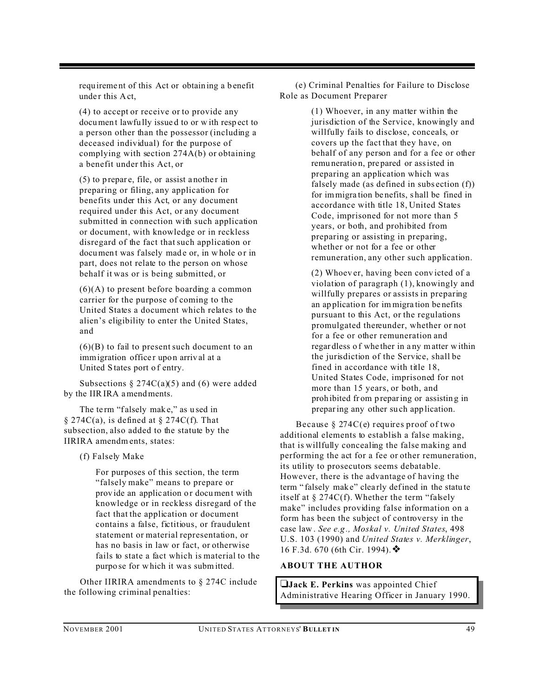requ ireme nt of this Act or obtain ing a b enefit under this Act.

(4) to accept or receive or to provide any documen t lawfu lly issue d to or w ith resp ect to a person other than the possessor (including a deceased individual) for the purpose of complying with section 274A(b) or obtaining a benefit under this Act, or

 $(5)$  to p repare, file, or assist a nother in preparing or filing, any application for benefits under this Act, or any document required under this Act, or any document submitted in connection with such application or document, with knowledge or in reckless disregard of the fact that such application or document was falsely made or, in whole or in part, does not relate to the person on whose behalf it was or is being submitted, or

(6)(A) to present before boarding a common carrier for the purpose of coming to the United States a document which relates to the alien's eligibility to enter the United States, and

 $(6)(B)$  to fail to present such document to an immigration officer upon arrival at a United S tates port o f entry.

Subsections  $\S 274C(a)(5)$  and (6) were added by the IIR IRA amendments.

The term "falsely make," as used in  $\S 274C(a)$ , is defined at  $\S 274C(f)$ . That subsection, also added to the statute by the IIRIRA amendm ents, states:

(f) Falsely Make

For purposes of this section, the term "falsely make" means to prepare or provide an application or document with knowledge or in reckless disregard of the fact that the application or document contains a false, fictitious, or fraudulent statement or material representation, or has no basis in law or fact, or otherwise fails to state a fact which is material to the purpo se for which it was submitted.

Other IIRIRA amendments to § 274C include the following criminal penalties:

(e) Criminal Penalties for Failure to Disclose Role as Document Preparer

> (1) Whoever, in any matter within the jurisdiction of the Service, knowingly and willfully fails to disclose, conceals, or covers up the fact that they have, on behalf of any person and for a fee or other remu neratio n, pre pared or assisted in preparing an application which was falsely made (as defined in subs ection (f)) for immigra tion be nefits, s hall be fined in accordance with title 18, United States Code, imprisoned for not more than 5 years, or both, and prohibited from preparing or assisting in preparing, whether or not for a fee or other remuneration, any other such application.

> (2) Whoev er, having been conv icted of a violation of paragraph (1), knowingly and willfully prepares or assists in preparing an ap plicatio n for im migra tion be nefits pursuant to this Act, or the regulations promulgated thereunder, whether or not for a fee or other remuneration and regar dless o f whe ther in a ny matter within the jurisdiction of the Service, shall be fined in accordance with title 18, United States Code, imprisoned for not more than 15 years, or both, and proh ibited fr om p reparing or assistin g in preparing any other su ch app lication.

Because § 274C(e) requires proof of two additional elements to establish a false making, that is willfully concealing the false making and performing the act for a fee or other remuneration, its utility to prosecutors seems debatable. However, there is the advantage of having the term " falsely mak e" clea rly defined in the statu te itself at § 274C(f). Whether the term "falsely make" includes providing false information on a form has been the subject of controversy in the case law . *See e.g ., Moskal v. United States*, 498 U.S. 103 (1990) and *United States v. Merklinger*, 16 F.3d. 670 (6th Cir. 1994). ♦

#### **ABOUT THE AUTHOR**

**Jack E. Perkins** was appointed Chief Administrative Hearing Officer in January 1990.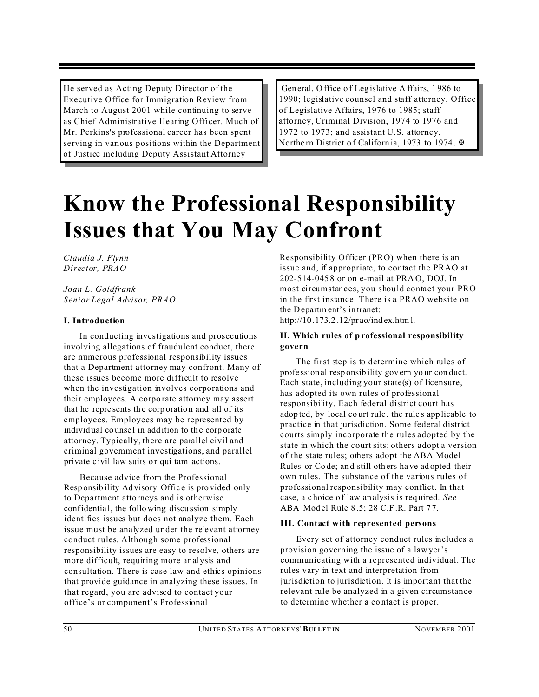He served as Acting Deputy Director of the Executive Office for Immigration Review from March to August 2001 while continuing to serve as Chief Administrative Hearing Officer. Much of Mr. Perkins's professional career has been spent serving in various positions within the Department of Justice including Deputy Assistant Attorney

General, Office of Legislative Affairs, 1986 to 1990; legislative counsel and staff attorney, Office of Legislative Affairs, 1976 to 1985; staff attorney, Criminal Division, 1974 to 1976 and 1972 to 1973; and assistant U.S. attorney, Northern District of Californ ia, 1973 to 1974. ₩

### **Know the Professional Responsibility Issues that You May Confront**

*Claudia J. Flynn Director, PRAO* 

*Joan L. Goldfrank Senior Legal Advisor, PRAO*

#### **I. Introduction**

In conducting investigations and prosecutions involving allegations of fraudulent conduct, there are numerous professional responsibility issues that a Department attorney may confront. Many of these issues become more difficult to resolve when the investigation involves corporations and their employees. A corpo rate attorney may assert that he represents the corporation and all of its employees. Employees may be represented by individual counsel in addition to the corporate attorney. Typically, there are parallel civil and criminal government investigations, and parallel private civil law suits or qui tam actions.

Because advice from the Professional Resp onsib ility Ad visory Offic e is pro vided only to Department attorneys and is otherwise confidentia l, the follo wing discu ssion simply identifies issues but does not analyze them. Each issue must be analyzed under the relevant attorney conduct rules. Although some professional responsibility issues are easy to resolve, others are more difficult, requiring more analysis and consultation. There is case law and ethics opinions that provide guidance in analyzing these issues. In that regard, you are advised to contact your office's or component's Professional

Responsibility Officer (PRO) when there is an issue and, if appropriate, to contact the PRAO at 202-514-045 8 or on e-mail at PRA O, DOJ. In most circumstances, you should contact your PRO in the first instance. There is a PRAO website on the Departm ent's in tranet: http://10 .173.2 .12/pr ao/ind ex.htm l.

#### **II. Which rules of p rofessional responsibility govern**

The first step is to determine which rules of profe ssional resp onsib ility gov ern yo ur con duct. Each state, including your state(s) of licensure, has adopted its own rules of professional responsibility. Each federal district court has adop ted, by local co urt rule , the rule s app licable to practice in that jurisdiction. Some federal district courts simply incorporate the rules adopted by the state in which the court sits; others adopt a version of the state rules; others adopt the ABA Model Rules or Co de; an d still others ha ve ad opted their own rules. The substance of the various rules of professional responsibility may conflict. In that case, a c hoice o f law an alysis is req uired. *See* ABA Model Rule 8.5; 28 C.F.R. Part 77.

#### **III. Contact with represented persons**

Every set of attorney conduct rules includes a provision governing the issue of a law yer's communicating with a represented individual. The rules vary in text and interpretation from jurisdiction to jurisdiction. It is important that the relevant rule be analyzed in a given circumstance to determine whether a co ntact is proper.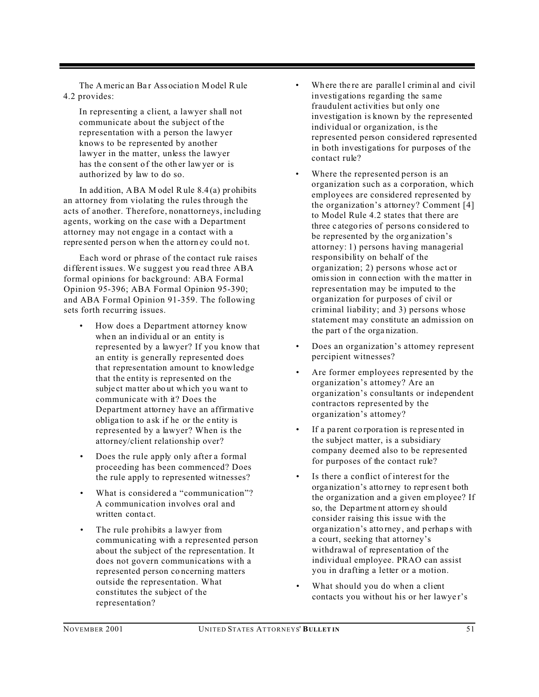The Americ an Bar Association Model Rule 4.2 provides:

In representing a client, a lawyer shall not communicate about the subject of the representation with a person the lawyer knows to be represented by another lawyer in the matter, unless the lawyer has the consent of the other lawyer or is authorized by law to do so.

In add ition, ABA M odel Rule  $8.4(a)$  prohibits an attorney from violating the rules through the acts of another. Therefore, nonattorneys, including agents, working on the case with a Department attorney may not engage in a contact with a repre sented pers on when the attorn ey could not.

Each word or phrase of the contact rule raises different issues. We suggest you read three ABA formal opinions for background: ABA Formal Opinion 95-396; ABA Formal Opinion 95-390; and ABA Formal Opinion 91-359. The following sets forth recurring issues.

- How does a Department attorney know when an individual or an entity is represented by a lawyer? If you know that an entity is generally represented does that representation amount to knowledge that the entity is represented on the subject matter about which you want to communicate with it? Does the Department attorney have an affirmative obliga tion to a sk if he or the e ntity is represented by a lawyer? When is the attorney/client relationship over?
- Does the rule apply only after a formal proceeding has been commenced? Does the rule apply to represented witnesses?
- What is considered a "communication"? A communication involves oral and written conta ct.
- The rule prohibits a lawyer from communicating with a represented person about the subject of the representation. It does not govern communications with a represented person co ncerning matters outside the representation. What constitutes the subject of the representation?
- Where the re are parallel crimin al and civil investigations regarding the same fraudulent activities but only one investigation is known by the represented individual or organization, is the represented person considered represented in both investigations for purposes of the contact rule?
- Where the represented person is an organization such as a corporation, which employees are considered represented by the organization's attorney? Comment [4] to Model Rule 4.2 states that there are three c atego ries of perso ns co nside red to be represented by the org anization's attorney: 1) persons having managerial responsibility on behalf of the organization; 2) persons whose act or omission in conn ection with the ma tter in representation may be imputed to the organization for purposes of civil or criminal liability; and 3) persons whose statement may constitute an admission on the part o f the orga nization.
- Does an organization's attorney represent percipient witnesses?
- Are former employees represented by the organization's attorney? Are an organization's consultants or independent contractors represented by the organization's attorney?
- If a parent corporation is represented in the subject matter, is a subsidiary company deemed also to be represented for purposes of the contact rule?
- Is there a conflict of interest for the orga nizatio n's atto rney to repr esen t both the organization and a given em ployee? If so, the Dep artme nt attorn ey sh ould consider raising this issue with the orga nizatio n's atto rney , and p erhap s with a court, seeking that attorney's withdrawal of representation of the individual employee. PRAO can assist you in drafting a letter or a motion.
- What should you do when a client contacts you without his or her lawye r's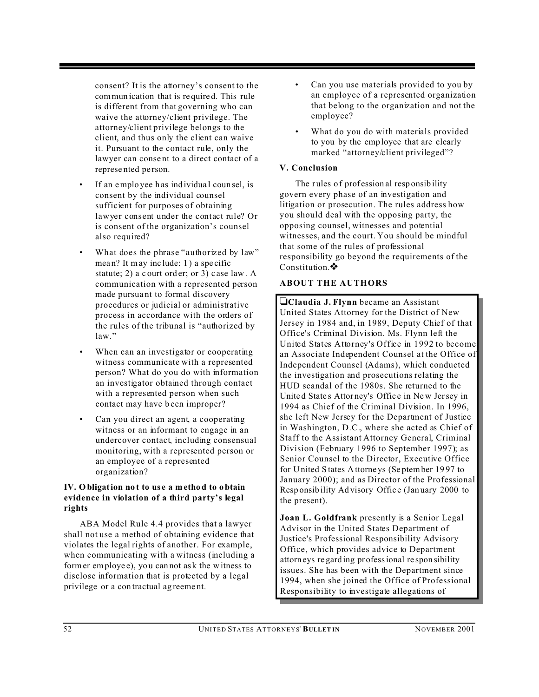consent? It is the attorney's consent to the commun ication that is re quire d. This rule is different from that governing who can waive the attorney/client privilege. The attorney/client privilege belongs to the client, and thus only the client can waive it. Pursuant to the contact rule, only the lawyer can conse nt to a direct contact of a represe nted pe rson.

- If an employee has individual counsel, is consent by the individual counsel sufficient for purposes of obtaining lawyer consent under the contact rule? Or is consent of the organization's counsel also required?
- What does the phrase "authorized by law" mean? It may include: 1) a specific statute; 2) a c ourt ord er; or 3) c ase law. A communication with a represented person made pursua nt to formal discovery procedures or judicial or administrative process in accordance with the orders of the rules of the tribunal is "authorized by law."
- When can an investigator or cooperating witness communicate with a represented person? What do you do with information an investigator obtained through contact with a represented person when such contact may have been improper?
- Can you direct an agent, a cooperating witness or an informant to engage in an undercover contact, including consensual monitoring, with a represented person or an employee of a represented organization?

#### **IV. Obligation no t to us e a method to obtain evidence in violation of a third party's legal rights**

ABA Model Rule 4.4 provides that a lawyer shall not use a method of obtaining evidence that violates the legal rights of another. For example, when communicating with a witness (including a former employe e), yo u can not as k the w itness to disclose information that is protected by a legal privilege or a con tractual ag reeme nt.

- Can you use materials provided to you by an employee of a represented organization that belong to the organization and not the employee?
- What do you do with materials provided to you by the emp loyee that are clearly marked "attorney/client privileged"?

#### **V. Conclusion**

The rules of profession al responsibility govern every phase of an investigation and litigation or prosecution. The rules address how you should deal with the opposing party, the opposing counsel, witnesses and potential witnesses, and the court. You should be mindful that some of the rules of professional responsibility go beyond the requirements of the Constitution.  $\bullet$ 

#### **ABOUT THE AUTHORS**

**Claudia J. Flynn** became an Assistant United States Attorney for the District of New Jersey in 1984 and, in 1989, Deputy Chief of that Office's Criminal Division. Ms. Flynn left the United States Attorney's Office in 1992 to become an Associate Independent Counsel at the Office of Independent Counsel (Adams), which conducted the investigation and prosecutions relating the HUD scandal of the 1980s. She returned to the Unite d State s Attor ney's Offic e in Ne w Jersey in 1994 as Chief of the Criminal Division. In 1996, she left New Jersey for the Department of Justice in Washington, D.C., where she acted as Chief of Staff to the Assistant Attorney General, Criminal Division (February 1996 to September 1997); as Senior Counsel to the Director, Executive Office for United S tates Attorneys (Se ptember 19 97 to January 2000); and as Director of the Professional Resp onsib ility Ad visory Offic e (Jan uary 2000 to the present).

**Joan L. Goldfrank** presently is a Senior Legal Advisor in the United States Department of Justice's Professional Responsibility Advisory Office, which provides advice to Department attorneys re gard ing pr ofessional re spon sibility issues. She has been with the Department since 1994, when she joined the Office of Professional Responsibility to investigate allegations of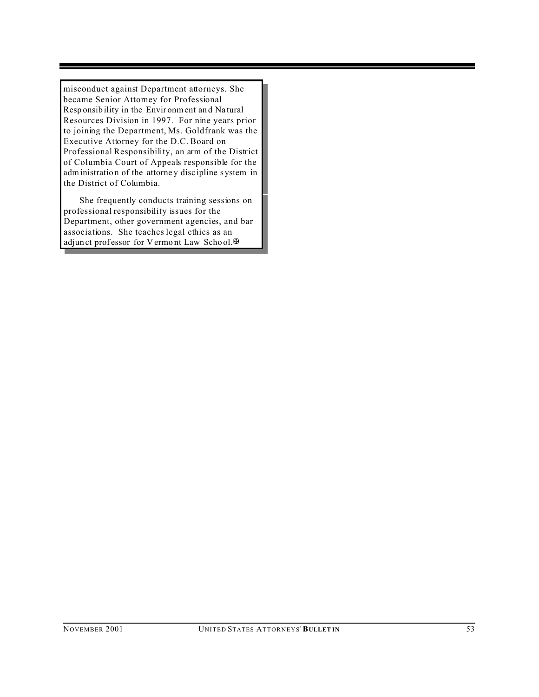misconduct against Department attorneys. She became Senior Attorney for Professional Resp onsib ility in the Envir onment an d Na tural Resources Division in 1997. For nine years prior to joining the Department, Ms. Goldfrank was the Executive Attorney for the D.C. Board on Professional Responsibility, an arm of the District of Columbia Court of Appeals responsible for the administration of the attorney discipline system in the District of Columbia.

She frequently conducts training sessions on professional responsibility issues for the Department, other government agencies, and bar associations. She teaches legal ethics as an adjun ct professor for Vermont Law School. $\mathbb {H}$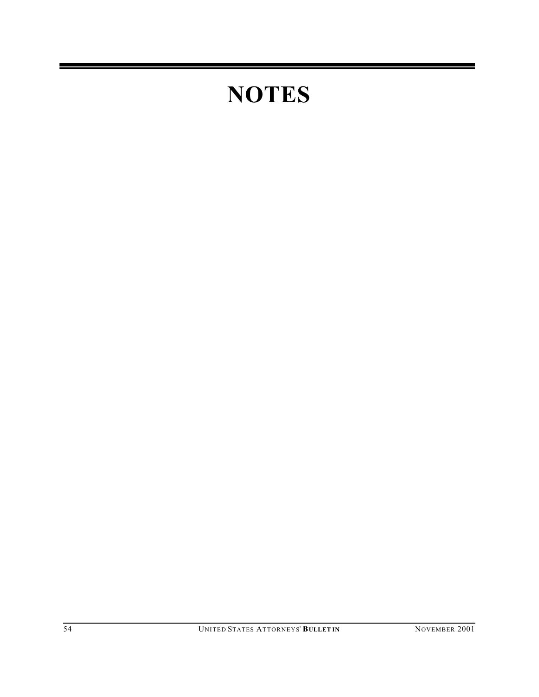## **NOTES**